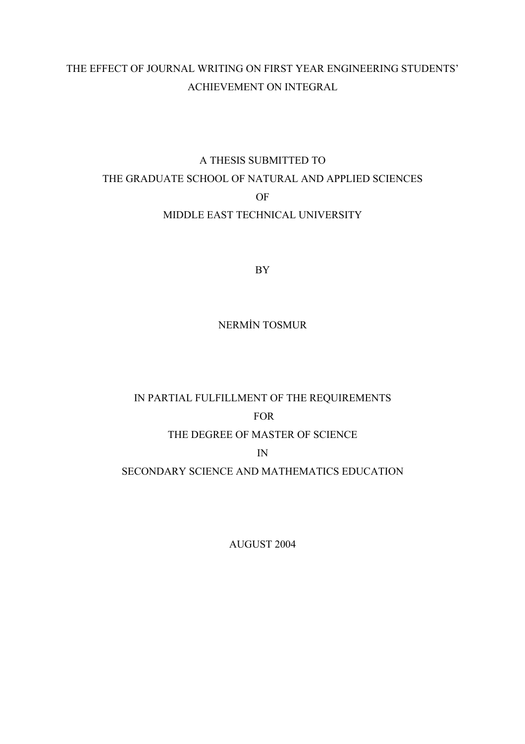## THE EFFECT OF JOURNAL WRITING ON FIRST YEAR ENGINEERING STUDENTS' ACHIEVEMENT ON INTEGRAL

## A THESIS SUBMITTED TO THE GRADUATE SCHOOL OF NATURAL AND APPLIED SCIENCES OF MIDDLE EAST TECHNICAL UNIVERSITY

BY

## NERMİN TOSMUR

# IN PARTIAL FULFILLMENT OF THE REQUIREMENTS FOR THE DEGREE OF MASTER OF SCIENCE IN

SECONDARY SCIENCE AND MATHEMATICS EDUCATION

AUGUST 2004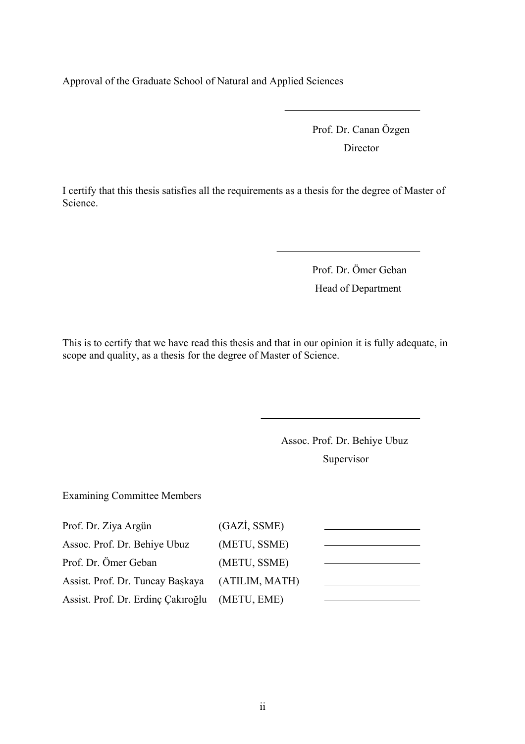Approval of the Graduate School of Natural and Applied Sciences

Prof. Dr. Canan Özgen Director

I certify that this thesis satisfies all the requirements as a thesis for the degree of Master of Science.

> Prof. Dr. Ömer Geban Head of Department

This is to certify that we have read this thesis and that in our opinion it is fully adequate, in scope and quality, as a thesis for the degree of Master of Science.

> Assoc. Prof. Dr. Behiye Ubuz Supervisor

Examining Committee Members

| Prof. Dr. Ziya Argün               | (GAZI, SSME)   |  |
|------------------------------------|----------------|--|
| Assoc. Prof. Dr. Behiye Ubuz       | (METU, SSME)   |  |
| Prof. Dr. Ömer Geban               | (METU, SSME)   |  |
| Assist. Prof. Dr. Tuncay Başkaya   | (ATILIM, MATH) |  |
| Assist. Prof. Dr. Erdinç Çakıroğlu | (METU, EME)    |  |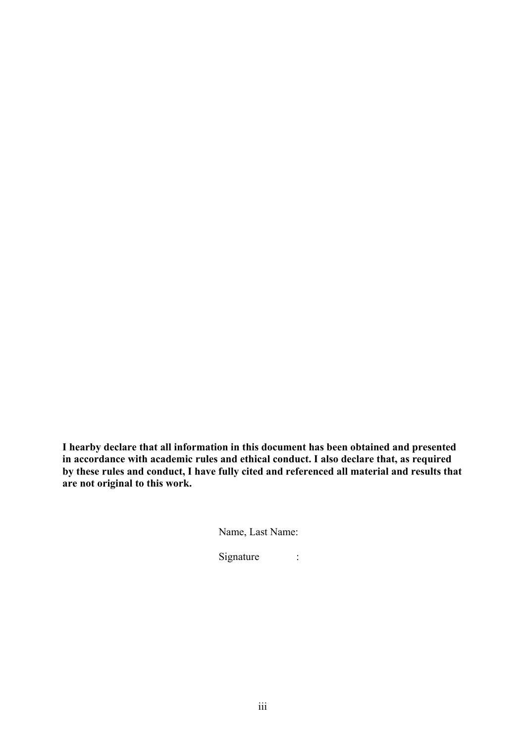**I hearby declare that all information in this document has been obtained and presented in accordance with academic rules and ethical conduct. I also declare that, as required by these rules and conduct, I have fully cited and referenced all material and results that are not original to this work.** 

Name, Last Name:

Signature :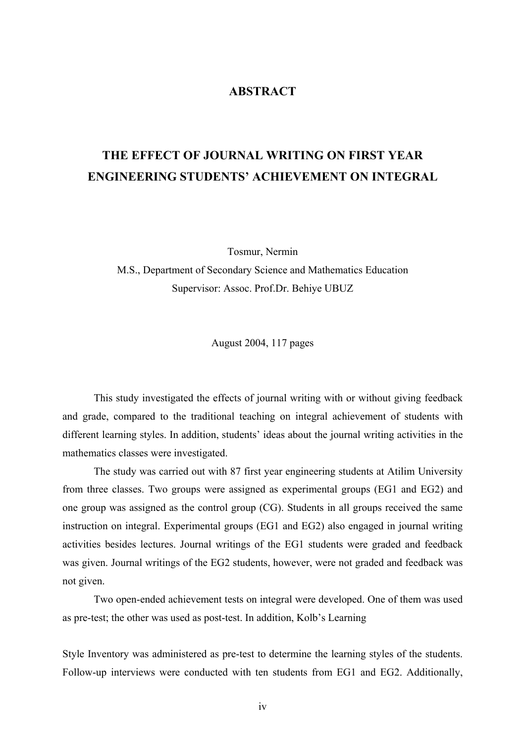## **ABSTRACT**

# **THE EFFECT OF JOURNAL WRITING ON FIRST YEAR ENGINEERING STUDENTS' ACHIEVEMENT ON INTEGRAL**

Tosmur, Nermin

M.S., Department of Secondary Science and Mathematics Education Supervisor: Assoc. Prof.Dr. Behiye UBUZ

August 2004, 117 pages

This study investigated the effects of journal writing with or without giving feedback and grade, compared to the traditional teaching on integral achievement of students with different learning styles. In addition, students' ideas about the journal writing activities in the mathematics classes were investigated.

The study was carried out with 87 first year engineering students at Atilim University from three classes. Two groups were assigned as experimental groups (EG1 and EG2) and one group was assigned as the control group (CG). Students in all groups received the same instruction on integral. Experimental groups (EG1 and EG2) also engaged in journal writing activities besides lectures. Journal writings of the EG1 students were graded and feedback was given. Journal writings of the EG2 students, however, were not graded and feedback was not given.

Two open-ended achievement tests on integral were developed. One of them was used as pre-test; the other was used as post-test. In addition, Kolb's Learning

Style Inventory was administered as pre-test to determine the learning styles of the students. Follow-up interviews were conducted with ten students from EG1 and EG2. Additionally,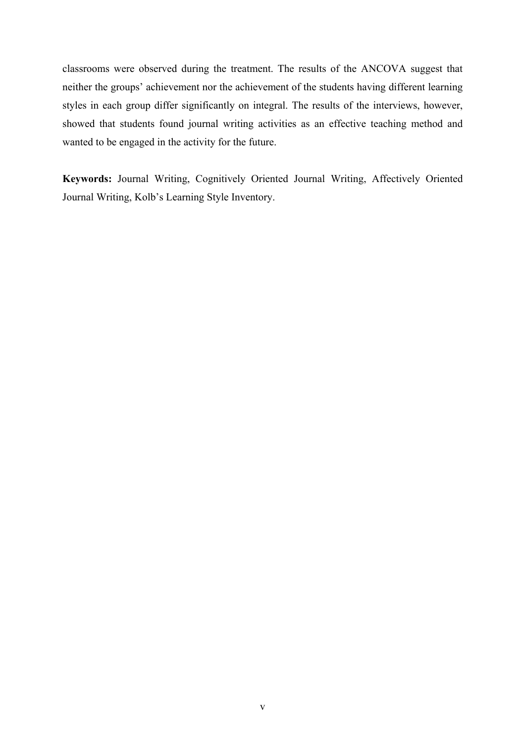classrooms were observed during the treatment. The results of the ANCOVA suggest that neither the groups' achievement nor the achievement of the students having different learning styles in each group differ significantly on integral. The results of the interviews, however, showed that students found journal writing activities as an effective teaching method and wanted to be engaged in the activity for the future.

**Keywords:** Journal Writing, Cognitively Oriented Journal Writing, Affectively Oriented Journal Writing, Kolb's Learning Style Inventory.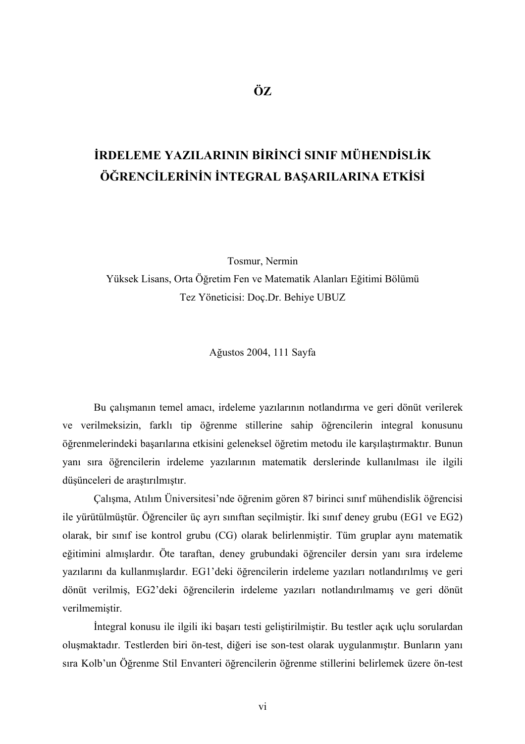# **İRDELEME YAZILARININ BİRİNCİ SINIF MÜHENDİSLİK ÖĞRENCİLERİNİN İNTEGRAL BAŞARILARINA ETKİSİ**

Tosmur, Nermin

Yüksek Lisans, Orta Öğretim Fen ve Matematik Alanları Eğitimi Bölümü Tez Yöneticisi: Doç.Dr. Behiye UBUZ

Ağustos 2004, 111 Sayfa

 Bu çalışmanın temel amacı, irdeleme yazılarının notlandırma ve geri dönüt verilerek ve verilmeksizin, farklı tip öğrenme stillerine sahip öğrencilerin integral konusunu öğrenmelerindeki başarılarına etkisini geleneksel öğretim metodu ile karşılaştırmaktır. Bunun yanı sıra öğrencilerin irdeleme yazılarının matematik derslerinde kullanılması ile ilgili düşünceleri de araştırılmıştır.

 Çalışma, Atılım Üniversitesi'nde öğrenim gören 87 birinci sınıf mühendislik öğrencisi ile yürütülmüştür. Öğrenciler üç ayrı sınıftan seçilmiştir. İki sınıf deney grubu (EG1 ve EG2) olarak, bir sınıf ise kontrol grubu (CG) olarak belirlenmiştir. Tüm gruplar aynı matematik eğitimini almışlardır. Öte taraftan, deney grubundaki öğrenciler dersin yanı sıra irdeleme yazılarını da kullanmışlardır. EG1'deki öğrencilerin irdeleme yazıları notlandırılmış ve geri dönüt verilmiş, EG2'deki öğrencilerin irdeleme yazıları notlandırılmamış ve geri dönüt verilmemiştir.

İntegral konusu ile ilgili iki başarı testi geliştirilmiştir. Bu testler açık uçlu sorulardan oluşmaktadır. Testlerden biri ön-test, diğeri ise son-test olarak uygulanmıştır. Bunların yanı sıra Kolb'un Öğrenme Stil Envanteri öğrencilerin öğrenme stillerini belirlemek üzere ön-test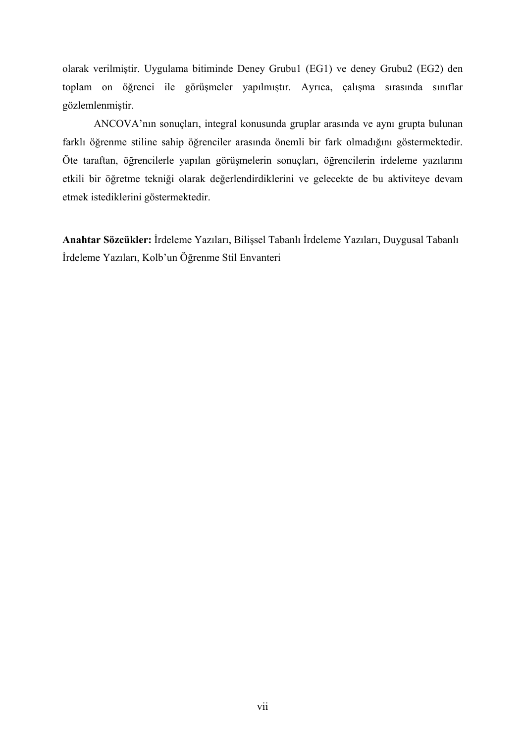olarak verilmiştir. Uygulama bitiminde Deney Grubu1 (EG1) ve deney Grubu2 (EG2) den toplam on öğrenci ile görüşmeler yapılmıştır. Ayrıca, çalışma sırasında sınıflar gözlemlenmiştir.

 ANCOVA'nın sonuçları, integral konusunda gruplar arasında ve aynı grupta bulunan farklı öğrenme stiline sahip öğrenciler arasında önemli bir fark olmadığını göstermektedir. Öte taraftan, öğrencilerle yapılan görüşmelerin sonuçları, öğrencilerin irdeleme yazılarını etkili bir öğretme tekniği olarak değerlendirdiklerini ve gelecekte de bu aktiviteye devam etmek istediklerini göstermektedir.

**Anahtar Sözcükler:** İrdeleme Yazıları, Bilişsel Tabanlı İrdeleme Yazıları, Duygusal Tabanlı İrdeleme Yazıları, Kolb'un Öğrenme Stil Envanteri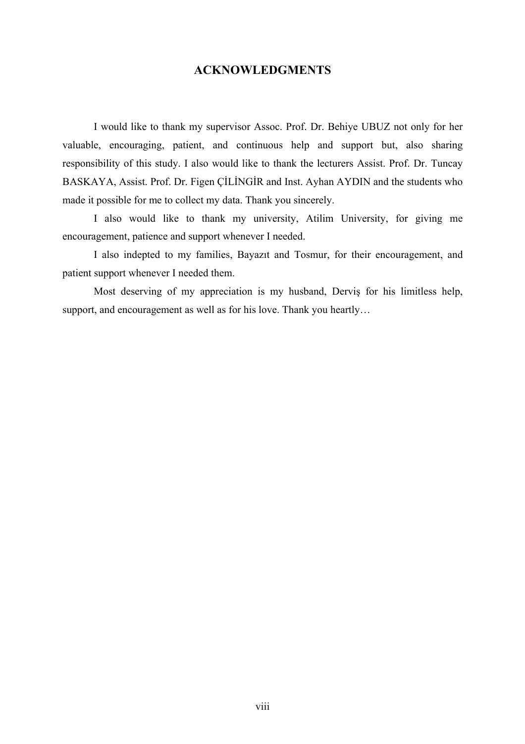## **ACKNOWLEDGMENTS**

 I would like to thank my supervisor Assoc. Prof. Dr. Behiye UBUZ not only for her valuable, encouraging, patient, and continuous help and support but, also sharing responsibility of this study. I also would like to thank the lecturers Assist. Prof. Dr. Tuncay BASKAYA, Assist. Prof. Dr. Figen ÇİLİNGİR and Inst. Ayhan AYDIN and the students who made it possible for me to collect my data. Thank you sincerely.

 I also would like to thank my university, Atilim University, for giving me encouragement, patience and support whenever I needed.

 I also indepted to my families, Bayazıt and Tosmur, for their encouragement, and patient support whenever I needed them.

 Most deserving of my appreciation is my husband, Derviş for his limitless help, support, and encouragement as well as for his love. Thank you heartly…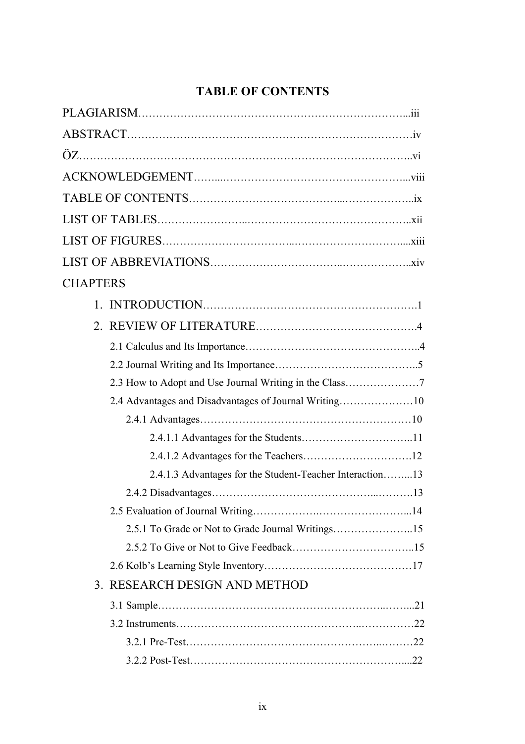## **TABLE OF CONTENTS**

| <b>CHAPTERS</b>                                          |
|----------------------------------------------------------|
|                                                          |
|                                                          |
|                                                          |
|                                                          |
| 2.3 How to Adopt and Use Journal Writing in the Class7   |
|                                                          |
|                                                          |
|                                                          |
|                                                          |
| 2.4.1.3 Advantages for the Student-Teacher Interaction13 |
|                                                          |
|                                                          |
| 2.5.1 To Grade or Not to Grade Journal Writings15        |
|                                                          |
|                                                          |
| 3. RESEARCH DESIGN AND METHOD                            |
|                                                          |
|                                                          |
|                                                          |
|                                                          |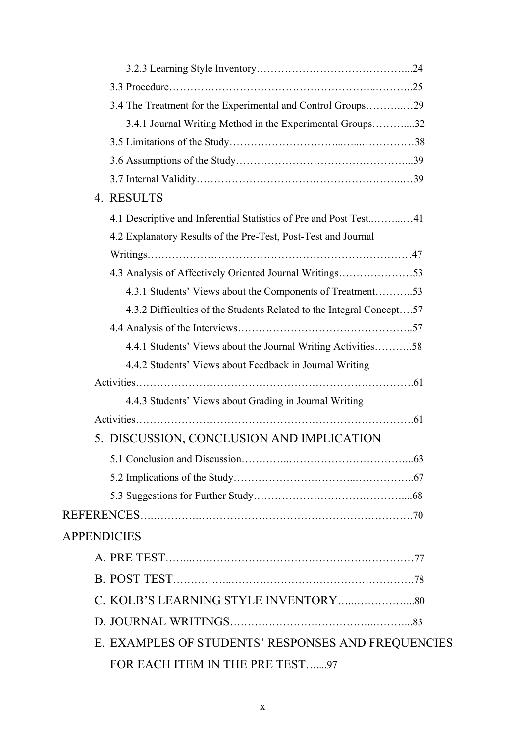| 3.4 The Treatment for the Experimental and Control Groups29          |  |
|----------------------------------------------------------------------|--|
| 3.4.1 Journal Writing Method in the Experimental Groups32            |  |
|                                                                      |  |
|                                                                      |  |
|                                                                      |  |
| 4. RESULTS                                                           |  |
| 4.1 Descriptive and Inferential Statistics of Pre and Post Test41    |  |
| 4.2 Explanatory Results of the Pre-Test, Post-Test and Journal       |  |
|                                                                      |  |
| 4.3 Analysis of Affectively Oriented Journal Writings53              |  |
| 4.3.1 Students' Views about the Components of Treatment53            |  |
| 4.3.2 Difficulties of the Students Related to the Integral Concept57 |  |
|                                                                      |  |
| 4.4.1 Students' Views about the Journal Writing Activities58         |  |
| 4.4.2 Students' Views about Feedback in Journal Writing              |  |
|                                                                      |  |
| 4.4.3 Students' Views about Grading in Journal Writing               |  |
|                                                                      |  |
| 5. DISCUSSION, CONCLUSION AND IMPLICATION                            |  |
|                                                                      |  |
|                                                                      |  |
|                                                                      |  |
|                                                                      |  |
| <b>APPENDICIES</b>                                                   |  |
|                                                                      |  |
|                                                                      |  |
|                                                                      |  |
|                                                                      |  |
|                                                                      |  |
| E. EXAMPLES OF STUDENTS' RESPONSES AND FREQUENCIES                   |  |
| FOR EACH ITEM IN THE PRE TEST97                                      |  |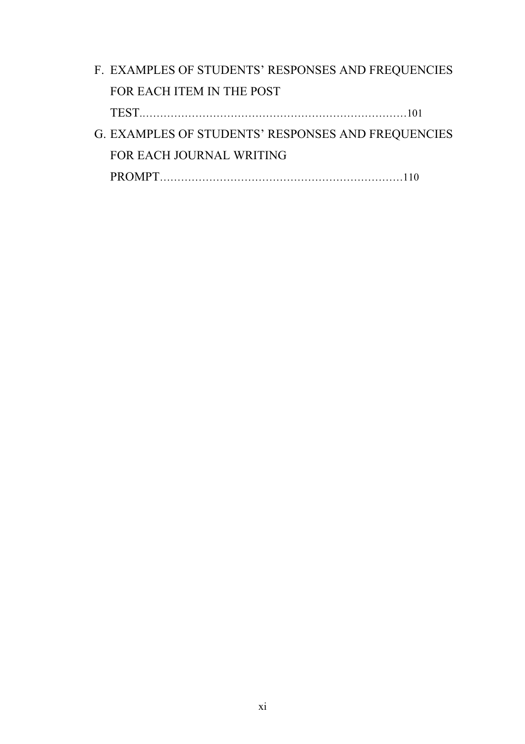| F. EXAMPLES OF STUDENTS' RESPONSES AND FREQUENCIES |  |
|----------------------------------------------------|--|
| FOR EACH ITEM IN THE POST                          |  |
|                                                    |  |
| G. EXAMPLES OF STUDENTS' RESPONSES AND FREQUENCIES |  |
| FOR EACH JOURNAL WRITING                           |  |
|                                                    |  |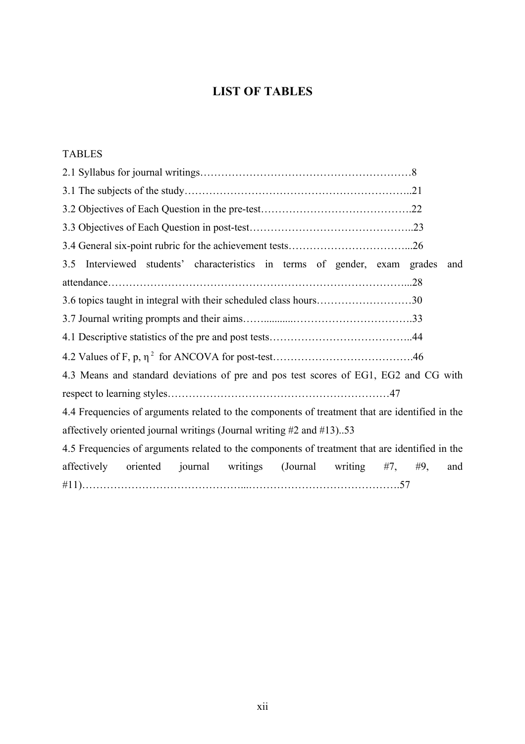## **LIST OF TABLES**

## TABLES

| Interviewed students' characteristics in terms of gender, exam grades<br>3.5                   | and            |
|------------------------------------------------------------------------------------------------|----------------|
|                                                                                                |                |
|                                                                                                |                |
|                                                                                                |                |
|                                                                                                |                |
|                                                                                                |                |
| 4.3 Means and standard deviations of pre and pos test scores of EG1, EG2 and CG with           |                |
|                                                                                                |                |
| 4.4 Frequencies of arguments related to the components of treatment that are identified in the |                |
| affectively oriented journal writings (Journal writing #2 and #13)53                           |                |
| 4.5 Frequencies of arguments related to the components of treatment that are identified in the |                |
| affectively<br>journal<br>writings<br>(Journal<br>oriented<br>writing                          | #7, #9,<br>and |
|                                                                                                |                |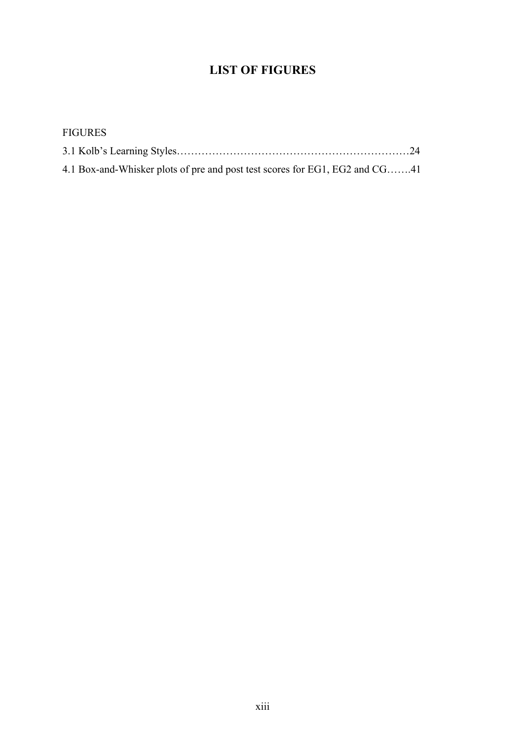## **LIST OF FIGURES**

| <b>FIGURES</b>                                                              |  |
|-----------------------------------------------------------------------------|--|
|                                                                             |  |
| 4.1 Box-and-Whisker plots of pre and post test scores for EG1, EG2 and CG41 |  |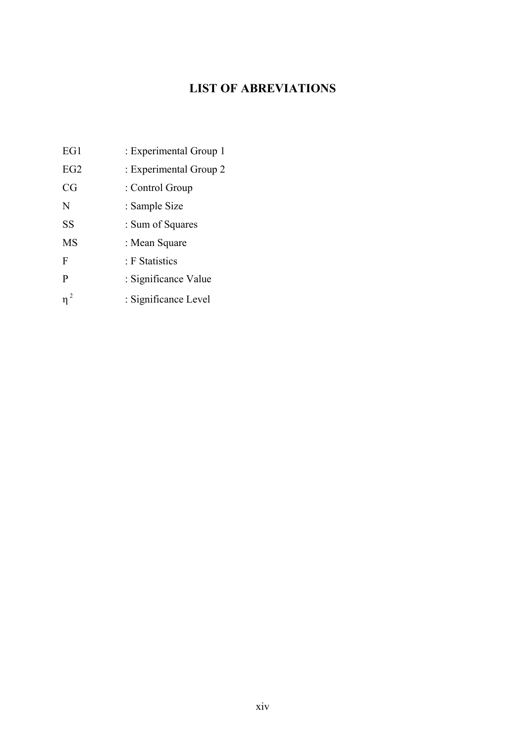## **LIST OF ABREVIATIONS**

| EG1         | : Experimental Group 1 |
|-------------|------------------------|
| EG2         | : Experimental Group 2 |
| CG          | : Control Group        |
| N           | : Sample Size          |
| <b>SS</b>   | : Sum of Squares       |
| <b>MS</b>   | : Mean Square          |
| $\mathbf F$ | : F Statistics         |
| P           | : Significance Value   |
| $\eta^2$    | : Significance Level   |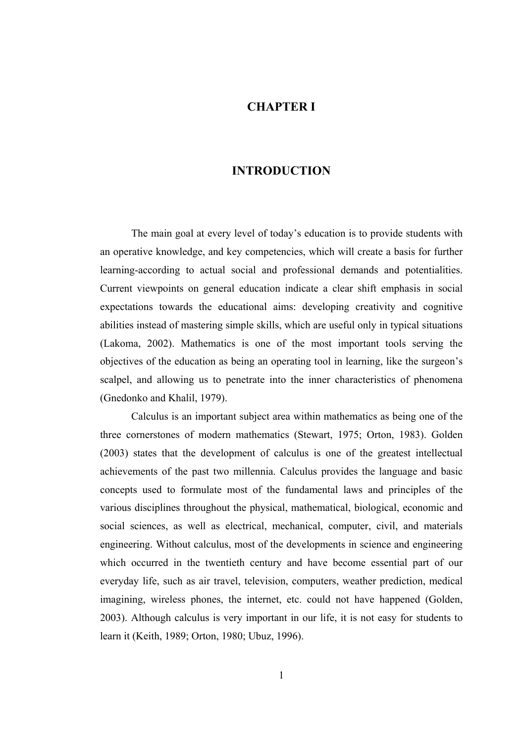### **CHAPTER I**

## **INTRODUCTION**

 The main goal at every level of today's education is to provide students with an operative knowledge, and key competencies, which will create a basis for further learning-according to actual social and professional demands and potentialities. Current viewpoints on general education indicate a clear shift emphasis in social expectations towards the educational aims: developing creativity and cognitive abilities instead of mastering simple skills, which are useful only in typical situations (Lakoma, 2002). Mathematics is one of the most important tools serving the objectives of the education as being an operating tool in learning, like the surgeon's scalpel, and allowing us to penetrate into the inner characteristics of phenomena (Gnedonko and Khalil, 1979).

Calculus is an important subject area within mathematics as being one of the three cornerstones of modern mathematics (Stewart, 1975; Orton, 1983). Golden (2003) states that the development of calculus is one of the greatest intellectual achievements of the past two millennia. Calculus provides the language and basic concepts used to formulate most of the fundamental laws and principles of the various disciplines throughout the physical, mathematical, biological, economic and social sciences, as well as electrical, mechanical, computer, civil, and materials engineering. Without calculus, most of the developments in science and engineering which occurred in the twentieth century and have become essential part of our everyday life, such as air travel, television, computers, weather prediction, medical imagining, wireless phones, the internet, etc. could not have happened (Golden, 2003). Although calculus is very important in our life, it is not easy for students to learn it (Keith, 1989; Orton, 1980; Ubuz, 1996).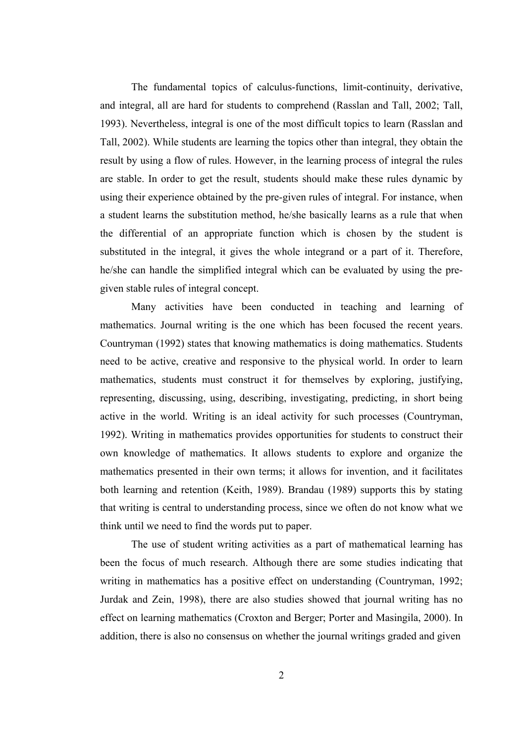The fundamental topics of calculus-functions, limit-continuity, derivative, and integral, all are hard for students to comprehend (Rasslan and Tall, 2002; Tall, 1993). Nevertheless, integral is one of the most difficult topics to learn (Rasslan and Tall, 2002). While students are learning the topics other than integral, they obtain the result by using a flow of rules. However, in the learning process of integral the rules are stable. In order to get the result, students should make these rules dynamic by using their experience obtained by the pre-given rules of integral. For instance, when a student learns the substitution method, he/she basically learns as a rule that when the differential of an appropriate function which is chosen by the student is substituted in the integral, it gives the whole integrand or a part of it. Therefore, he/she can handle the simplified integral which can be evaluated by using the pregiven stable rules of integral concept.

 Many activities have been conducted in teaching and learning of mathematics. Journal writing is the one which has been focused the recent years. Countryman (1992) states that knowing mathematics is doing mathematics. Students need to be active, creative and responsive to the physical world. In order to learn mathematics, students must construct it for themselves by exploring, justifying, representing, discussing, using, describing, investigating, predicting, in short being active in the world. Writing is an ideal activity for such processes (Countryman, 1992). Writing in mathematics provides opportunities for students to construct their own knowledge of mathematics. It allows students to explore and organize the mathematics presented in their own terms; it allows for invention, and it facilitates both learning and retention (Keith, 1989). Brandau (1989) supports this by stating that writing is central to understanding process, since we often do not know what we think until we need to find the words put to paper.

 The use of student writing activities as a part of mathematical learning has been the focus of much research. Although there are some studies indicating that writing in mathematics has a positive effect on understanding (Countryman, 1992; Jurdak and Zein, 1998), there are also studies showed that journal writing has no effect on learning mathematics (Croxton and Berger; Porter and Masingila, 2000). In addition, there is also no consensus on whether the journal writings graded and given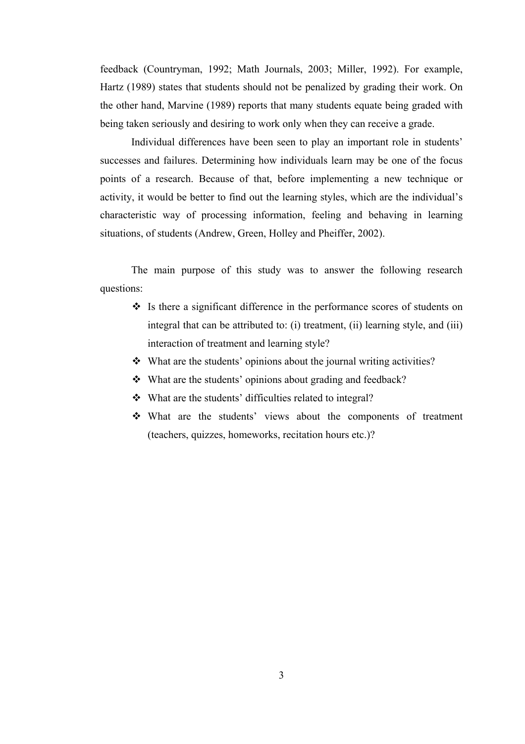feedback (Countryman, 1992; Math Journals, 2003; Miller, 1992). For example, Hartz (1989) states that students should not be penalized by grading their work. On the other hand, Marvine (1989) reports that many students equate being graded with being taken seriously and desiring to work only when they can receive a grade.

 Individual differences have been seen to play an important role in students' successes and failures. Determining how individuals learn may be one of the focus points of a research. Because of that, before implementing a new technique or activity, it would be better to find out the learning styles, which are the individual's characteristic way of processing information, feeling and behaving in learning situations, of students (Andrew, Green, Holley and Pheiffer, 2002).

The main purpose of this study was to answer the following research questions:

- $\cdot$  Is there a significant difference in the performance scores of students on integral that can be attributed to: (i) treatment, (ii) learning style, and (iii) interaction of treatment and learning style?
- What are the students' opinions about the journal writing activities?
- What are the students' opinions about grading and feedback?
- What are the students' difficulties related to integral?
- What are the students' views about the components of treatment (teachers, quizzes, homeworks, recitation hours etc.)?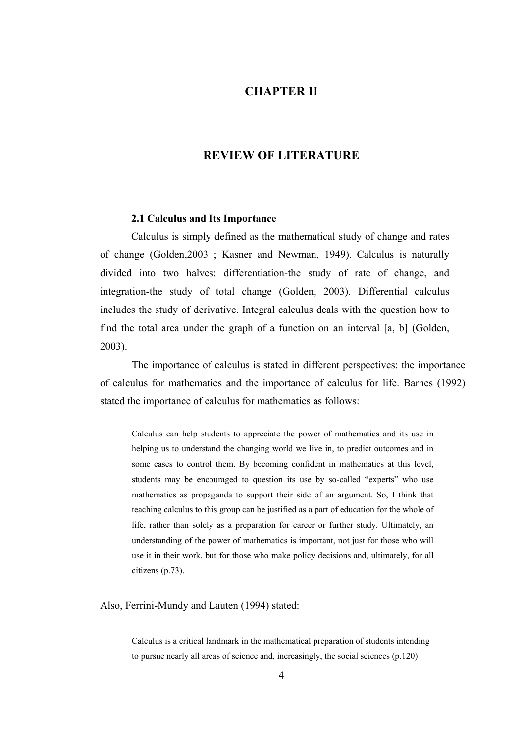## **CHAPTER II**

### **REVIEW OF LITERATURE**

#### **2.1 Calculus and Its Importance**

 Calculus is simply defined as the mathematical study of change and rates of change (Golden,2003 ; Kasner and Newman, 1949). Calculus is naturally divided into two halves: differentiation-the study of rate of change, and integration-the study of total change (Golden, 2003). Differential calculus includes the study of derivative. Integral calculus deals with the question how to find the total area under the graph of a function on an interval [a, b] (Golden, 2003).

The importance of calculus is stated in different perspectives: the importance of calculus for mathematics and the importance of calculus for life. Barnes (1992) stated the importance of calculus for mathematics as follows:

Calculus can help students to appreciate the power of mathematics and its use in helping us to understand the changing world we live in, to predict outcomes and in some cases to control them. By becoming confident in mathematics at this level, students may be encouraged to question its use by so-called "experts" who use mathematics as propaganda to support their side of an argument. So, I think that teaching calculus to this group can be justified as a part of education for the whole of life, rather than solely as a preparation for career or further study. Ultimately, an understanding of the power of mathematics is important, not just for those who will use it in their work, but for those who make policy decisions and, ultimately, for all citizens (p.73).

Also, Ferrini-Mundy and Lauten (1994) stated:

Calculus is a critical landmark in the mathematical preparation of students intending to pursue nearly all areas of science and, increasingly, the social sciences (p.120)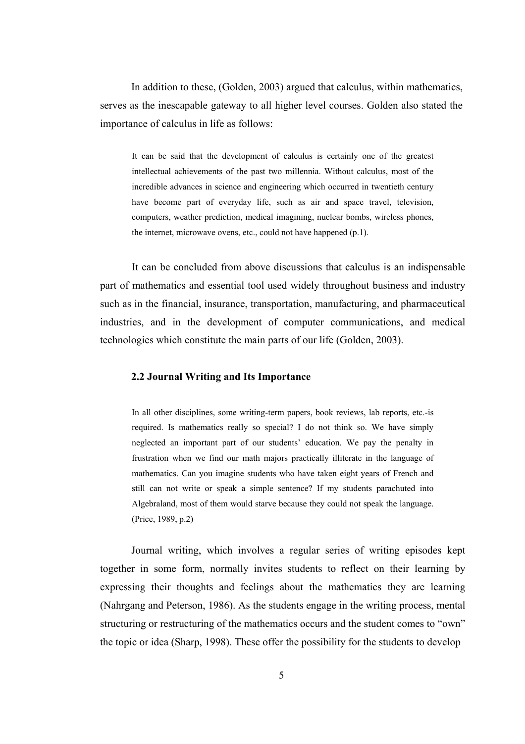In addition to these, (Golden, 2003) argued that calculus, within mathematics, serves as the inescapable gateway to all higher level courses. Golden also stated the importance of calculus in life as follows:

It can be said that the development of calculus is certainly one of the greatest intellectual achievements of the past two millennia. Without calculus, most of the incredible advances in science and engineering which occurred in twentieth century have become part of everyday life, such as air and space travel, television, computers, weather prediction, medical imagining, nuclear bombs, wireless phones, the internet, microwave ovens, etc., could not have happened (p.1).

It can be concluded from above discussions that calculus is an indispensable part of mathematics and essential tool used widely throughout business and industry such as in the financial, insurance, transportation, manufacturing, and pharmaceutical industries, and in the development of computer communications, and medical technologies which constitute the main parts of our life (Golden, 2003).

#### **2.2 Journal Writing and Its Importance**

In all other disciplines, some writing-term papers, book reviews, lab reports, etc.-is required. Is mathematics really so special? I do not think so. We have simply neglected an important part of our students' education. We pay the penalty in frustration when we find our math majors practically illiterate in the language of mathematics. Can you imagine students who have taken eight years of French and still can not write or speak a simple sentence? If my students parachuted into Algebraland, most of them would starve because they could not speak the language. (Price, 1989, p.2)

 Journal writing, which involves a regular series of writing episodes kept together in some form, normally invites students to reflect on their learning by expressing their thoughts and feelings about the mathematics they are learning (Nahrgang and Peterson, 1986). As the students engage in the writing process, mental structuring or restructuring of the mathematics occurs and the student comes to "own" the topic or idea (Sharp, 1998). These offer the possibility for the students to develop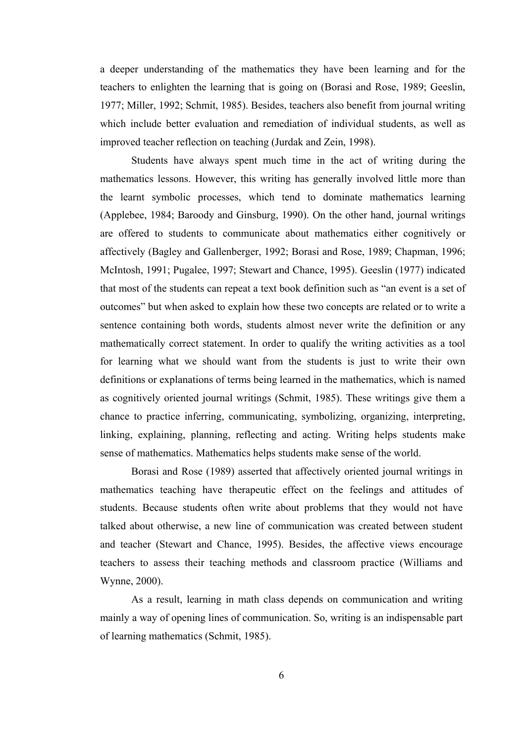a deeper understanding of the mathematics they have been learning and for the teachers to enlighten the learning that is going on (Borasi and Rose, 1989; Geeslin, 1977; Miller, 1992; Schmit, 1985). Besides, teachers also benefit from journal writing which include better evaluation and remediation of individual students, as well as improved teacher reflection on teaching (Jurdak and Zein, 1998).

Students have always spent much time in the act of writing during the mathematics lessons. However, this writing has generally involved little more than the learnt symbolic processes, which tend to dominate mathematics learning (Applebee, 1984; Baroody and Ginsburg, 1990). On the other hand, journal writings are offered to students to communicate about mathematics either cognitively or affectively (Bagley and Gallenberger, 1992; Borasi and Rose, 1989; Chapman, 1996; McIntosh, 1991; Pugalee, 1997; Stewart and Chance, 1995). Geeslin (1977) indicated that most of the students can repeat a text book definition such as "an event is a set of outcomes" but when asked to explain how these two concepts are related or to write a sentence containing both words, students almost never write the definition or any mathematically correct statement. In order to qualify the writing activities as a tool for learning what we should want from the students is just to write their own definitions or explanations of terms being learned in the mathematics, which is named as cognitively oriented journal writings (Schmit, 1985). These writings give them a chance to practice inferring, communicating, symbolizing, organizing, interpreting, linking, explaining, planning, reflecting and acting. Writing helps students make sense of mathematics. Mathematics helps students make sense of the world.

Borasi and Rose (1989) asserted that affectively oriented journal writings in mathematics teaching have therapeutic effect on the feelings and attitudes of students. Because students often write about problems that they would not have talked about otherwise, a new line of communication was created between student and teacher (Stewart and Chance, 1995). Besides, the affective views encourage teachers to assess their teaching methods and classroom practice (Williams and Wynne, 2000).

 As a result, learning in math class depends on communication and writing mainly a way of opening lines of communication. So, writing is an indispensable part of learning mathematics (Schmit, 1985).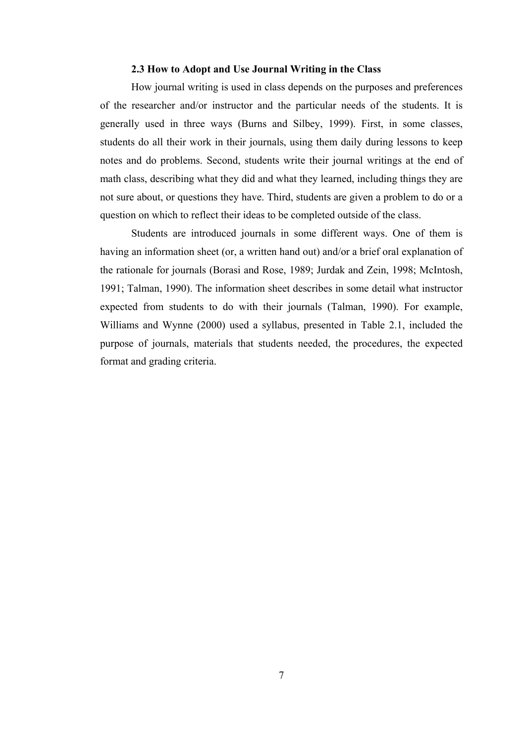#### **2.3 How to Adopt and Use Journal Writing in the Class**

How journal writing is used in class depends on the purposes and preferences of the researcher and/or instructor and the particular needs of the students. It is generally used in three ways (Burns and Silbey, 1999). First, in some classes, students do all their work in their journals, using them daily during lessons to keep notes and do problems. Second, students write their journal writings at the end of math class, describing what they did and what they learned, including things they are not sure about, or questions they have. Third, students are given a problem to do or a question on which to reflect their ideas to be completed outside of the class.

 Students are introduced journals in some different ways. One of them is having an information sheet (or, a written hand out) and/or a brief oral explanation of the rationale for journals (Borasi and Rose, 1989; Jurdak and Zein, 1998; McIntosh, 1991; Talman, 1990). The information sheet describes in some detail what instructor expected from students to do with their journals (Talman, 1990). For example, Williams and Wynne (2000) used a syllabus, presented in Table 2.1, included the purpose of journals, materials that students needed, the procedures, the expected format and grading criteria.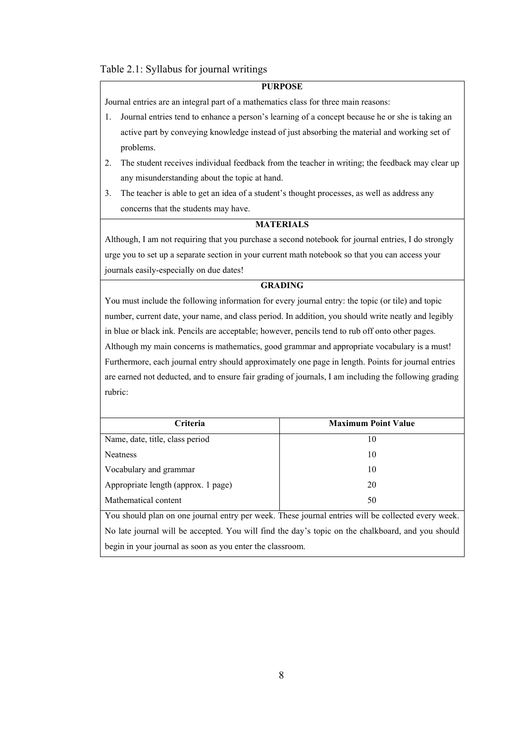#### Table 2.1: Syllabus for journal writings

#### **PURPOSE**

Journal entries are an integral part of a mathematics class for three main reasons:

- 1. Journal entries tend to enhance a person's learning of a concept because he or she is taking an active part by conveying knowledge instead of just absorbing the material and working set of problems.
- 2. The student receives individual feedback from the teacher in writing; the feedback may clear up any misunderstanding about the topic at hand.
- 3. The teacher is able to get an idea of a student's thought processes, as well as address any concerns that the students may have.

#### **MATERIALS**

Although, I am not requiring that you purchase a second notebook for journal entries, I do strongly urge you to set up a separate section in your current math notebook so that you can access your journals easily-especially on due dates!

#### **GRADING**

You must include the following information for every journal entry: the topic (or tile) and topic number, current date, your name, and class period. In addition, you should write neatly and legibly in blue or black ink. Pencils are acceptable; however, pencils tend to rub off onto other pages. Although my main concerns is mathematics, good grammar and appropriate vocabulary is a must! Furthermore, each journal entry should approximately one page in length. Points for journal entries are earned not deducted, and to ensure fair grading of journals, I am including the following grading rubric:

| Criteria                                                                                           | <b>Maximum Point Value</b> |  |
|----------------------------------------------------------------------------------------------------|----------------------------|--|
| Name, date, title, class period                                                                    | 10                         |  |
| <b>Neatness</b>                                                                                    | 10                         |  |
| Vocabulary and grammar                                                                             | 10                         |  |
| Appropriate length (approx. 1 page)                                                                | 20                         |  |
| Mathematical content                                                                               | 50                         |  |
| You should plan on one journal entry per week. These journal entries will be collected every week. |                            |  |
| No late journal will be accepted. You will find the day's topic on the chalkboard, and you should  |                            |  |
| begin in your journal as soon as you enter the classroom.                                          |                            |  |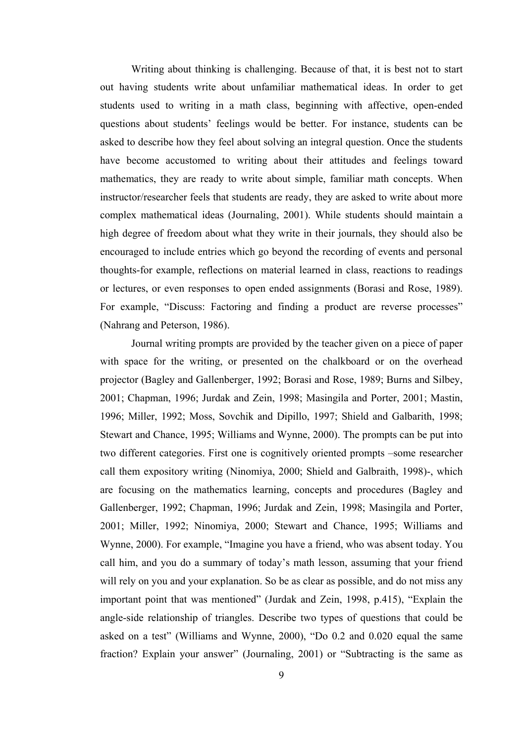Writing about thinking is challenging. Because of that, it is best not to start out having students write about unfamiliar mathematical ideas. In order to get students used to writing in a math class, beginning with affective, open-ended questions about students' feelings would be better. For instance, students can be asked to describe how they feel about solving an integral question. Once the students have become accustomed to writing about their attitudes and feelings toward mathematics, they are ready to write about simple, familiar math concepts. When instructor/researcher feels that students are ready, they are asked to write about more complex mathematical ideas (Journaling, 2001). While students should maintain a high degree of freedom about what they write in their journals, they should also be encouraged to include entries which go beyond the recording of events and personal thoughts-for example, reflections on material learned in class, reactions to readings or lectures, or even responses to open ended assignments (Borasi and Rose, 1989). For example, "Discuss: Factoring and finding a product are reverse processes" (Nahrang and Peterson, 1986).

 Journal writing prompts are provided by the teacher given on a piece of paper with space for the writing, or presented on the chalkboard or on the overhead projector (Bagley and Gallenberger, 1992; Borasi and Rose, 1989; Burns and Silbey, 2001; Chapman, 1996; Jurdak and Zein, 1998; Masingila and Porter, 2001; Mastin, 1996; Miller, 1992; Moss, Sovchik and Dipillo, 1997; Shield and Galbarith, 1998; Stewart and Chance, 1995; Williams and Wynne, 2000). The prompts can be put into two different categories. First one is cognitively oriented prompts –some researcher call them expository writing (Ninomiya, 2000; Shield and Galbraith, 1998)-, which are focusing on the mathematics learning, concepts and procedures (Bagley and Gallenberger, 1992; Chapman, 1996; Jurdak and Zein, 1998; Masingila and Porter, 2001; Miller, 1992; Ninomiya, 2000; Stewart and Chance, 1995; Williams and Wynne, 2000). For example, "Imagine you have a friend, who was absent today. You call him, and you do a summary of today's math lesson, assuming that your friend will rely on you and your explanation. So be as clear as possible, and do not miss any important point that was mentioned" (Jurdak and Zein, 1998, p.415), "Explain the angle-side relationship of triangles. Describe two types of questions that could be asked on a test" (Williams and Wynne, 2000), "Do 0.2 and 0.020 equal the same fraction? Explain your answer" (Journaling, 2001) or "Subtracting is the same as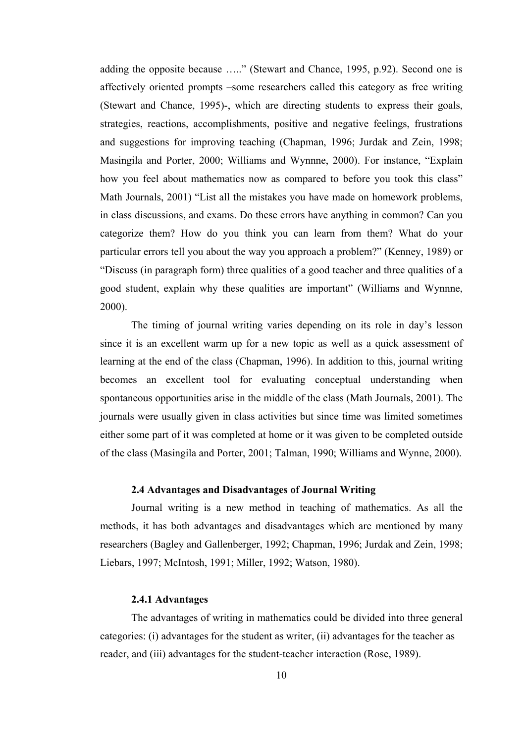adding the opposite because ….." (Stewart and Chance, 1995, p.92). Second one is affectively oriented prompts –some researchers called this category as free writing (Stewart and Chance, 1995)-, which are directing students to express their goals, strategies, reactions, accomplishments, positive and negative feelings, frustrations and suggestions for improving teaching (Chapman, 1996; Jurdak and Zein, 1998; Masingila and Porter, 2000; Williams and Wynnne, 2000). For instance, "Explain how you feel about mathematics now as compared to before you took this class" Math Journals, 2001) "List all the mistakes you have made on homework problems, in class discussions, and exams. Do these errors have anything in common? Can you categorize them? How do you think you can learn from them? What do your particular errors tell you about the way you approach a problem?" (Kenney, 1989) or "Discuss (in paragraph form) three qualities of a good teacher and three qualities of a good student, explain why these qualities are important" (Williams and Wynnne, 2000).

 The timing of journal writing varies depending on its role in day's lesson since it is an excellent warm up for a new topic as well as a quick assessment of learning at the end of the class (Chapman, 1996). In addition to this, journal writing becomes an excellent tool for evaluating conceptual understanding when spontaneous opportunities arise in the middle of the class (Math Journals, 2001). The journals were usually given in class activities but since time was limited sometimes either some part of it was completed at home or it was given to be completed outside of the class (Masingila and Porter, 2001; Talman, 1990; Williams and Wynne, 2000).

### **2.4 Advantages and Disadvantages of Journal Writing**

Journal writing is a new method in teaching of mathematics. As all the methods, it has both advantages and disadvantages which are mentioned by many researchers (Bagley and Gallenberger, 1992; Chapman, 1996; Jurdak and Zein, 1998; Liebars, 1997; McIntosh, 1991; Miller, 1992; Watson, 1980).

#### **2.4.1 Advantages**

The advantages of writing in mathematics could be divided into three general categories: (i) advantages for the student as writer, (ii) advantages for the teacher as reader, and (iii) advantages for the student-teacher interaction (Rose, 1989).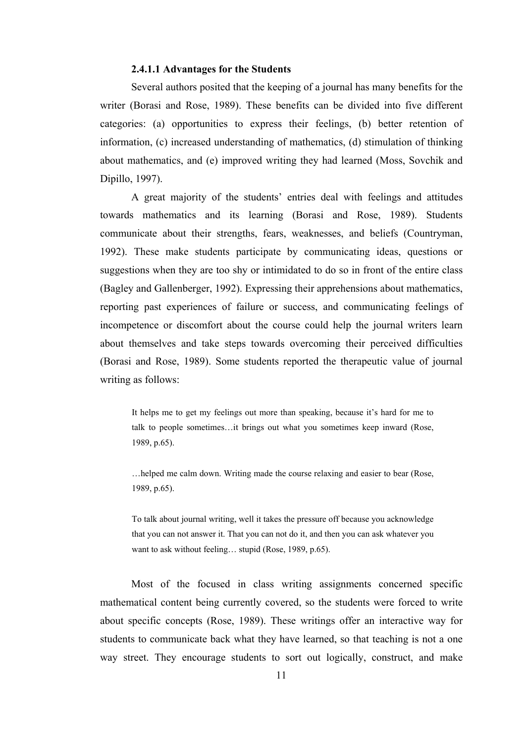#### **2.4.1.1 Advantages for the Students**

 Several authors posited that the keeping of a journal has many benefits for the writer (Borasi and Rose, 1989). These benefits can be divided into five different categories: (a) opportunities to express their feelings, (b) better retention of information, (c) increased understanding of mathematics, (d) stimulation of thinking about mathematics, and (e) improved writing they had learned (Moss, Sovchik and Dipillo, 1997).

 A great majority of the students' entries deal with feelings and attitudes towards mathematics and its learning (Borasi and Rose, 1989). Students communicate about their strengths, fears, weaknesses, and beliefs (Countryman, 1992). These make students participate by communicating ideas, questions or suggestions when they are too shy or intimidated to do so in front of the entire class (Bagley and Gallenberger, 1992). Expressing their apprehensions about mathematics, reporting past experiences of failure or success, and communicating feelings of incompetence or discomfort about the course could help the journal writers learn about themselves and take steps towards overcoming their perceived difficulties (Borasi and Rose, 1989). Some students reported the therapeutic value of journal writing as follows:

It helps me to get my feelings out more than speaking, because it's hard for me to talk to people sometimes…it brings out what you sometimes keep inward (Rose, 1989, p.65).

…helped me calm down. Writing made the course relaxing and easier to bear (Rose, 1989, p.65).

To talk about journal writing, well it takes the pressure off because you acknowledge that you can not answer it. That you can not do it, and then you can ask whatever you want to ask without feeling… stupid (Rose, 1989, p.65).

 Most of the focused in class writing assignments concerned specific mathematical content being currently covered, so the students were forced to write about specific concepts (Rose, 1989). These writings offer an interactive way for students to communicate back what they have learned, so that teaching is not a one way street. They encourage students to sort out logically, construct, and make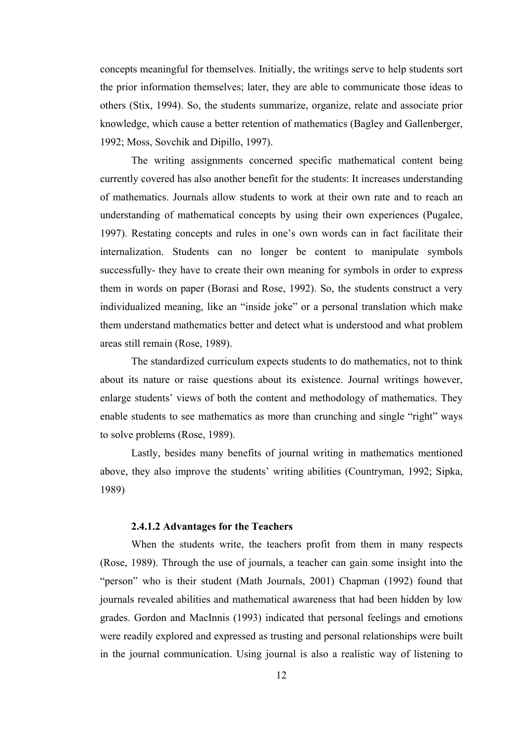concepts meaningful for themselves. Initially, the writings serve to help students sort the prior information themselves; later, they are able to communicate those ideas to others (Stix, 1994). So, the students summarize, organize, relate and associate prior knowledge, which cause a better retention of mathematics (Bagley and Gallenberger, 1992; Moss, Sovchik and Dipillo, 1997).

 The writing assignments concerned specific mathematical content being currently covered has also another benefit for the students: It increases understanding of mathematics. Journals allow students to work at their own rate and to reach an understanding of mathematical concepts by using their own experiences (Pugalee, 1997). Restating concepts and rules in one's own words can in fact facilitate their internalization. Students can no longer be content to manipulate symbols successfully- they have to create their own meaning for symbols in order to express them in words on paper (Borasi and Rose, 1992). So, the students construct a very individualized meaning, like an "inside joke" or a personal translation which make them understand mathematics better and detect what is understood and what problem areas still remain (Rose, 1989).

 The standardized curriculum expects students to do mathematics, not to think about its nature or raise questions about its existence. Journal writings however, enlarge students' views of both the content and methodology of mathematics. They enable students to see mathematics as more than crunching and single "right" ways to solve problems (Rose, 1989).

 Lastly, besides many benefits of journal writing in mathematics mentioned above, they also improve the students' writing abilities (Countryman, 1992; Sipka, 1989)

### **2.4.1.2 Advantages for the Teachers**

 When the students write, the teachers profit from them in many respects (Rose, 1989). Through the use of journals, a teacher can gain some insight into the "person" who is their student (Math Journals, 2001) Chapman (1992) found that journals revealed abilities and mathematical awareness that had been hidden by low grades. Gordon and MacInnis (1993) indicated that personal feelings and emotions were readily explored and expressed as trusting and personal relationships were built in the journal communication. Using journal is also a realistic way of listening to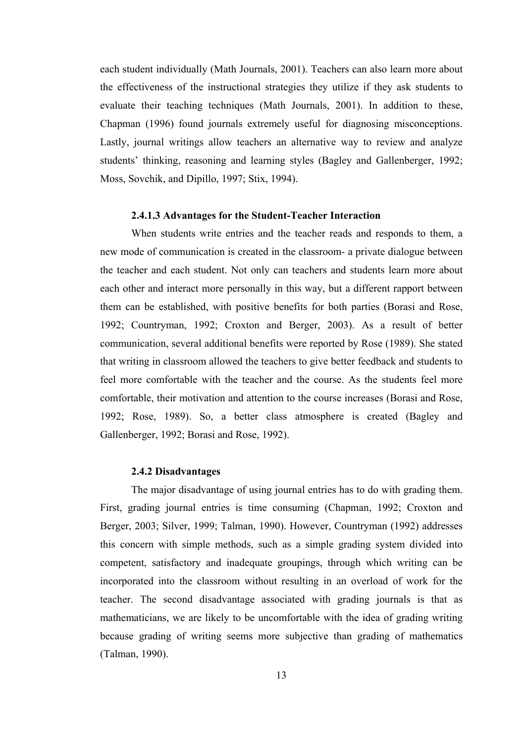each student individually (Math Journals, 2001). Teachers can also learn more about the effectiveness of the instructional strategies they utilize if they ask students to evaluate their teaching techniques (Math Journals, 2001). In addition to these, Chapman (1996) found journals extremely useful for diagnosing misconceptions. Lastly, journal writings allow teachers an alternative way to review and analyze students' thinking, reasoning and learning styles (Bagley and Gallenberger, 1992; Moss, Sovchik, and Dipillo, 1997; Stix, 1994).

#### **2.4.1.3 Advantages for the Student-Teacher Interaction**

When students write entries and the teacher reads and responds to them, a new mode of communication is created in the classroom- a private dialogue between the teacher and each student. Not only can teachers and students learn more about each other and interact more personally in this way, but a different rapport between them can be established, with positive benefits for both parties (Borasi and Rose, 1992; Countryman, 1992; Croxton and Berger, 2003). As a result of better communication, several additional benefits were reported by Rose (1989). She stated that writing in classroom allowed the teachers to give better feedback and students to feel more comfortable with the teacher and the course. As the students feel more comfortable, their motivation and attention to the course increases (Borasi and Rose, 1992; Rose, 1989). So, a better class atmosphere is created (Bagley and Gallenberger, 1992; Borasi and Rose, 1992).

#### **2.4.2 Disadvantages**

The major disadvantage of using journal entries has to do with grading them. First, grading journal entries is time consuming (Chapman, 1992; Croxton and Berger, 2003; Silver, 1999; Talman, 1990). However, Countryman (1992) addresses this concern with simple methods, such as a simple grading system divided into competent, satisfactory and inadequate groupings, through which writing can be incorporated into the classroom without resulting in an overload of work for the teacher. The second disadvantage associated with grading journals is that as mathematicians, we are likely to be uncomfortable with the idea of grading writing because grading of writing seems more subjective than grading of mathematics (Talman, 1990).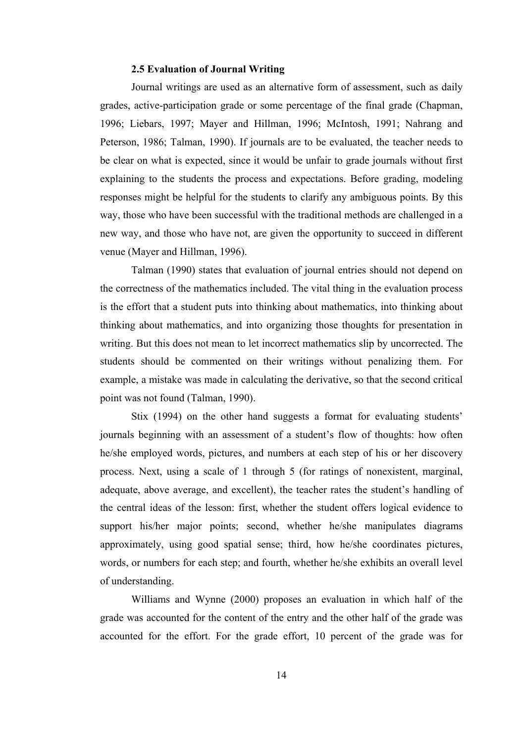#### **2.5 Evaluation of Journal Writing**

Journal writings are used as an alternative form of assessment, such as daily grades, active-participation grade or some percentage of the final grade (Chapman, 1996; Liebars, 1997; Mayer and Hillman, 1996; McIntosh, 1991; Nahrang and Peterson, 1986; Talman, 1990). If journals are to be evaluated, the teacher needs to be clear on what is expected, since it would be unfair to grade journals without first explaining to the students the process and expectations. Before grading, modeling responses might be helpful for the students to clarify any ambiguous points. By this way, those who have been successful with the traditional methods are challenged in a new way, and those who have not, are given the opportunity to succeed in different venue (Mayer and Hillman, 1996).

 Talman (1990) states that evaluation of journal entries should not depend on the correctness of the mathematics included. The vital thing in the evaluation process is the effort that a student puts into thinking about mathematics, into thinking about thinking about mathematics, and into organizing those thoughts for presentation in writing. But this does not mean to let incorrect mathematics slip by uncorrected. The students should be commented on their writings without penalizing them. For example, a mistake was made in calculating the derivative, so that the second critical point was not found (Talman, 1990).

 Stix (1994) on the other hand suggests a format for evaluating students' journals beginning with an assessment of a student's flow of thoughts: how often he/she employed words, pictures, and numbers at each step of his or her discovery process. Next, using a scale of 1 through 5 (for ratings of nonexistent, marginal, adequate, above average, and excellent), the teacher rates the student's handling of the central ideas of the lesson: first, whether the student offers logical evidence to support his/her major points; second, whether he/she manipulates diagrams approximately, using good spatial sense; third, how he/she coordinates pictures, words, or numbers for each step; and fourth, whether he/she exhibits an overall level of understanding.

 Williams and Wynne (2000) proposes an evaluation in which half of the grade was accounted for the content of the entry and the other half of the grade was accounted for the effort. For the grade effort, 10 percent of the grade was for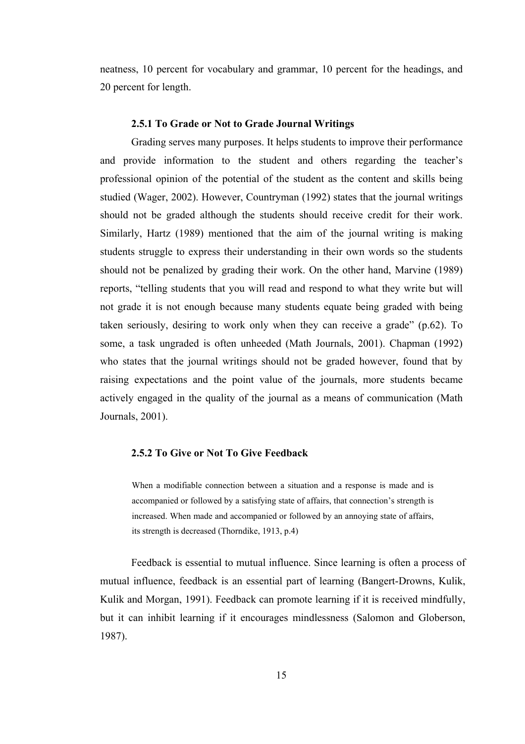neatness, 10 percent for vocabulary and grammar, 10 percent for the headings, and 20 percent for length.

#### **2.5.1 To Grade or Not to Grade Journal Writings**

 Grading serves many purposes. It helps students to improve their performance and provide information to the student and others regarding the teacher's professional opinion of the potential of the student as the content and skills being studied (Wager, 2002). However, Countryman (1992) states that the journal writings should not be graded although the students should receive credit for their work. Similarly, Hartz (1989) mentioned that the aim of the journal writing is making students struggle to express their understanding in their own words so the students should not be penalized by grading their work. On the other hand, Marvine (1989) reports, "telling students that you will read and respond to what they write but will not grade it is not enough because many students equate being graded with being taken seriously, desiring to work only when they can receive a grade" (p.62). To some, a task ungraded is often unheeded (Math Journals, 2001). Chapman (1992) who states that the journal writings should not be graded however, found that by raising expectations and the point value of the journals, more students became actively engaged in the quality of the journal as a means of communication (Math Journals, 2001).

#### **2.5.2 To Give or Not To Give Feedback**

When a modifiable connection between a situation and a response is made and is accompanied or followed by a satisfying state of affairs, that connection's strength is increased. When made and accompanied or followed by an annoying state of affairs, its strength is decreased (Thorndike, 1913, p.4)

 Feedback is essential to mutual influence. Since learning is often a process of mutual influence, feedback is an essential part of learning (Bangert-Drowns, Kulik, Kulik and Morgan, 1991). Feedback can promote learning if it is received mindfully, but it can inhibit learning if it encourages mindlessness (Salomon and Globerson, 1987).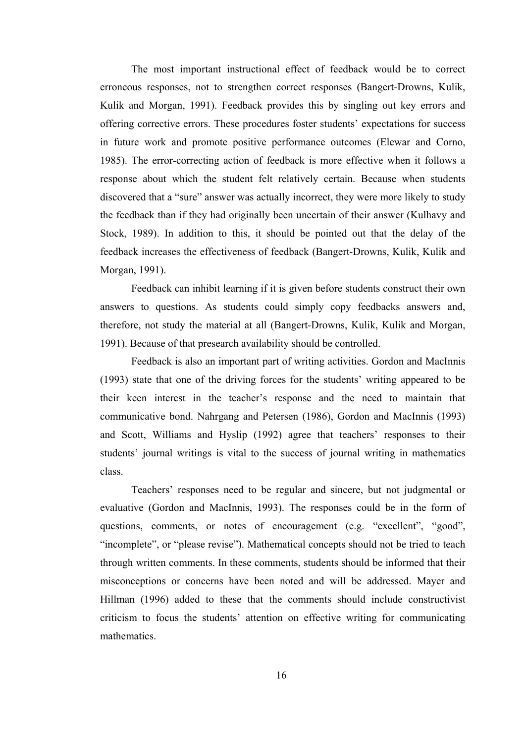The most important instructional effect of feedback would be to correct erroneous responses, not to strengthen correct responses (Bangert-Drowns, Kulik, Kulik and Morgan, 1991). Feedback provides this by singling out key errors and offering corrective errors. These procedures foster students' expectations for success in future work and promote positive performance outcomes (Elewar and Corno, 1985). The error-correcting action of feedback is more effective when it follows a response about which the student felt relatively certain. Because when students discovered that a "sure" answer was actually incorrect, they were more likely to study the feedback than if they had originally been uncertain of their answer (Kulhavy and Stock, 1989). In addition to this, it should be pointed out that the delay of the feedback increases the effectiveness of feedback (Bangert-Drowns, Kulik, Kulik and Morgan, 1991).

 Feedback can inhibit learning if it is given before students construct their own answers to questions. As students could simply copy feedbacks answers and, therefore, not study the material at all (Bangert-Drowns, Kulik, Kulik and Morgan, 1991). Because of that presearch availability should be controlled.

 Feedback is also an important part of writing activities. Gordon and MacInnis (1993) state that one of the driving forces for the students' writing appeared to be their keen interest in the teacher's response and the need to maintain that communicative bond. Nahrgang and Petersen (1986), Gordon and MacInnis (1993) and Scott, Williams and Hyslip (1992) agree that teachers' responses to their students' journal writings is vital to the success of journal writing in mathematics class.

Teachers' responses need to be regular and sincere, but not judgmental or evaluative (Gordon and MacInnis, 1993). The responses could be in the form of questions, comments, or notes of encouragement (e.g. "excellent", "good", "incomplete", or "please revise"). Mathematical concepts should not be tried to teach through written comments. In these comments, students should be informed that their misconceptions or concerns have been noted and will be addressed. Mayer and Hillman (1996) added to these that the comments should include constructivist criticism to focus the students' attention on effective writing for communicating mathematics.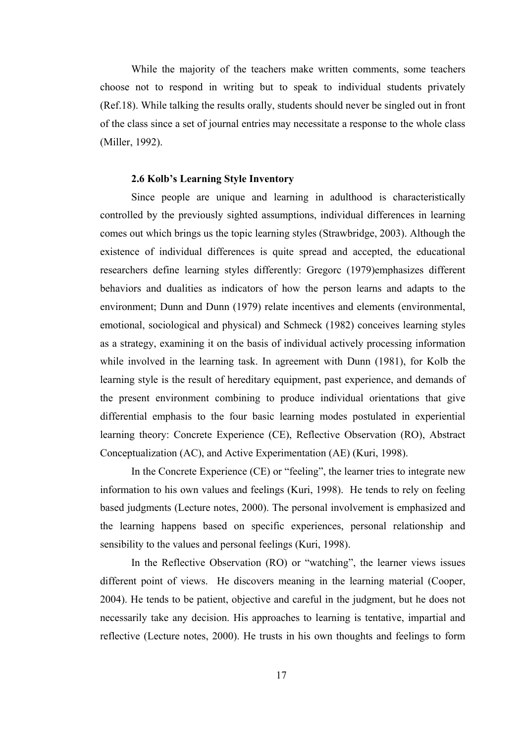While the majority of the teachers make written comments, some teachers choose not to respond in writing but to speak to individual students privately (Ref.18). While talking the results orally, students should never be singled out in front of the class since a set of journal entries may necessitate a response to the whole class (Miller, 1992).

#### **2.6 Kolb's Learning Style Inventory**

Since people are unique and learning in adulthood is characteristically controlled by the previously sighted assumptions, individual differences in learning comes out which brings us the topic learning styles (Strawbridge, 2003). Although the existence of individual differences is quite spread and accepted, the educational researchers define learning styles differently: Gregorc (1979)emphasizes different behaviors and dualities as indicators of how the person learns and adapts to the environment; Dunn and Dunn (1979) relate incentives and elements (environmental, emotional, sociological and physical) and Schmeck (1982) conceives learning styles as a strategy, examining it on the basis of individual actively processing information while involved in the learning task. In agreement with Dunn (1981), for Kolb the learning style is the result of hereditary equipment, past experience, and demands of the present environment combining to produce individual orientations that give differential emphasis to the four basic learning modes postulated in experiential learning theory: Concrete Experience (CE), Reflective Observation (RO), Abstract Conceptualization (AC), and Active Experimentation (AE) (Kuri, 1998).

In the Concrete Experience (CE) or "feeling", the learner tries to integrate new information to his own values and feelings (Kuri, 1998). He tends to rely on feeling based judgments (Lecture notes, 2000). The personal involvement is emphasized and the learning happens based on specific experiences, personal relationship and sensibility to the values and personal feelings (Kuri, 1998).

In the Reflective Observation (RO) or "watching", the learner views issues different point of views. He discovers meaning in the learning material (Cooper, 2004). He tends to be patient, objective and careful in the judgment, but he does not necessarily take any decision. His approaches to learning is tentative, impartial and reflective (Lecture notes, 2000). He trusts in his own thoughts and feelings to form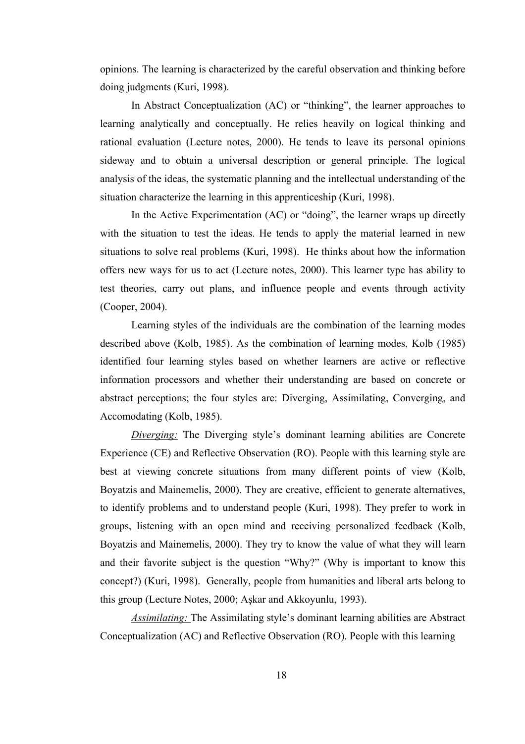opinions. The learning is characterized by the careful observation and thinking before doing judgments (Kuri, 1998).

In Abstract Conceptualization (AC) or "thinking", the learner approaches to learning analytically and conceptually. He relies heavily on logical thinking and rational evaluation (Lecture notes, 2000). He tends to leave its personal opinions sideway and to obtain a universal description or general principle. The logical analysis of the ideas, the systematic planning and the intellectual understanding of the situation characterize the learning in this apprenticeship (Kuri, 1998).

In the Active Experimentation (AC) or "doing", the learner wraps up directly with the situation to test the ideas. He tends to apply the material learned in new situations to solve real problems (Kuri, 1998). He thinks about how the information offers new ways for us to act (Lecture notes, 2000). This learner type has ability to test theories, carry out plans, and influence people and events through activity (Cooper, 2004).

Learning styles of the individuals are the combination of the learning modes described above (Kolb, 1985). As the combination of learning modes, Kolb (1985) identified four learning styles based on whether learners are active or reflective information processors and whether their understanding are based on concrete or abstract perceptions; the four styles are: Diverging, Assimilating, Converging, and Accomodating (Kolb, 1985).

*Diverging:* The Diverging style's dominant learning abilities are Concrete Experience (CE) and Reflective Observation (RO). People with this learning style are best at viewing concrete situations from many different points of view (Kolb, Boyatzis and Mainemelis, 2000). They are creative, efficient to generate alternatives, to identify problems and to understand people (Kuri, 1998). They prefer to work in groups, listening with an open mind and receiving personalized feedback (Kolb, Boyatzis and Mainemelis, 2000). They try to know the value of what they will learn and their favorite subject is the question "Why?" (Why is important to know this concept?) (Kuri, 1998). Generally, people from humanities and liberal arts belong to this group (Lecture Notes, 2000; Aşkar and Akkoyunlu, 1993).

*Assimilating:* The Assimilating style's dominant learning abilities are Abstract Conceptualization (AC) and Reflective Observation (RO). People with this learning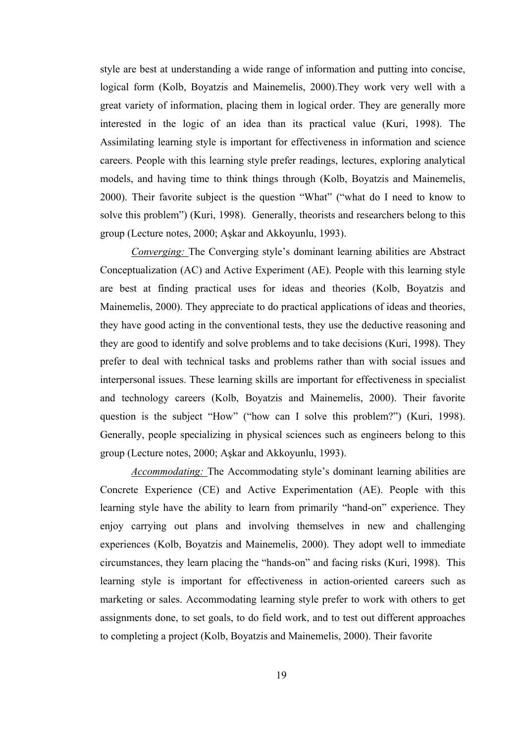style are best at understanding a wide range of information and putting into concise, logical form (Kolb, Boyatzis and Mainemelis, 2000).They work very well with a great variety of information, placing them in logical order. They are generally more interested in the logic of an idea than its practical value (Kuri, 1998). The Assimilating learning style is important for effectiveness in information and science careers. People with this learning style prefer readings, lectures, exploring analytical models, and having time to think things through (Kolb, Boyatzis and Mainemelis, 2000). Their favorite subject is the question "What" ("what do I need to know to solve this problem") (Kuri, 1998). Generally, theorists and researchers belong to this group (Lecture notes, 2000; Aşkar and Akkoyunlu, 1993).

*Converging:* The Converging style's dominant learning abilities are Abstract Conceptualization (AC) and Active Experiment (AE). People with this learning style are best at finding practical uses for ideas and theories (Kolb, Boyatzis and Mainemelis, 2000). They appreciate to do practical applications of ideas and theories, they have good acting in the conventional tests, they use the deductive reasoning and they are good to identify and solve problems and to take decisions (Kuri, 1998). They prefer to deal with technical tasks and problems rather than with social issues and interpersonal issues. These learning skills are important for effectiveness in specialist and technology careers (Kolb, Boyatzis and Mainemelis, 2000). Their favorite question is the subject "How" ("how can I solve this problem?") (Kuri, 1998). Generally, people specializing in physical sciences such as engineers belong to this group (Lecture notes, 2000; Aşkar and Akkoyunlu, 1993).

*Accommodating:* The Accommodating style's dominant learning abilities are Concrete Experience (CE) and Active Experimentation (AE). People with this learning style have the ability to learn from primarily "hand-on" experience. They enjoy carrying out plans and involving themselves in new and challenging experiences (Kolb, Boyatzis and Mainemelis, 2000). They adopt well to immediate circumstances, they learn placing the "hands-on" and facing risks (Kuri, 1998). This learning style is important for effectiveness in action-oriented careers such as marketing or sales. Accommodating learning style prefer to work with others to get assignments done, to set goals, to do field work, and to test out different approaches to completing a project (Kolb, Boyatzis and Mainemelis, 2000). Their favorite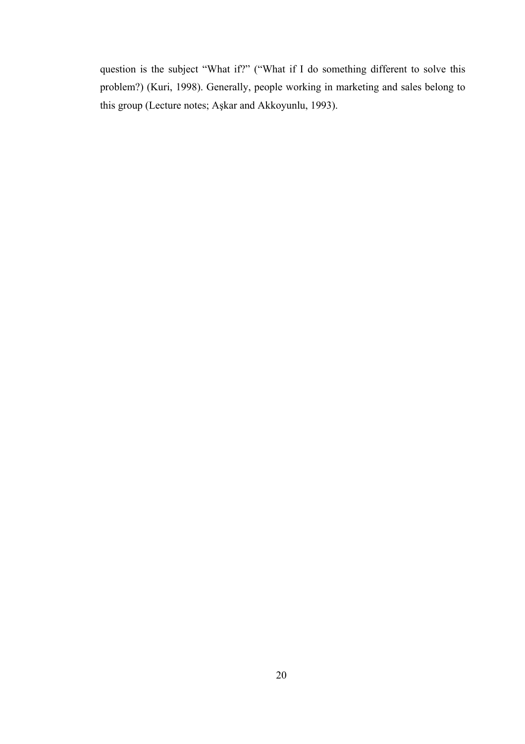question is the subject "What if?" ("What if I do something different to solve this problem?) (Kuri, 1998). Generally, people working in marketing and sales belong to this group (Lecture notes; Aşkar and Akkoyunlu, 1993).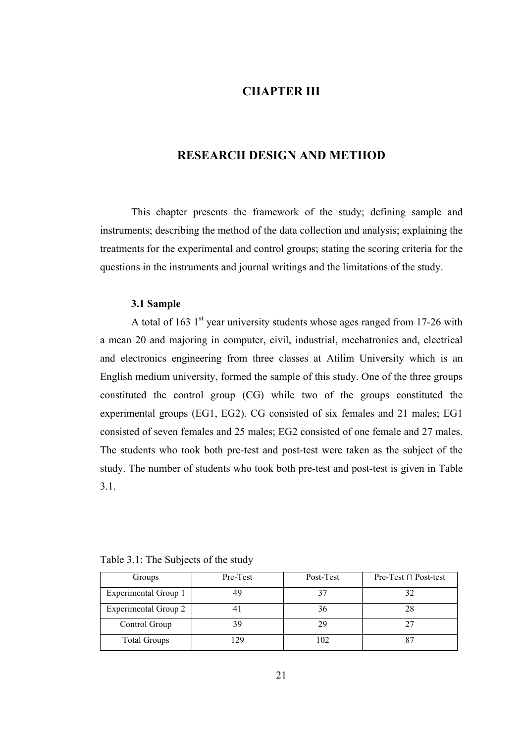## **CHAPTER III**

### **RESEARCH DESIGN AND METHOD**

 This chapter presents the framework of the study; defining sample and instruments; describing the method of the data collection and analysis; explaining the treatments for the experimental and control groups; stating the scoring criteria for the questions in the instruments and journal writings and the limitations of the study.

#### **3.1 Sample**

A total of 163  $1<sup>st</sup>$  year university students whose ages ranged from 17-26 with a mean 20 and majoring in computer, civil, industrial, mechatronics and, electrical and electronics engineering from three classes at Atilim University which is an English medium university, formed the sample of this study. One of the three groups constituted the control group (CG) while two of the groups constituted the experimental groups (EG1, EG2). CG consisted of six females and 21 males; EG1 consisted of seven females and 25 males; EG2 consisted of one female and 27 males. The students who took both pre-test and post-test were taken as the subject of the study. The number of students who took both pre-test and post-test is given in Table 3.1.

| Table 3.1: The Subjects of the study |  |  |
|--------------------------------------|--|--|
|                                      |  |  |

| Groups               | Pre-Test | Post-Test | Pre-Test $\cap$ Post-test |
|----------------------|----------|-----------|---------------------------|
| Experimental Group 1 | 4ς       |           |                           |
| Experimental Group 2 |          | 36        |                           |
| Control Group        | ζç       | 29        |                           |
| <b>Total Groups</b>  | l 29     | 102       |                           |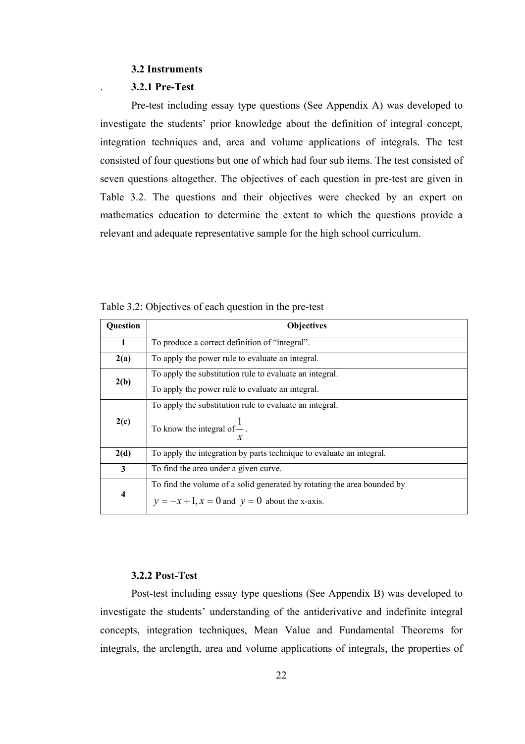#### **3.2 Instruments**

#### . **3.2.1 Pre-Test**

Pre-test including essay type questions (See Appendix A) was developed to investigate the students' prior knowledge about the definition of integral concept, integration techniques and, area and volume applications of integrals. The test consisted of four questions but one of which had four sub items. The test consisted of seven questions altogether. The objectives of each question in pre-test are given in Table 3.2. The questions and their objectives were checked by an expert on mathematics education to determine the extent to which the questions provide a relevant and adequate representative sample for the high school curriculum.

| Question | <b>Objectives</b>                                                       |
|----------|-------------------------------------------------------------------------|
| 1        | To produce a correct definition of "integral".                          |
| 2(a)     | To apply the power rule to evaluate an integral.                        |
| 2(b)     | To apply the substitution rule to evaluate an integral.                 |
|          | To apply the power rule to evaluate an integral.                        |
|          | To apply the substitution rule to evaluate an integral.                 |
| 2(c)     | To know the integral of $\frac{1}{x}$ .<br>$\boldsymbol{\chi}$          |
| 2(d)     | To apply the integration by parts technique to evaluate an integral.    |
| 3        | To find the area under a given curve.                                   |
|          | To find the volume of a solid generated by rotating the area bounded by |
| 4        | $y = -x + 1$ , $x = 0$ and $y = 0$ about the x-axis.                    |

Table 3.2: Objectives of each question in the pre-test

### **3.2.2 Post-Test**

Post-test including essay type questions (See Appendix B) was developed to investigate the students' understanding of the antiderivative and indefinite integral concepts, integration techniques, Mean Value and Fundamental Theorems for integrals, the arclength, area and volume applications of integrals, the properties of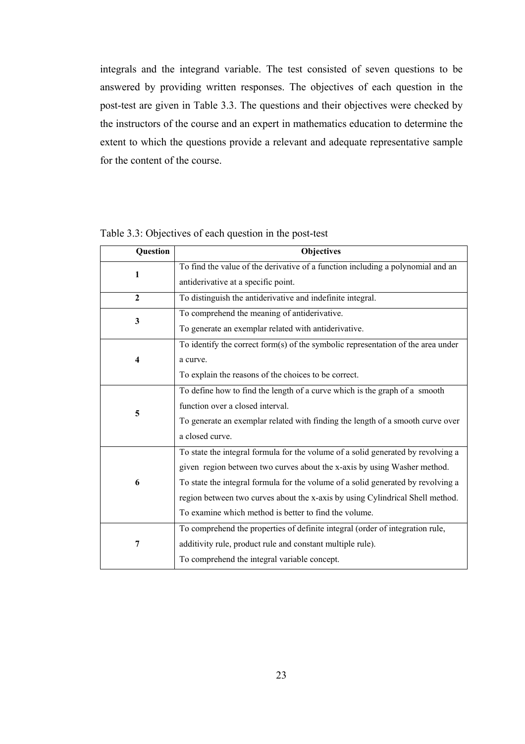integrals and the integrand variable. The test consisted of seven questions to be answered by providing written responses. The objectives of each question in the post-test are given in Table 3.3. The questions and their objectives were checked by the instructors of the course and an expert in mathematics education to determine the extent to which the questions provide a relevant and adequate representative sample for the content of the course.

| Question     | Objectives                                                                       |
|--------------|----------------------------------------------------------------------------------|
| 1            | To find the value of the derivative of a function including a polynomial and an  |
|              | antiderivative at a specific point.                                              |
| $\mathbf{2}$ | To distinguish the antiderivative and indefinite integral.                       |
| $\mathbf{3}$ | To comprehend the meaning of antiderivative.                                     |
|              | To generate an exemplar related with antiderivative.                             |
|              | To identify the correct form(s) of the symbolic representation of the area under |
| 4            | a curve.                                                                         |
|              | To explain the reasons of the choices to be correct.                             |
|              | To define how to find the length of a curve which is the graph of a smooth       |
| 5            | function over a closed interval.                                                 |
|              | To generate an exemplar related with finding the length of a smooth curve over   |
|              | a closed curve.                                                                  |
|              | To state the integral formula for the volume of a solid generated by revolving a |
|              | given region between two curves about the x-axis by using Washer method.         |
| 6            | To state the integral formula for the volume of a solid generated by revolving a |
|              | region between two curves about the x-axis by using Cylindrical Shell method.    |
|              | To examine which method is better to find the volume.                            |
|              | To comprehend the properties of definite integral (order of integration rule,    |
| 7            | additivity rule, product rule and constant multiple rule).                       |
|              | To comprehend the integral variable concept.                                     |

Table 3.3: Objectives of each question in the post-test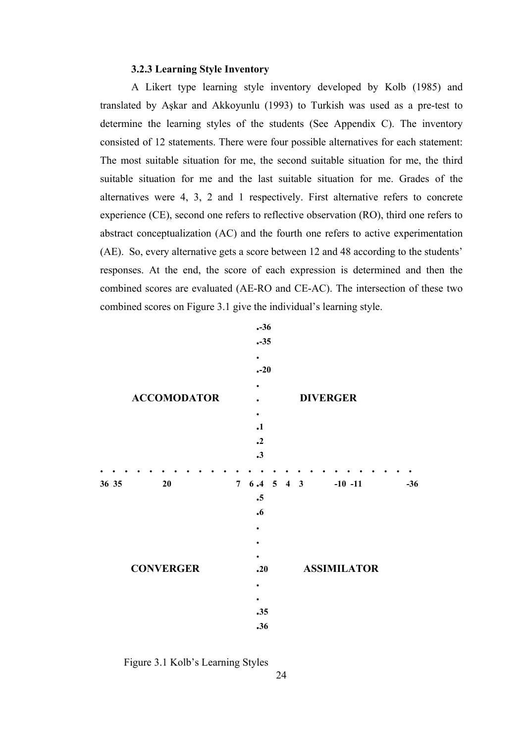#### **3.2.3 Learning Style Inventory**

A Likert type learning style inventory developed by Kolb (1985) and translated by Aşkar and Akkoyunlu (1993) to Turkish was used as a pre-test to determine the learning styles of the students (See Appendix C). The inventory consisted of 12 statements. There were four possible alternatives for each statement: The most suitable situation for me, the second suitable situation for me, the third suitable situation for me and the last suitable situation for me. Grades of the alternatives were 4, 3, 2 and 1 respectively. First alternative refers to concrete experience (CE), second one refers to reflective observation (RO), third one refers to abstract conceptualization (AC) and the fourth one refers to active experimentation (AE). So, every alternative gets a score between 12 and 48 according to the students' responses. At the end, the score of each expression is determined and then the combined scores are evaluated (AE-RO and CE-AC). The intersection of these two combined scores on Figure 3.1 give the individual's learning style.



Figure 3.1 Kolb's Learning Styles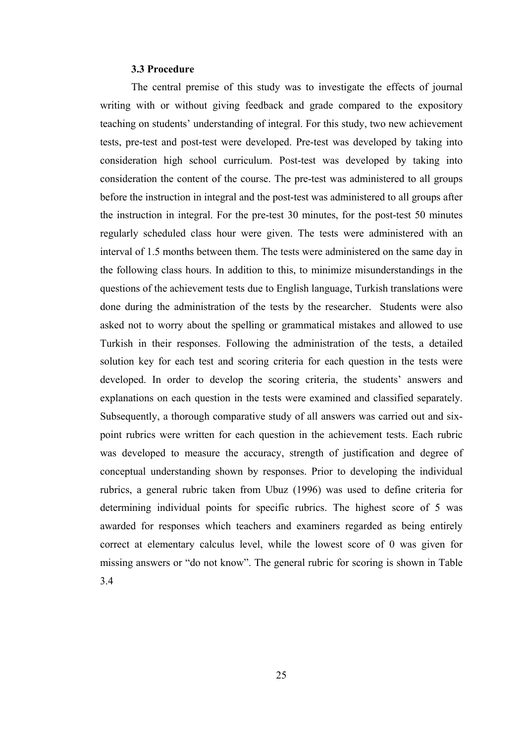#### **3.3 Procedure**

The central premise of this study was to investigate the effects of journal writing with or without giving feedback and grade compared to the expository teaching on students' understanding of integral. For this study, two new achievement tests, pre-test and post-test were developed. Pre-test was developed by taking into consideration high school curriculum. Post-test was developed by taking into consideration the content of the course. The pre-test was administered to all groups before the instruction in integral and the post-test was administered to all groups after the instruction in integral. For the pre-test 30 minutes, for the post-test 50 minutes regularly scheduled class hour were given. The tests were administered with an interval of 1.5 months between them. The tests were administered on the same day in the following class hours. In addition to this, to minimize misunderstandings in the questions of the achievement tests due to English language, Turkish translations were done during the administration of the tests by the researcher. Students were also asked not to worry about the spelling or grammatical mistakes and allowed to use Turkish in their responses. Following the administration of the tests, a detailed solution key for each test and scoring criteria for each question in the tests were developed. In order to develop the scoring criteria, the students' answers and explanations on each question in the tests were examined and classified separately. Subsequently, a thorough comparative study of all answers was carried out and sixpoint rubrics were written for each question in the achievement tests. Each rubric was developed to measure the accuracy, strength of justification and degree of conceptual understanding shown by responses. Prior to developing the individual rubrics, a general rubric taken from Ubuz (1996) was used to define criteria for determining individual points for specific rubrics. The highest score of 5 was awarded for responses which teachers and examiners regarded as being entirely correct at elementary calculus level, while the lowest score of 0 was given for missing answers or "do not know". The general rubric for scoring is shown in Table 3.4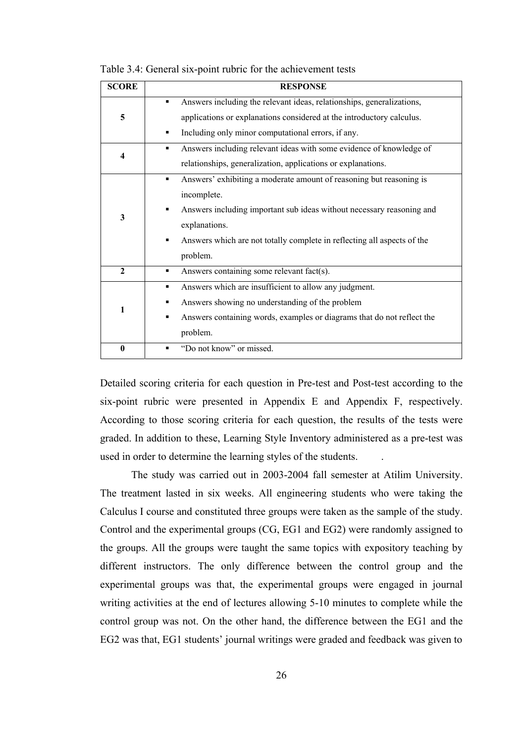| <b>SCORE</b> | <b>RESPONSE</b>                                                                                                                                                                                                                                                          |
|--------------|--------------------------------------------------------------------------------------------------------------------------------------------------------------------------------------------------------------------------------------------------------------------------|
| 5            | Answers including the relevant ideas, relationships, generalizations,<br>applications or explanations considered at the introductory calculus.<br>Including only minor computational errors, if any.<br>п                                                                |
| 4            | Answers including relevant ideas with some evidence of knowledge of<br>п<br>relationships, generalization, applications or explanations.                                                                                                                                 |
| 3            | Answers' exhibiting a moderate amount of reasoning but reasoning is<br>٠<br>incomplete.<br>Answers including important sub ideas without necessary reasoning and<br>explanations.<br>Answers which are not totally complete in reflecting all aspects of the<br>problem. |
| $\mathbf{2}$ | Answers containing some relevant fact(s).<br>٠                                                                                                                                                                                                                           |
| 1            | Answers which are insufficient to allow any judgment.<br>п<br>Answers showing no understanding of the problem<br>Answers containing words, examples or diagrams that do not reflect the<br>problem.                                                                      |
| $\bf{0}$     | "Do not know" or missed.                                                                                                                                                                                                                                                 |

Table 3.4: General six-point rubric for the achievement tests

Detailed scoring criteria for each question in Pre-test and Post-test according to the six-point rubric were presented in Appendix E and Appendix F, respectively. According to those scoring criteria for each question, the results of the tests were graded. In addition to these, Learning Style Inventory administered as a pre-test was used in order to determine the learning styles of the students. .

 The study was carried out in 2003-2004 fall semester at Atilim University. The treatment lasted in six weeks. All engineering students who were taking the Calculus I course and constituted three groups were taken as the sample of the study. Control and the experimental groups (CG, EG1 and EG2) were randomly assigned to the groups. All the groups were taught the same topics with expository teaching by different instructors. The only difference between the control group and the experimental groups was that, the experimental groups were engaged in journal writing activities at the end of lectures allowing 5-10 minutes to complete while the control group was not. On the other hand, the difference between the EG1 and the EG2 was that, EG1 students' journal writings were graded and feedback was given to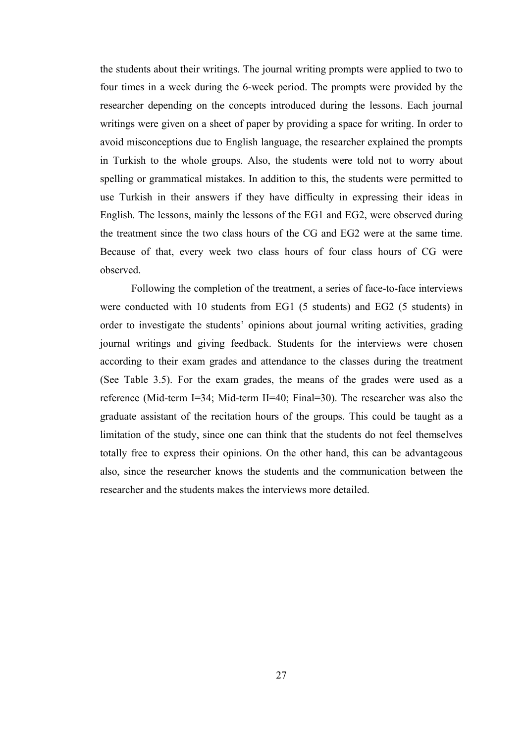the students about their writings. The journal writing prompts were applied to two to four times in a week during the 6-week period. The prompts were provided by the researcher depending on the concepts introduced during the lessons. Each journal writings were given on a sheet of paper by providing a space for writing. In order to avoid misconceptions due to English language, the researcher explained the prompts in Turkish to the whole groups. Also, the students were told not to worry about spelling or grammatical mistakes. In addition to this, the students were permitted to use Turkish in their answers if they have difficulty in expressing their ideas in English. The lessons, mainly the lessons of the EG1 and EG2, were observed during the treatment since the two class hours of the CG and EG2 were at the same time. Because of that, every week two class hours of four class hours of CG were observed.

 Following the completion of the treatment, a series of face-to-face interviews were conducted with 10 students from EG1 (5 students) and EG2 (5 students) in order to investigate the students' opinions about journal writing activities, grading journal writings and giving feedback. Students for the interviews were chosen according to their exam grades and attendance to the classes during the treatment (See Table 3.5). For the exam grades, the means of the grades were used as a reference (Mid-term I=34; Mid-term II=40; Final=30). The researcher was also the graduate assistant of the recitation hours of the groups. This could be taught as a limitation of the study, since one can think that the students do not feel themselves totally free to express their opinions. On the other hand, this can be advantageous also, since the researcher knows the students and the communication between the researcher and the students makes the interviews more detailed.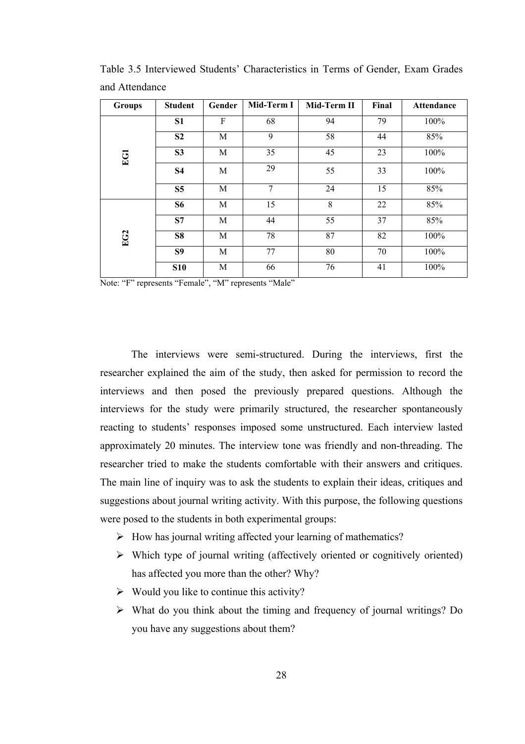| <b>Groups</b> | <b>Student</b> | Gender | Mid-Term I | Mid-Term II | Final | <b>Attendance</b> |
|---------------|----------------|--------|------------|-------------|-------|-------------------|
|               | S1             | F      | 68         | 94          | 79    | 100%              |
|               | S <sub>2</sub> | M      | 9          | 58          | 44    | 85%               |
| EGI           | S <sub>3</sub> | M      | 35         | 45          | 23    | 100%              |
|               | <b>S4</b>      | M      | 29         | 55          | 33    | 100%              |
|               | S <sub>5</sub> | M      | 7          | 24          | 15    | 85%               |
|               | <b>S6</b>      | M      | 15         | 8           | 22    | 85%               |
| EG2           | S7             | M      | 44         | 55          | 37    | 85%               |
|               | S8             | M      | 78         | 87          | 82    | 100%              |
|               | S9             | M      | 77         | 80          | 70    | 100%              |
|               | <b>S10</b>     | M      | 66         | 76          | 41    | 100%              |

Table 3.5 Interviewed Students' Characteristics in Terms of Gender, Exam Grades and Attendance

Note: "F" represents "Female", "M" represents "Male"

 The interviews were semi-structured. During the interviews, first the researcher explained the aim of the study, then asked for permission to record the interviews and then posed the previously prepared questions. Although the interviews for the study were primarily structured, the researcher spontaneously reacting to students' responses imposed some unstructured. Each interview lasted approximately 20 minutes. The interview tone was friendly and non-threading. The researcher tried to make the students comfortable with their answers and critiques. The main line of inquiry was to ask the students to explain their ideas, critiques and suggestions about journal writing activity. With this purpose, the following questions were posed to the students in both experimental groups:

- $\triangleright$  How has journal writing affected your learning of mathematics?
- $\triangleright$  Which type of journal writing (affectively oriented or cognitively oriented) has affected you more than the other? Why?
- $\triangleright$  Would you like to continue this activity?
- $\triangleright$  What do you think about the timing and frequency of journal writings? Do you have any suggestions about them?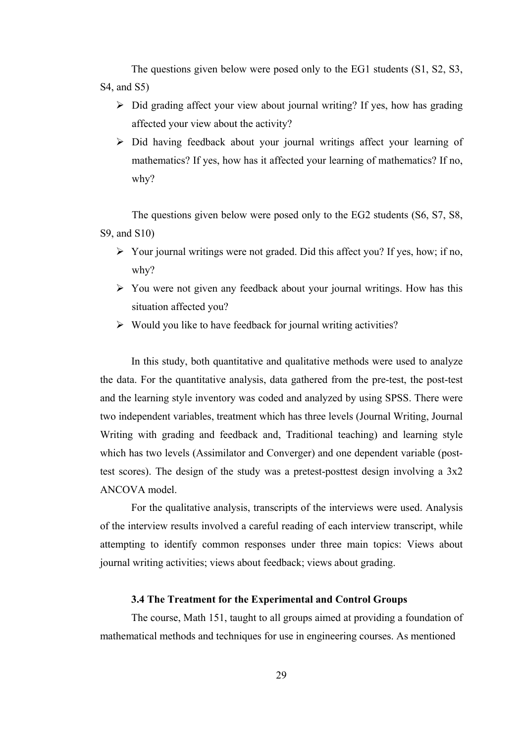The questions given below were posed only to the EG1 students (S1, S2, S3, S4, and S5)

- $\triangleright$  Did grading affect your view about journal writing? If yes, how has grading affected your view about the activity?
- $\triangleright$  Did having feedback about your journal writings affect your learning of mathematics? If yes, how has it affected your learning of mathematics? If no, why?

The questions given below were posed only to the EG2 students (S6, S7, S8, S9, and S10)

- $\triangleright$  Your journal writings were not graded. Did this affect you? If yes, how; if no, why?
- $\triangleright$  You were not given any feedback about your journal writings. How has this situation affected you?
- $\triangleright$  Would you like to have feedback for journal writing activities?

 In this study, both quantitative and qualitative methods were used to analyze the data. For the quantitative analysis, data gathered from the pre-test, the post-test and the learning style inventory was coded and analyzed by using SPSS. There were two independent variables, treatment which has three levels (Journal Writing, Journal Writing with grading and feedback and, Traditional teaching) and learning style which has two levels (Assimilator and Converger) and one dependent variable (posttest scores). The design of the study was a pretest-posttest design involving a 3x2 ANCOVA model.

 For the qualitative analysis, transcripts of the interviews were used. Analysis of the interview results involved a careful reading of each interview transcript, while attempting to identify common responses under three main topics: Views about journal writing activities; views about feedback; views about grading.

## **3.4 The Treatment for the Experimental and Control Groups**

 The course, Math 151, taught to all groups aimed at providing a foundation of mathematical methods and techniques for use in engineering courses. As mentioned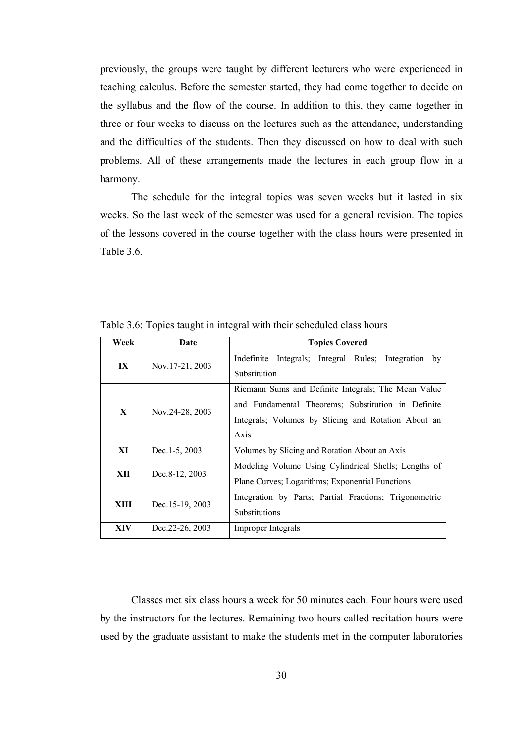previously, the groups were taught by different lecturers who were experienced in teaching calculus. Before the semester started, they had come together to decide on the syllabus and the flow of the course. In addition to this, they came together in three or four weeks to discuss on the lectures such as the attendance, understanding and the difficulties of the students. Then they discussed on how to deal with such problems. All of these arrangements made the lectures in each group flow in a harmony.

 The schedule for the integral topics was seven weeks but it lasted in six weeks. So the last week of the semester was used for a general revision. The topics of the lessons covered in the course together with the class hours were presented in Table 3.6

| Week | Date              | <b>Topics Covered</b>                                                                                                                                                    |
|------|-------------------|--------------------------------------------------------------------------------------------------------------------------------------------------------------------------|
| IX   | Nov. 17-21, 2003  | Integrals; Integral Rules; Integration<br>Indefinite<br>by<br>Substitution                                                                                               |
| X    | Nov.24-28, 2003   | Riemann Sums and Definite Integrals; The Mean Value<br>and Fundamental Theorems: Substitution in Definite<br>Integrals; Volumes by Slicing and Rotation About an<br>Axis |
| XI   | Dec. $1-5$ , 2003 | Volumes by Slicing and Rotation About an Axis                                                                                                                            |
| XII  | Dec.8-12, 2003    | Modeling Volume Using Cylindrical Shells; Lengths of<br>Plane Curves; Logarithms; Exponential Functions                                                                  |
| XIII | Dec. 15-19, 2003  | Integration by Parts; Partial Fractions; Trigonometric<br>Substitutions                                                                                                  |
| XIV  | Dec. 22-26, 2003  | Improper Integrals                                                                                                                                                       |

Table 3.6: Topics taught in integral with their scheduled class hours

 Classes met six class hours a week for 50 minutes each. Four hours were used by the instructors for the lectures. Remaining two hours called recitation hours were used by the graduate assistant to make the students met in the computer laboratories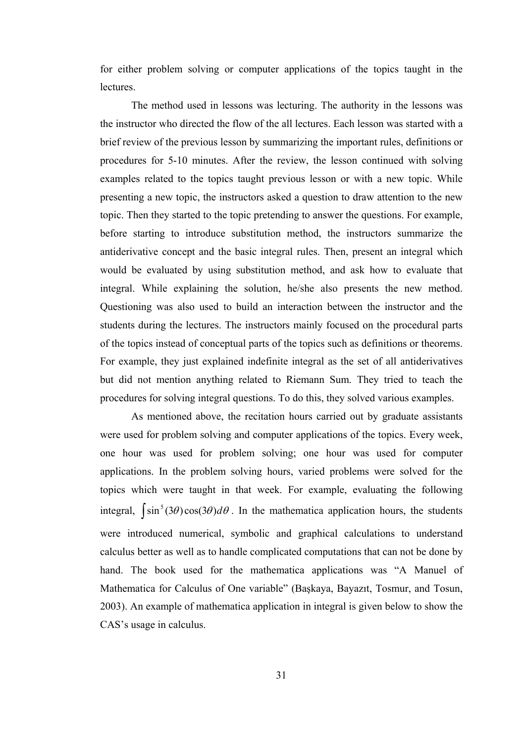for either problem solving or computer applications of the topics taught in the **lectures** 

 The method used in lessons was lecturing. The authority in the lessons was the instructor who directed the flow of the all lectures. Each lesson was started with a brief review of the previous lesson by summarizing the important rules, definitions or procedures for 5-10 minutes. After the review, the lesson continued with solving examples related to the topics taught previous lesson or with a new topic. While presenting a new topic, the instructors asked a question to draw attention to the new topic. Then they started to the topic pretending to answer the questions. For example, before starting to introduce substitution method, the instructors summarize the antiderivative concept and the basic integral rules. Then, present an integral which would be evaluated by using substitution method, and ask how to evaluate that integral. While explaining the solution, he/she also presents the new method. Questioning was also used to build an interaction between the instructor and the students during the lectures. The instructors mainly focused on the procedural parts of the topics instead of conceptual parts of the topics such as definitions or theorems. For example, they just explained indefinite integral as the set of all antiderivatives but did not mention anything related to Riemann Sum. They tried to teach the procedures for solving integral questions. To do this, they solved various examples.

 As mentioned above, the recitation hours carried out by graduate assistants were used for problem solving and computer applications of the topics. Every week, one hour was used for problem solving; one hour was used for computer applications. In the problem solving hours, varied problems were solved for the topics which were taught in that week. For example, evaluating the following integral,  $\int \sin^5(3\theta) \cos(3\theta) d\theta$ . In the mathematica application hours, the students were introduced numerical, symbolic and graphical calculations to understand calculus better as well as to handle complicated computations that can not be done by hand. The book used for the mathematica applications was "A Manuel of Mathematica for Calculus of One variable" (Başkaya, Bayazıt, Tosmur, and Tosun, 2003). An example of mathematica application in integral is given below to show the CAS's usage in calculus.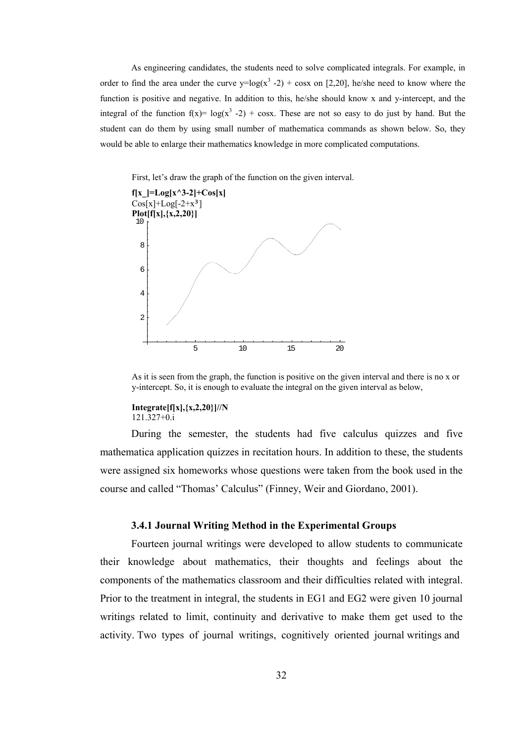As engineering candidates, the students need to solve complicated integrals. For example, in order to find the area under the curve  $y = log(x^3 - 2) + cosx$  on [2,20], he/she need to know where the function is positive and negative. In addition to this, he/she should know x and y-intercept, and the integral of the function  $f(x) = log(x^3 - 2) + cosx$ . These are not so easy to do just by hand. But the student can do them by using small number of mathematica commands as shown below. So, they would be able to enlarge their mathematics knowledge in more complicated computations.

First, let's draw the graph of the function on the given interval.



As it is seen from the graph, the function is positive on the given interval and there is no x or y-intercept. So, it is enough to evaluate the integral on the given interval as below,

#### **Integrate[f[x],{x,2,20}]//N**  121.327+0.i

During the semester, the students had five calculus quizzes and five mathematica application quizzes in recitation hours. In addition to these, the students were assigned six homeworks whose questions were taken from the book used in the course and called "Thomas' Calculus" (Finney, Weir and Giordano, 2001).

### **3.4.1 Journal Writing Method in the Experimental Groups**

Fourteen journal writings were developed to allow students to communicate their knowledge about mathematics, their thoughts and feelings about the components of the mathematics classroom and their difficulties related with integral. Prior to the treatment in integral, the students in EG1 and EG2 were given 10 journal writings related to limit, continuity and derivative to make them get used to the activity. Two types of journal writings, cognitively oriented journal writings and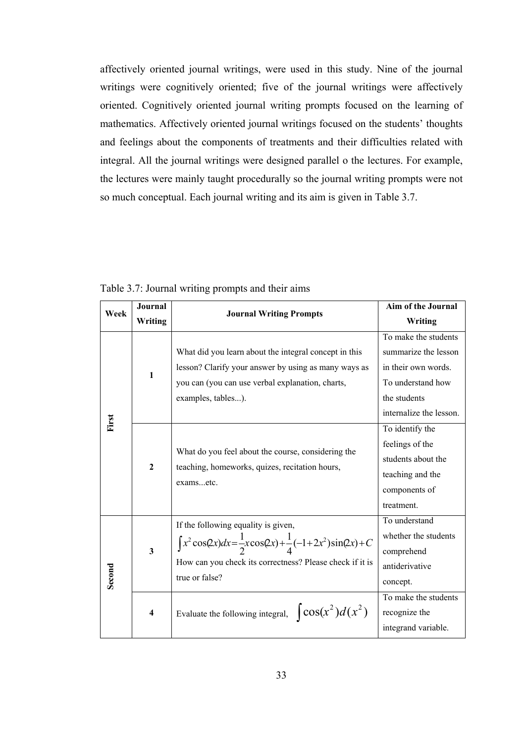affectively oriented journal writings, were used in this study. Nine of the journal writings were cognitively oriented; five of the journal writings were affectively oriented. Cognitively oriented journal writing prompts focused on the learning of mathematics. Affectively oriented journal writings focused on the students' thoughts and feelings about the components of treatments and their difficulties related with integral. All the journal writings were designed parallel o the lectures. For example, the lectures were mainly taught procedurally so the journal writing prompts were not so much conceptual. Each journal writing and its aim is given in Table 3.7.

| Week   | <b>Journal</b>          |                                                                                                                                                                                                           | Aim of the Journal                                                                                                                  |
|--------|-------------------------|-----------------------------------------------------------------------------------------------------------------------------------------------------------------------------------------------------------|-------------------------------------------------------------------------------------------------------------------------------------|
|        | Writing                 | <b>Journal Writing Prompts</b>                                                                                                                                                                            | Writing                                                                                                                             |
|        | $\mathbf{1}$            | What did you learn about the integral concept in this<br>lesson? Clarify your answer by using as many ways as<br>you can (you can use verbal explanation, charts,<br>examples, tables).                   | To make the students<br>summarize the lesson<br>in their own words.<br>To understand how<br>the students<br>internalize the lesson. |
| First  | $\overline{2}$          | What do you feel about the course, considering the<br>teaching, homeworks, quizes, recitation hours,<br>examsetc.                                                                                         | To identify the<br>feelings of the<br>students about the<br>teaching and the<br>components of<br>treatment.                         |
| Second | $\mathbf{3}$            | If the following equality is given,<br>$\int x^2 \cos(2x) dx = \frac{1}{2}x \cos(2x) + \frac{1}{4}(-1 + 2x^2) \sin(2x) + C$<br>How can you check its correctness? Please check if it is<br>true or false? | To understand<br>whether the students<br>comprehend<br>antiderivative<br>concept.                                                   |
|        | $\overline{\mathbf{4}}$ | Evaluate the following integral, $\cos(x^2)d(x^2)$                                                                                                                                                        | To make the students<br>recognize the<br>integrand variable.                                                                        |

Table 3.7: Journal writing prompts and their aims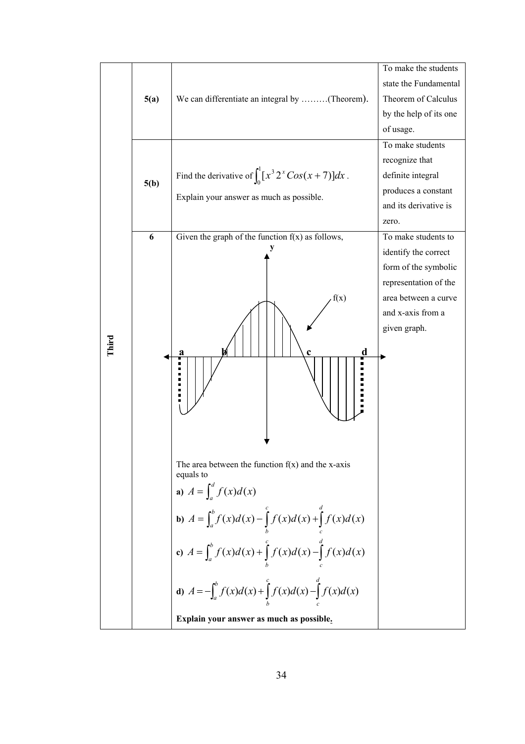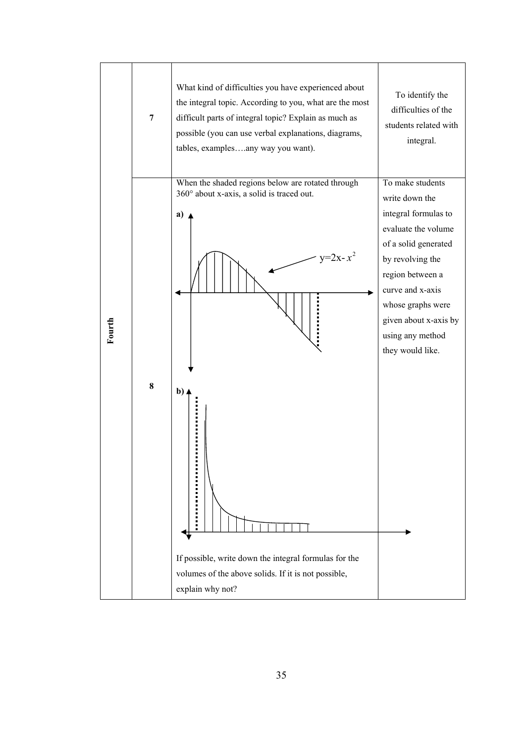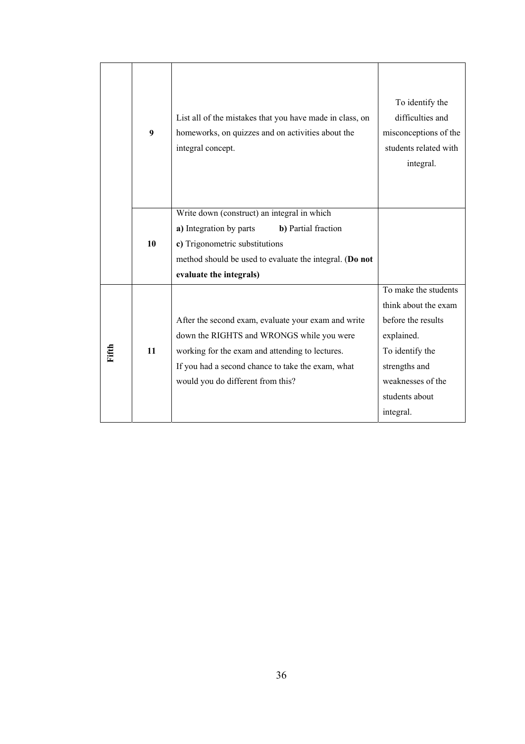|       | 9  | List all of the mistakes that you have made in class, on<br>homeworks, on quizzes and on activities about the<br>integral concept.                                                                                                            | To identify the<br>difficulties and<br>misconceptions of the<br>students related with<br>integral.                                                                       |
|-------|----|-----------------------------------------------------------------------------------------------------------------------------------------------------------------------------------------------------------------------------------------------|--------------------------------------------------------------------------------------------------------------------------------------------------------------------------|
|       | 10 | Write down (construct) an integral in which<br>a) Integration by parts<br>b) Partial fraction<br>c) Trigonometric substitutions<br>method should be used to evaluate the integral. (Do not<br>evaluate the integrals)                         |                                                                                                                                                                          |
| Fifth | 11 | After the second exam, evaluate your exam and write<br>down the RIGHTS and WRONGS while you were<br>working for the exam and attending to lectures.<br>If you had a second chance to take the exam, what<br>would you do different from this? | To make the students<br>think about the exam<br>before the results<br>explained.<br>To identify the<br>strengths and<br>weaknesses of the<br>students about<br>integral. |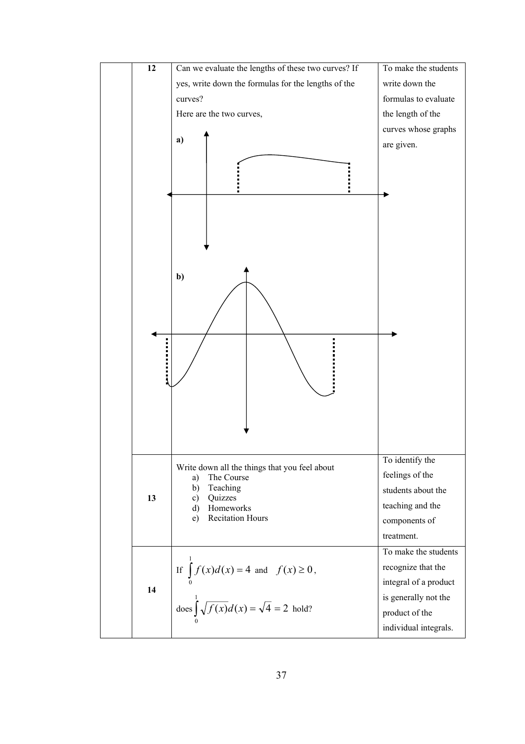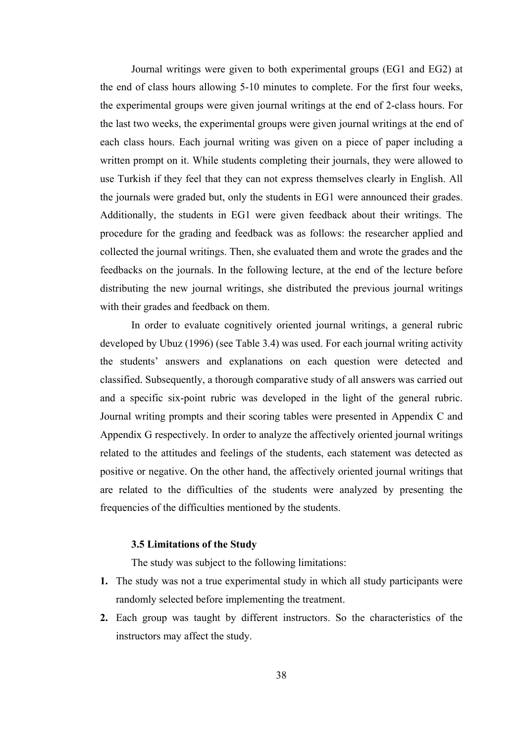Journal writings were given to both experimental groups (EG1 and EG2) at the end of class hours allowing 5-10 minutes to complete. For the first four weeks, the experimental groups were given journal writings at the end of 2-class hours. For the last two weeks, the experimental groups were given journal writings at the end of each class hours. Each journal writing was given on a piece of paper including a written prompt on it. While students completing their journals, they were allowed to use Turkish if they feel that they can not express themselves clearly in English. All the journals were graded but, only the students in EG1 were announced their grades. Additionally, the students in EG1 were given feedback about their writings. The procedure for the grading and feedback was as follows: the researcher applied and collected the journal writings. Then, she evaluated them and wrote the grades and the feedbacks on the journals. In the following lecture, at the end of the lecture before distributing the new journal writings, she distributed the previous journal writings with their grades and feedback on them.

 In order to evaluate cognitively oriented journal writings, a general rubric developed by Ubuz (1996) (see Table 3.4) was used. For each journal writing activity the students' answers and explanations on each question were detected and classified. Subsequently, a thorough comparative study of all answers was carried out and a specific six-point rubric was developed in the light of the general rubric. Journal writing prompts and their scoring tables were presented in Appendix C and Appendix G respectively. In order to analyze the affectively oriented journal writings related to the attitudes and feelings of the students, each statement was detected as positive or negative. On the other hand, the affectively oriented journal writings that are related to the difficulties of the students were analyzed by presenting the frequencies of the difficulties mentioned by the students.

### **3.5 Limitations of the Study**

The study was subject to the following limitations:

- **1.** The study was not a true experimental study in which all study participants were randomly selected before implementing the treatment.
- **2.** Each group was taught by different instructors. So the characteristics of the instructors may affect the study.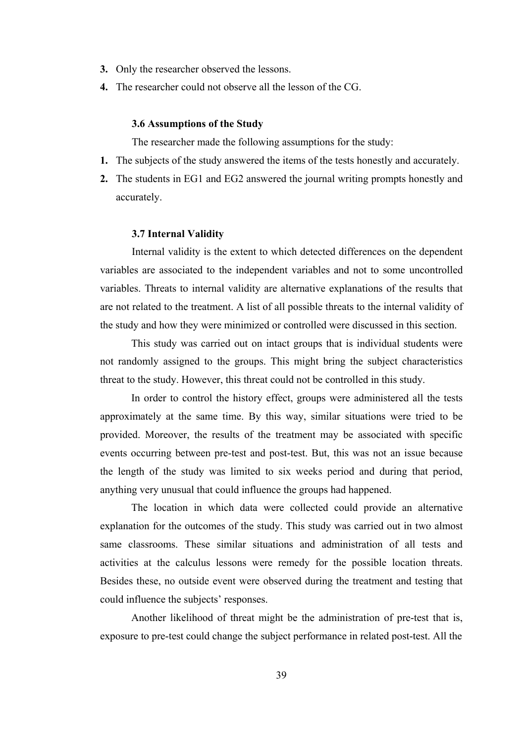- **3.** Only the researcher observed the lessons.
- **4.** The researcher could not observe all the lesson of the CG.

#### **3.6 Assumptions of the Study**

The researcher made the following assumptions for the study:

- **1.** The subjects of the study answered the items of the tests honestly and accurately.
- **2.** The students in EG1 and EG2 answered the journal writing prompts honestly and accurately.

#### **3.7 Internal Validity**

Internal validity is the extent to which detected differences on the dependent variables are associated to the independent variables and not to some uncontrolled variables. Threats to internal validity are alternative explanations of the results that are not related to the treatment. A list of all possible threats to the internal validity of the study and how they were minimized or controlled were discussed in this section.

 This study was carried out on intact groups that is individual students were not randomly assigned to the groups. This might bring the subject characteristics threat to the study. However, this threat could not be controlled in this study.

 In order to control the history effect, groups were administered all the tests approximately at the same time. By this way, similar situations were tried to be provided. Moreover, the results of the treatment may be associated with specific events occurring between pre-test and post-test. But, this was not an issue because the length of the study was limited to six weeks period and during that period, anything very unusual that could influence the groups had happened.

 The location in which data were collected could provide an alternative explanation for the outcomes of the study. This study was carried out in two almost same classrooms. These similar situations and administration of all tests and activities at the calculus lessons were remedy for the possible location threats. Besides these, no outside event were observed during the treatment and testing that could influence the subjects' responses.

 Another likelihood of threat might be the administration of pre-test that is, exposure to pre-test could change the subject performance in related post-test. All the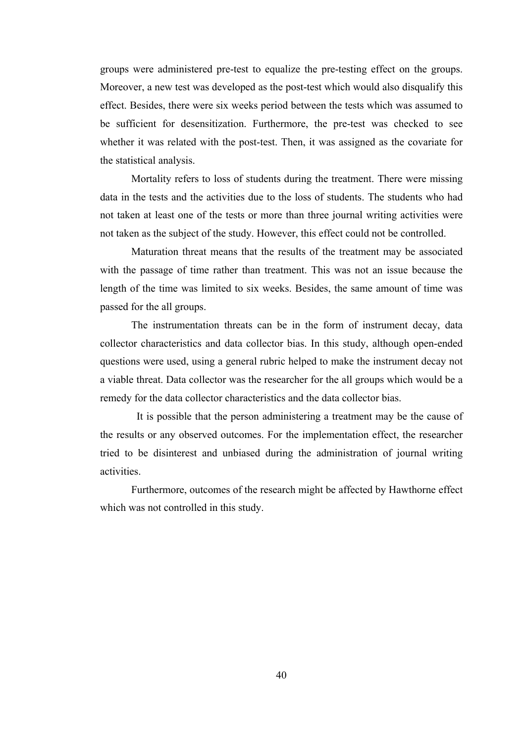groups were administered pre-test to equalize the pre-testing effect on the groups. Moreover, a new test was developed as the post-test which would also disqualify this effect. Besides, there were six weeks period between the tests which was assumed to be sufficient for desensitization. Furthermore, the pre-test was checked to see whether it was related with the post-test. Then, it was assigned as the covariate for the statistical analysis.

 Mortality refers to loss of students during the treatment. There were missing data in the tests and the activities due to the loss of students. The students who had not taken at least one of the tests or more than three journal writing activities were not taken as the subject of the study. However, this effect could not be controlled.

Maturation threat means that the results of the treatment may be associated with the passage of time rather than treatment. This was not an issue because the length of the time was limited to six weeks. Besides, the same amount of time was passed for the all groups.

 The instrumentation threats can be in the form of instrument decay, data collector characteristics and data collector bias. In this study, although open-ended questions were used, using a general rubric helped to make the instrument decay not a viable threat. Data collector was the researcher for the all groups which would be a remedy for the data collector characteristics and the data collector bias.

 It is possible that the person administering a treatment may be the cause of the results or any observed outcomes. For the implementation effect, the researcher tried to be disinterest and unbiased during the administration of journal writing activities.

 Furthermore, outcomes of the research might be affected by Hawthorne effect which was not controlled in this study.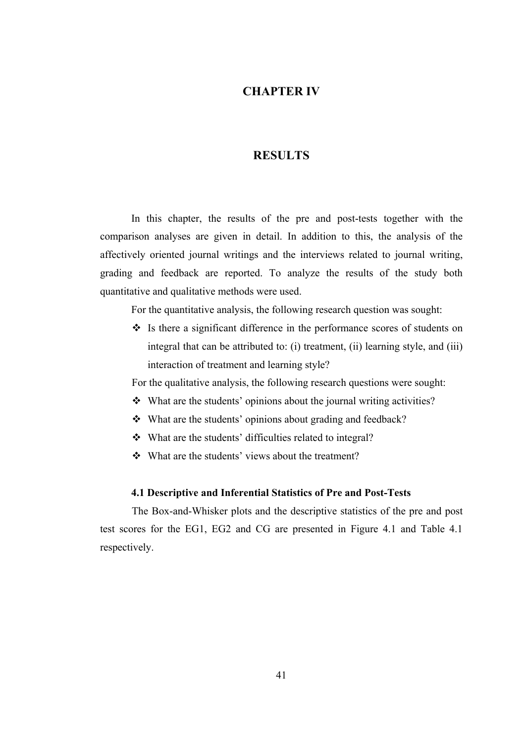## **CHAPTER IV**

## **RESULTS**

In this chapter, the results of the pre and post-tests together with the comparison analyses are given in detail. In addition to this, the analysis of the affectively oriented journal writings and the interviews related to journal writing, grading and feedback are reported. To analyze the results of the study both quantitative and qualitative methods were used.

For the quantitative analysis, the following research question was sought:

 $\cdot \cdot$  Is there a significant difference in the performance scores of students on integral that can be attributed to: (i) treatment, (ii) learning style, and (iii) interaction of treatment and learning style?

For the qualitative analysis, the following research questions were sought:

- $\triangle$  What are the students' opinions about the journal writing activities?
- What are the students' opinions about grading and feedback?
- What are the students' difficulties related to integral?
- What are the students' views about the treatment?

## **4.1 Descriptive and Inferential Statistics of Pre and Post-Tests**

The Box-and-Whisker plots and the descriptive statistics of the pre and post test scores for the EG1, EG2 and CG are presented in Figure 4.1 and Table 4.1 respectively.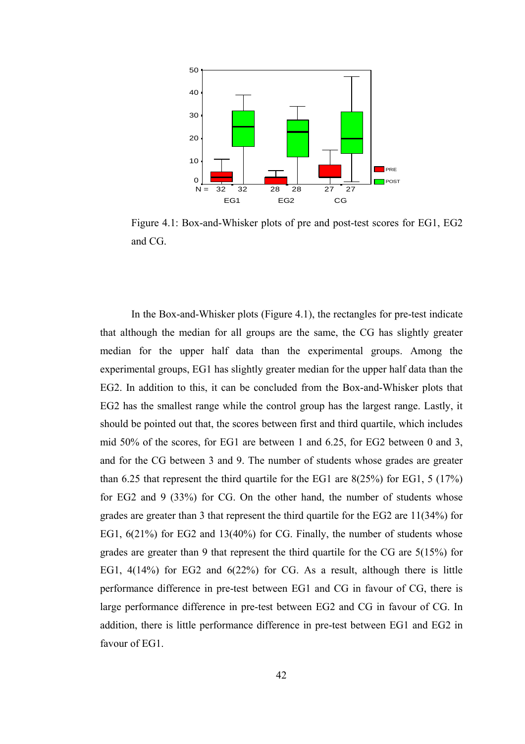

Figure 4.1: Box-and-Whisker plots of pre and post-test scores for EG1, EG2 and CG.

In the Box-and-Whisker plots (Figure 4.1), the rectangles for pre-test indicate that although the median for all groups are the same, the CG has slightly greater median for the upper half data than the experimental groups. Among the experimental groups, EG1 has slightly greater median for the upper half data than the EG2. In addition to this, it can be concluded from the Box-and-Whisker plots that EG2 has the smallest range while the control group has the largest range. Lastly, it should be pointed out that, the scores between first and third quartile, which includes mid 50% of the scores, for EG1 are between 1 and 6.25, for EG2 between 0 and 3, and for the CG between 3 and 9. The number of students whose grades are greater than 6.25 that represent the third quartile for the EG1 are 8(25%) for EG1, 5 (17%) for EG2 and 9 (33%) for CG. On the other hand, the number of students whose grades are greater than 3 that represent the third quartile for the EG2 are 11(34%) for EG1, 6(21%) for EG2 and 13(40%) for CG. Finally, the number of students whose grades are greater than 9 that represent the third quartile for the CG are 5(15%) for EG1, 4(14%) for EG2 and 6(22%) for CG. As a result, although there is little performance difference in pre-test between EG1 and CG in favour of CG, there is large performance difference in pre-test between EG2 and CG in favour of CG. In addition, there is little performance difference in pre-test between EG1 and EG2 in favour of EG1.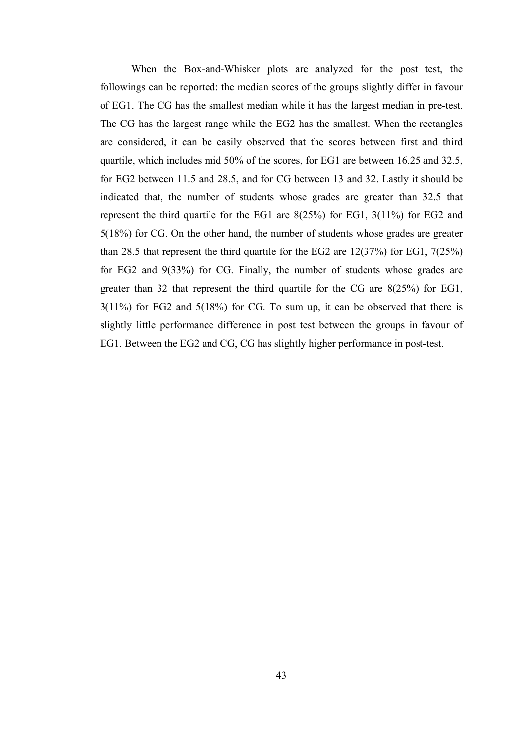When the Box-and-Whisker plots are analyzed for the post test, the followings can be reported: the median scores of the groups slightly differ in favour of EG1. The CG has the smallest median while it has the largest median in pre-test. The CG has the largest range while the EG2 has the smallest. When the rectangles are considered, it can be easily observed that the scores between first and third quartile, which includes mid 50% of the scores, for EG1 are between 16.25 and 32.5, for EG2 between 11.5 and 28.5, and for CG between 13 and 32. Lastly it should be indicated that, the number of students whose grades are greater than 32.5 that represent the third quartile for the EG1 are 8(25%) for EG1, 3(11%) for EG2 and 5(18%) for CG. On the other hand, the number of students whose grades are greater than 28.5 that represent the third quartile for the EG2 are 12(37%) for EG1, 7(25%) for EG2 and 9(33%) for CG. Finally, the number of students whose grades are greater than 32 that represent the third quartile for the CG are 8(25%) for EG1, 3(11%) for EG2 and 5(18%) for CG. To sum up, it can be observed that there is slightly little performance difference in post test between the groups in favour of EG1. Between the EG2 and CG, CG has slightly higher performance in post-test.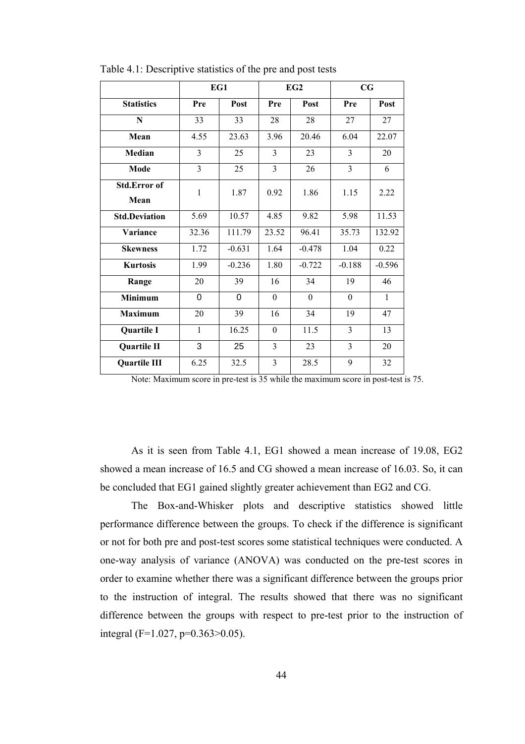|                      | EG1            |          |                | EG2      | CG             |          |
|----------------------|----------------|----------|----------------|----------|----------------|----------|
| <b>Statistics</b>    | Pre            | Post     | Pre            | Post     | Pre            | Post     |
| N                    | 33             | 33       | 28             | 28       | 27             | 27       |
| Mean                 | 4.55           | 23.63    | 3.96           | 20.46    | 6.04           | 22.07    |
| Median               | 3              | 25       | 3              | 23       | 3              | 20       |
| Mode                 | $\overline{3}$ | 25       | $\overline{3}$ | 26       | $\overline{3}$ | 6        |
| <b>Std.Error of</b>  | $\mathbf{1}$   | 1.87     | 0.92           | 1.86     | 1.15           | 2.22     |
| Mean                 |                |          |                |          |                |          |
| <b>Std.Deviation</b> | 5.69           | 10.57    | 4.85           | 9.82     | 5.98           | 11.53    |
| Variance             | 32.36          | 111.79   | 23.52          | 96.41    | 35.73          | 132.92   |
| <b>Skewness</b>      | 1.72           | $-0.631$ | 1.64           | $-0.478$ | 1.04           | 0.22     |
| <b>Kurtosis</b>      | 1.99           | $-0.236$ | 1.80           | $-0.722$ | $-0.188$       | $-0.596$ |
| Range                | 20             | 39       | 16             | 34       | 19             | 46       |
| <b>Minimum</b>       | 0              | 0        | $\theta$       | $\theta$ | $\theta$       | 1        |
| <b>Maximum</b>       | 20             | 39       | 16             | 34       | 19             | 47       |
| Quartile I           | $\mathbf{1}$   | 16.25    | $\theta$       | 11.5     | $\overline{3}$ | 13       |
| Quartile II          | 3              | 25       | $\overline{3}$ | 23       | $\overline{3}$ | 20       |
| <b>Quartile III</b>  | 6.25           | 32.5     | 3              | 28.5     | 9              | 32       |

Table 4.1: Descriptive statistics of the pre and post tests

Note: Maximum score in pre-test is 35 while the maximum score in post-test is 75.

As it is seen from Table 4.1, EG1 showed a mean increase of 19.08, EG2 showed a mean increase of 16.5 and CG showed a mean increase of 16.03. So, it can be concluded that EG1 gained slightly greater achievement than EG2 and CG.

The Box-and-Whisker plots and descriptive statistics showed little performance difference between the groups. To check if the difference is significant or not for both pre and post-test scores some statistical techniques were conducted. A one-way analysis of variance (ANOVA) was conducted on the pre-test scores in order to examine whether there was a significant difference between the groups prior to the instruction of integral. The results showed that there was no significant difference between the groups with respect to pre-test prior to the instruction of integral (F=1.027, p=0.363>0.05).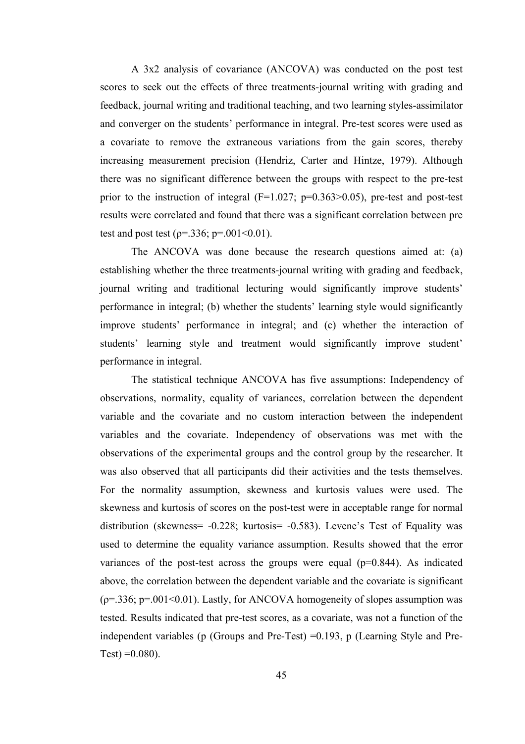A 3x2 analysis of covariance (ANCOVA) was conducted on the post test scores to seek out the effects of three treatments-journal writing with grading and feedback, journal writing and traditional teaching, and two learning styles-assimilator and converger on the students' performance in integral. Pre-test scores were used as a covariate to remove the extraneous variations from the gain scores, thereby increasing measurement precision (Hendriz, Carter and Hintze, 1979). Although there was no significant difference between the groups with respect to the pre-test prior to the instruction of integral  $(F=1.027; p=0.363>0.05)$ , pre-test and post-test results were correlated and found that there was a significant correlation between pre test and post test ( $p = .336$ ;  $p = .001 < 0.01$ ).

 The ANCOVA was done because the research questions aimed at: (a) establishing whether the three treatments-journal writing with grading and feedback, journal writing and traditional lecturing would significantly improve students' performance in integral; (b) whether the students' learning style would significantly improve students' performance in integral; and (c) whether the interaction of students' learning style and treatment would significantly improve student' performance in integral.

 The statistical technique ANCOVA has five assumptions: Independency of observations, normality, equality of variances, correlation between the dependent variable and the covariate and no custom interaction between the independent variables and the covariate. Independency of observations was met with the observations of the experimental groups and the control group by the researcher. It was also observed that all participants did their activities and the tests themselves. For the normality assumption, skewness and kurtosis values were used. The skewness and kurtosis of scores on the post-test were in acceptable range for normal distribution (skewness= -0.228; kurtosis= -0.583). Levene's Test of Equality was used to determine the equality variance assumption. Results showed that the error variances of the post-test across the groups were equal  $(p=0.844)$ . As indicated above, the correlation between the dependent variable and the covariate is significant  $(p=0.336; p=.001<0.01)$ . Lastly, for ANCOVA homogeneity of slopes assumption was tested. Results indicated that pre-test scores, as a covariate, was not a function of the independent variables (p (Groups and Pre-Test) =0.193, p (Learning Style and Pre-Test)  $=0.080$ ).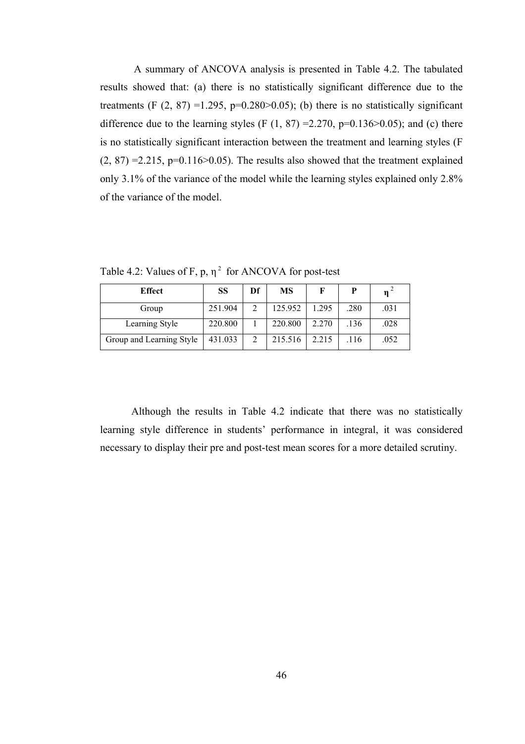A summary of ANCOVA analysis is presented in Table 4.2. The tabulated results showed that: (a) there is no statistically significant difference due to the treatments (F  $(2, 87) = 1.295$ ,  $p=0.280>0.05$ ); (b) there is no statistically significant difference due to the learning styles (F  $(1, 87) = 2.270$ , p=0.136>0.05); and (c) there is no statistically significant interaction between the treatment and learning styles (F  $(2, 87) = 2.215$ , p=0.116>0.05). The results also showed that the treatment explained only 3.1% of the variance of the model while the learning styles explained only 2.8% of the variance of the model.

Table 4.2: Values of F, p,  $\eta^2$  for ANCOVA for post-test

| <b>Effect</b>            | <b>SS</b> | Df | MS      |       | P    | $\mathbf{n}$ |
|--------------------------|-----------|----|---------|-------|------|--------------|
| Group                    | 251.904   |    | 125.952 | 1.295 | .280 | .031         |
| Learning Style           | 220.800   |    | 220.800 | 2.270 | .136 | .028         |
| Group and Learning Style | 431.033   | 2  | 215.516 | 2.215 | .116 | .052         |

Although the results in Table 4.2 indicate that there was no statistically learning style difference in students' performance in integral, it was considered necessary to display their pre and post-test mean scores for a more detailed scrutiny.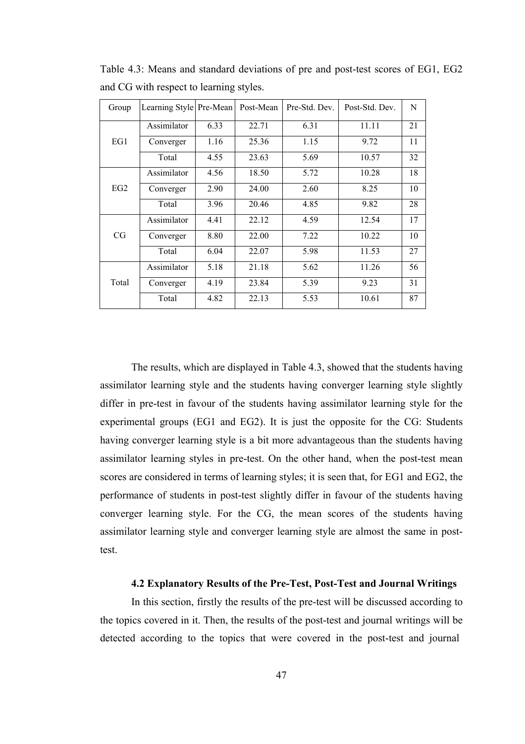| Group           | Learning Style Pre-Mean |      | Post-Mean | Pre-Std. Dev. | Post-Std. Dev. | N  |
|-----------------|-------------------------|------|-----------|---------------|----------------|----|
|                 | Assimilator             | 6.33 | 22.71     | 6.31          | 11.11          | 21 |
| EG1             | Converger               | 1.16 | 25.36     | 1.15          | 9.72           | 11 |
|                 | Total                   | 4.55 | 23.63     | 5.69          | 10.57          | 32 |
|                 | Assimilator             | 4.56 | 18.50     | 5.72          | 10.28          | 18 |
| EG <sub>2</sub> | Converger               | 2.90 | 24.00     | 2.60          | 8.25           | 10 |
|                 | Total                   | 3.96 | 20.46     | 4.85          | 9.82           | 28 |
|                 | Assimilator             | 4.41 | 22.12     | 4.59          | 12.54          | 17 |
| CG              | Converger               | 8.80 | 22.00     | 7.22          | 10.22          | 10 |
|                 | Total                   | 6.04 | 22.07     | 5.98          | 11.53          | 27 |
|                 | Assimilator             | 5.18 | 21.18     | 5.62          | 11.26          | 56 |
| Total           | Converger               | 4.19 | 23.84     | 5.39          | 9.23           | 31 |
|                 | Total                   | 4.82 | 22.13     | 5.53          | 10.61          | 87 |

Table 4.3: Means and standard deviations of pre and post-test scores of EG1, EG2 and CG with respect to learning styles.

The results, which are displayed in Table 4.3, showed that the students having assimilator learning style and the students having converger learning style slightly differ in pre-test in favour of the students having assimilator learning style for the experimental groups (EG1 and EG2). It is just the opposite for the CG: Students having converger learning style is a bit more advantageous than the students having assimilator learning styles in pre-test. On the other hand, when the post-test mean scores are considered in terms of learning styles; it is seen that, for EG1 and EG2, the performance of students in post-test slightly differ in favour of the students having converger learning style. For the CG, the mean scores of the students having assimilator learning style and converger learning style are almost the same in posttest.

### **4.2 Explanatory Results of the Pre-Test, Post-Test and Journal Writings**

In this section, firstly the results of the pre-test will be discussed according to the topics covered in it. Then, the results of the post-test and journal writings will be detected according to the topics that were covered in the post-test and journal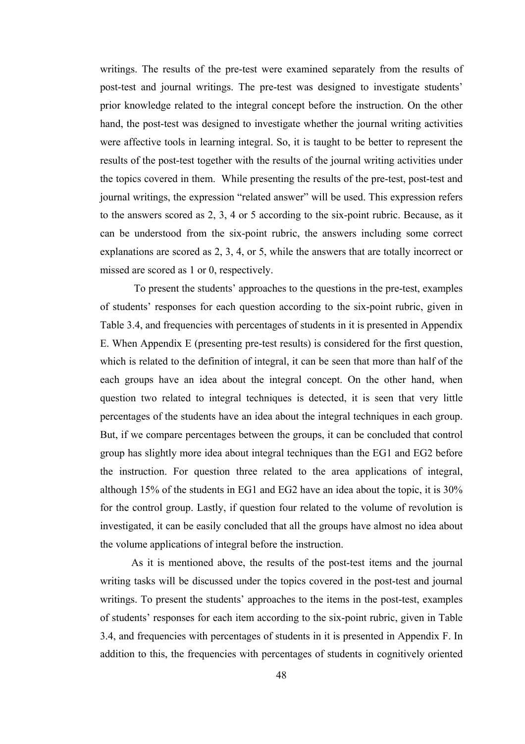writings. The results of the pre-test were examined separately from the results of post-test and journal writings. The pre-test was designed to investigate students' prior knowledge related to the integral concept before the instruction. On the other hand, the post-test was designed to investigate whether the journal writing activities were affective tools in learning integral. So, it is taught to be better to represent the results of the post-test together with the results of the journal writing activities under the topics covered in them. While presenting the results of the pre-test, post-test and journal writings, the expression "related answer" will be used. This expression refers to the answers scored as 2, 3, 4 or 5 according to the six-point rubric. Because, as it can be understood from the six-point rubric, the answers including some correct explanations are scored as 2, 3, 4, or 5, while the answers that are totally incorrect or missed are scored as 1 or 0, respectively.

 To present the students' approaches to the questions in the pre-test, examples of students' responses for each question according to the six-point rubric, given in Table 3.4, and frequencies with percentages of students in it is presented in Appendix E. When Appendix E (presenting pre-test results) is considered for the first question, which is related to the definition of integral, it can be seen that more than half of the each groups have an idea about the integral concept. On the other hand, when question two related to integral techniques is detected, it is seen that very little percentages of the students have an idea about the integral techniques in each group. But, if we compare percentages between the groups, it can be concluded that control group has slightly more idea about integral techniques than the EG1 and EG2 before the instruction. For question three related to the area applications of integral, although 15% of the students in EG1 and EG2 have an idea about the topic, it is 30% for the control group. Lastly, if question four related to the volume of revolution is investigated, it can be easily concluded that all the groups have almost no idea about the volume applications of integral before the instruction.

As it is mentioned above, the results of the post-test items and the journal writing tasks will be discussed under the topics covered in the post-test and journal writings. To present the students' approaches to the items in the post-test, examples of students' responses for each item according to the six-point rubric, given in Table 3.4, and frequencies with percentages of students in it is presented in Appendix F. In addition to this, the frequencies with percentages of students in cognitively oriented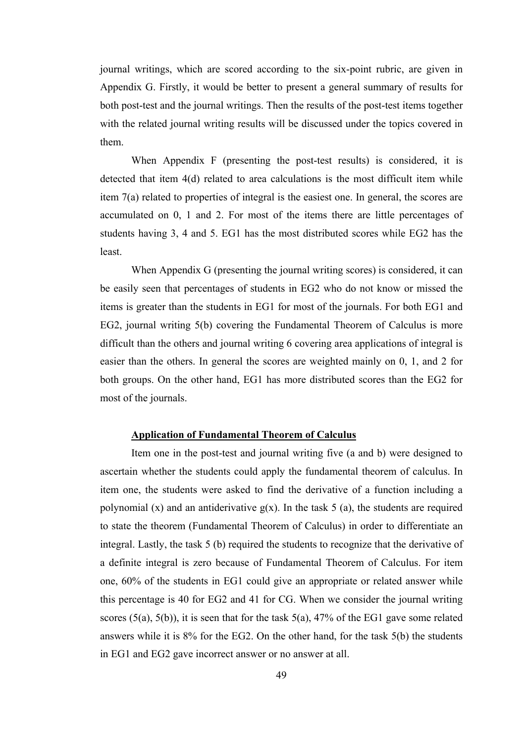journal writings, which are scored according to the six-point rubric, are given in Appendix G. Firstly, it would be better to present a general summary of results for both post-test and the journal writings. Then the results of the post-test items together with the related journal writing results will be discussed under the topics covered in them.

When Appendix F (presenting the post-test results) is considered, it is detected that item 4(d) related to area calculations is the most difficult item while item 7(a) related to properties of integral is the easiest one. In general, the scores are accumulated on 0, 1 and 2. For most of the items there are little percentages of students having 3, 4 and 5. EG1 has the most distributed scores while EG2 has the least.

When Appendix G (presenting the journal writing scores) is considered, it can be easily seen that percentages of students in EG2 who do not know or missed the items is greater than the students in EG1 for most of the journals. For both EG1 and EG2, journal writing 5(b) covering the Fundamental Theorem of Calculus is more difficult than the others and journal writing 6 covering area applications of integral is easier than the others. In general the scores are weighted mainly on 0, 1, and 2 for both groups. On the other hand, EG1 has more distributed scores than the EG2 for most of the journals.

### **Application of Fundamental Theorem of Calculus**

Item one in the post-test and journal writing five (a and b) were designed to ascertain whether the students could apply the fundamental theorem of calculus. In item one, the students were asked to find the derivative of a function including a polynomial (x) and an antiderivative  $g(x)$ . In the task 5 (a), the students are required to state the theorem (Fundamental Theorem of Calculus) in order to differentiate an integral. Lastly, the task 5 (b) required the students to recognize that the derivative of a definite integral is zero because of Fundamental Theorem of Calculus. For item one, 60% of the students in EG1 could give an appropriate or related answer while this percentage is 40 for EG2 and 41 for CG. When we consider the journal writing scores  $(5(a), 5(b))$ , it is seen that for the task  $5(a)$ , 47% of the EG1 gave some related answers while it is 8% for the EG2. On the other hand, for the task 5(b) the students in EG1 and EG2 gave incorrect answer or no answer at all.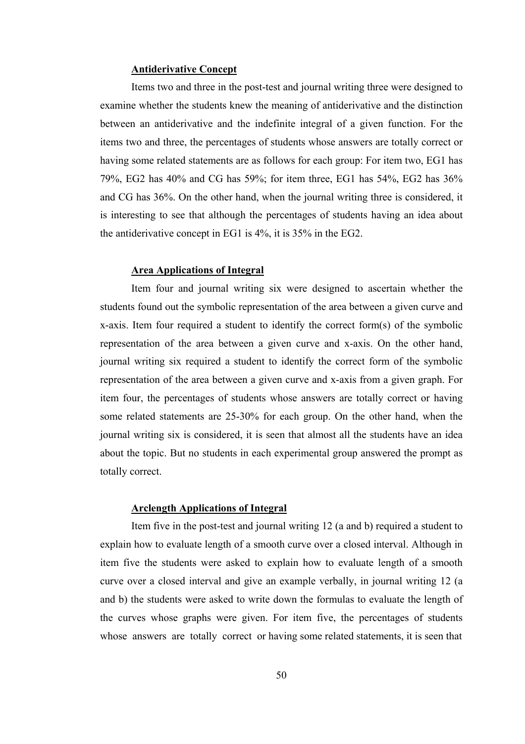#### **Antiderivative Concept**

Items two and three in the post-test and journal writing three were designed to examine whether the students knew the meaning of antiderivative and the distinction between an antiderivative and the indefinite integral of a given function. For the items two and three, the percentages of students whose answers are totally correct or having some related statements are as follows for each group: For item two, EG1 has 79%, EG2 has 40% and CG has 59%; for item three, EG1 has 54%, EG2 has 36% and CG has 36%. On the other hand, when the journal writing three is considered, it is interesting to see that although the percentages of students having an idea about the antiderivative concept in EG1 is 4%, it is 35% in the EG2.

### **Area Applications of Integral**

Item four and journal writing six were designed to ascertain whether the students found out the symbolic representation of the area between a given curve and x-axis. Item four required a student to identify the correct form(s) of the symbolic representation of the area between a given curve and x-axis. On the other hand, journal writing six required a student to identify the correct form of the symbolic representation of the area between a given curve and x-axis from a given graph. For item four, the percentages of students whose answers are totally correct or having some related statements are 25-30% for each group. On the other hand, when the journal writing six is considered, it is seen that almost all the students have an idea about the topic. But no students in each experimental group answered the prompt as totally correct.

### **Arclength Applications of Integral**

Item five in the post-test and journal writing 12 (a and b) required a student to explain how to evaluate length of a smooth curve over a closed interval. Although in item five the students were asked to explain how to evaluate length of a smooth curve over a closed interval and give an example verbally, in journal writing 12 (a and b) the students were asked to write down the formulas to evaluate the length of the curves whose graphs were given. For item five, the percentages of students whose answers are totally correct or having some related statements, it is seen that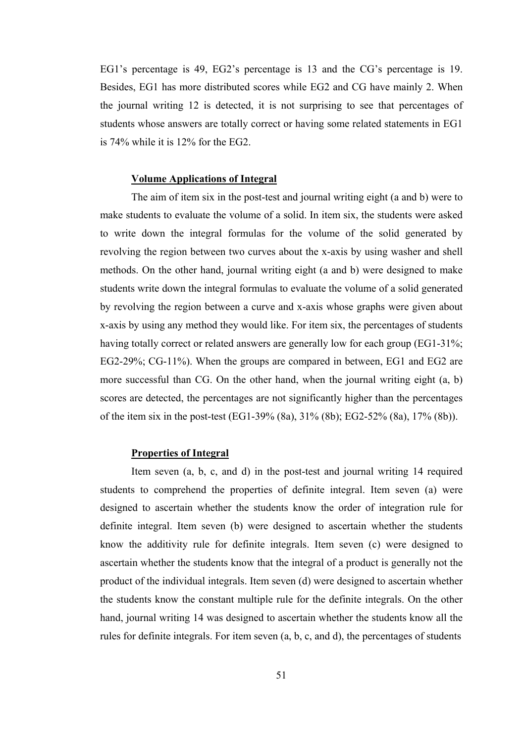EG1's percentage is 49, EG2's percentage is 13 and the CG's percentage is 19. Besides, EG1 has more distributed scores while EG2 and CG have mainly 2. When the journal writing 12 is detected, it is not surprising to see that percentages of students whose answers are totally correct or having some related statements in EG1 is 74% while it is 12% for the EG2.

### **Volume Applications of Integral**

The aim of item six in the post-test and journal writing eight (a and b) were to make students to evaluate the volume of a solid. In item six, the students were asked to write down the integral formulas for the volume of the solid generated by revolving the region between two curves about the x-axis by using washer and shell methods. On the other hand, journal writing eight (a and b) were designed to make students write down the integral formulas to evaluate the volume of a solid generated by revolving the region between a curve and x-axis whose graphs were given about x-axis by using any method they would like. For item six, the percentages of students having totally correct or related answers are generally low for each group (EG1-31%; EG2-29%; CG-11%). When the groups are compared in between, EG1 and EG2 are more successful than CG. On the other hand, when the journal writing eight (a, b) scores are detected, the percentages are not significantly higher than the percentages of the item six in the post-test (EG1-39% (8a), 31% (8b); EG2-52% (8a), 17% (8b)).

# **Properties of Integral**

Item seven (a, b, c, and d) in the post-test and journal writing 14 required students to comprehend the properties of definite integral. Item seven (a) were designed to ascertain whether the students know the order of integration rule for definite integral. Item seven (b) were designed to ascertain whether the students know the additivity rule for definite integrals. Item seven (c) were designed to ascertain whether the students know that the integral of a product is generally not the product of the individual integrals. Item seven (d) were designed to ascertain whether the students know the constant multiple rule for the definite integrals. On the other hand, journal writing 14 was designed to ascertain whether the students know all the rules for definite integrals. For item seven (a, b, c, and d), the percentages of students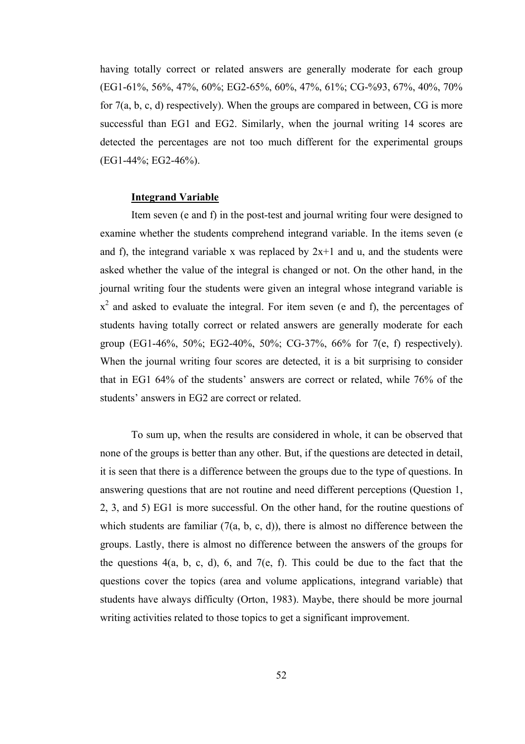having totally correct or related answers are generally moderate for each group (EG1-61%, 56%, 47%, 60%; EG2-65%, 60%, 47%, 61%; CG-%93, 67%, 40%, 70% for 7(a, b, c, d) respectively). When the groups are compared in between, CG is more successful than EG1 and EG2. Similarly, when the journal writing 14 scores are detected the percentages are not too much different for the experimental groups (EG1-44%; EG2-46%).

### **Integrand Variable**

Item seven (e and f) in the post-test and journal writing four were designed to examine whether the students comprehend integrand variable. In the items seven (e and f), the integrand variable x was replaced by  $2x+1$  and u, and the students were asked whether the value of the integral is changed or not. On the other hand, in the journal writing four the students were given an integral whose integrand variable is  $x<sup>2</sup>$  and asked to evaluate the integral. For item seven (e and f), the percentages of students having totally correct or related answers are generally moderate for each group (EG1-46%, 50%; EG2-40%, 50%; CG-37%, 66% for 7(e, f) respectively). When the journal writing four scores are detected, it is a bit surprising to consider that in EG1 64% of the students' answers are correct or related, while 76% of the students' answers in EG2 are correct or related.

To sum up, when the results are considered in whole, it can be observed that none of the groups is better than any other. But, if the questions are detected in detail, it is seen that there is a difference between the groups due to the type of questions. In answering questions that are not routine and need different perceptions (Question 1, 2, 3, and 5) EG1 is more successful. On the other hand, for the routine questions of which students are familiar  $(7(a, b, c, d))$ , there is almost no difference between the groups. Lastly, there is almost no difference between the answers of the groups for the questions  $4(a, b, c, d)$ , 6, and  $7(e, f)$ . This could be due to the fact that the questions cover the topics (area and volume applications, integrand variable) that students have always difficulty (Orton, 1983). Maybe, there should be more journal writing activities related to those topics to get a significant improvement.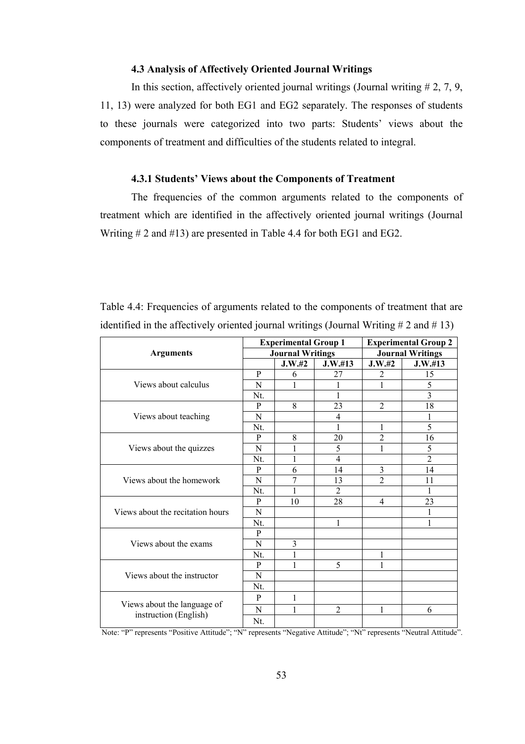### **4.3 Analysis of Affectively Oriented Journal Writings**

In this section, affectively oriented journal writings (Journal writing  $# 2, 7, 9$ , 11, 13) were analyzed for both EG1 and EG2 separately. The responses of students to these journals were categorized into two parts: Students' views about the components of treatment and difficulties of the students related to integral.

## **4.3.1 Students' Views about the Components of Treatment**

The frequencies of the common arguments related to the components of treatment which are identified in the affectively oriented journal writings (Journal Writing # 2 and #13) are presented in Table 4.4 for both EG1 and EG2.

|                                                      |                                                                                                                                                                                                                                                                                                                                                                                                                        |        |         | <b>Experimental Group 2</b> |                |  |
|------------------------------------------------------|------------------------------------------------------------------------------------------------------------------------------------------------------------------------------------------------------------------------------------------------------------------------------------------------------------------------------------------------------------------------------------------------------------------------|--------|---------|-----------------------------|----------------|--|
| <b>Arguments</b>                                     |                                                                                                                                                                                                                                                                                                                                                                                                                        |        |         |                             |                |  |
|                                                      |                                                                                                                                                                                                                                                                                                                                                                                                                        | J.W.#2 | J.W.#13 | J.W.#2                      | J.W.#13        |  |
|                                                      | P                                                                                                                                                                                                                                                                                                                                                                                                                      | 6      | 27      | 2                           | 15             |  |
| Views about calculus                                 | N                                                                                                                                                                                                                                                                                                                                                                                                                      | 1      |         | 1                           | 5              |  |
|                                                      | Nt.                                                                                                                                                                                                                                                                                                                                                                                                                    |        | 1       |                             | 3              |  |
|                                                      | $\mathbf{P}$                                                                                                                                                                                                                                                                                                                                                                                                           | 8      | 23      | $\overline{2}$              | 18             |  |
| Views about teaching                                 | N                                                                                                                                                                                                                                                                                                                                                                                                                      |        | 4       |                             | 1              |  |
|                                                      | <b>Experimental Group 1</b><br><b>Journal Writings</b><br><b>Journal Writings</b><br>1<br>Nt.<br>20<br>$\overline{2}$<br>P<br>8<br>5<br>1<br>1<br>N<br>1<br>4<br>Nt.<br>3<br>6<br>14<br>P<br>7<br>$\overline{2}$<br>N<br>13<br>$\overline{2}$<br>Nt.<br>1<br>28<br>P<br>10<br>4<br>N<br>1<br>Nt.<br>$\mathbf{P}$<br>3<br>N<br>1<br>Nt.<br>1<br>1<br>5<br>1<br>P<br>N<br>Nt.<br>P<br>1<br>N<br>1<br>$\overline{2}$<br>1 | 5      |         |                             |                |  |
|                                                      |                                                                                                                                                                                                                                                                                                                                                                                                                        |        |         |                             | 16             |  |
| Views about the quizzes                              |                                                                                                                                                                                                                                                                                                                                                                                                                        |        |         |                             | 5              |  |
|                                                      |                                                                                                                                                                                                                                                                                                                                                                                                                        |        |         |                             | $\overline{2}$ |  |
|                                                      |                                                                                                                                                                                                                                                                                                                                                                                                                        |        |         |                             | 14             |  |
| Views about the homework                             |                                                                                                                                                                                                                                                                                                                                                                                                                        |        |         |                             | 11             |  |
|                                                      |                                                                                                                                                                                                                                                                                                                                                                                                                        |        |         |                             | 1              |  |
|                                                      |                                                                                                                                                                                                                                                                                                                                                                                                                        |        |         |                             | 23             |  |
| Views about the recitation hours                     |                                                                                                                                                                                                                                                                                                                                                                                                                        |        |         |                             | 1              |  |
|                                                      |                                                                                                                                                                                                                                                                                                                                                                                                                        |        |         |                             | 1              |  |
|                                                      |                                                                                                                                                                                                                                                                                                                                                                                                                        |        |         |                             |                |  |
| Views about the exams                                |                                                                                                                                                                                                                                                                                                                                                                                                                        |        |         |                             |                |  |
|                                                      |                                                                                                                                                                                                                                                                                                                                                                                                                        |        |         |                             |                |  |
|                                                      |                                                                                                                                                                                                                                                                                                                                                                                                                        |        |         |                             |                |  |
| Views about the instructor                           |                                                                                                                                                                                                                                                                                                                                                                                                                        |        |         |                             |                |  |
|                                                      |                                                                                                                                                                                                                                                                                                                                                                                                                        |        |         |                             |                |  |
|                                                      |                                                                                                                                                                                                                                                                                                                                                                                                                        |        |         |                             |                |  |
| Views about the language of<br>instruction (English) |                                                                                                                                                                                                                                                                                                                                                                                                                        |        |         |                             | 6              |  |
|                                                      | Nt.                                                                                                                                                                                                                                                                                                                                                                                                                    |        |         |                             |                |  |

Table 4.4: Frequencies of arguments related to the components of treatment that are identified in the affectively oriented journal writings (Journal Writing  $\# 2$  and  $\# 13$ )

Note: "P" represents "Positive Attitude"; "N" represents "Negative Attitude"; "Nt" represents "Neutral Attitude".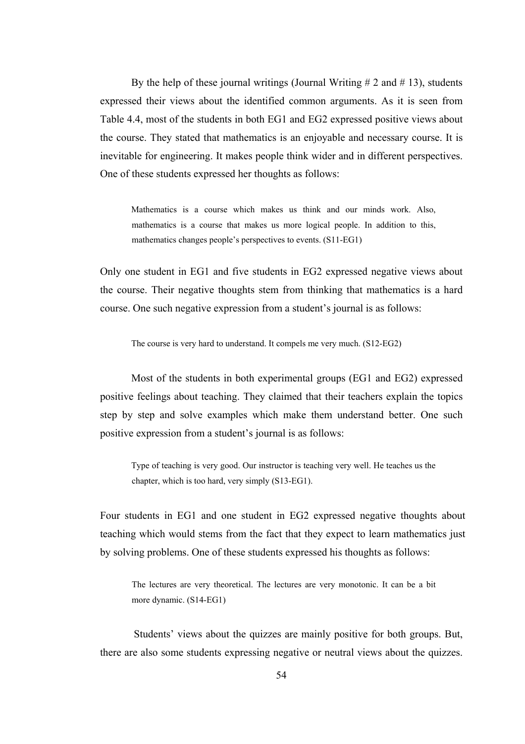By the help of these journal writings (Journal Writing  $# 2$  and  $# 13$ ), students expressed their views about the identified common arguments. As it is seen from Table 4.4, most of the students in both EG1 and EG2 expressed positive views about the course. They stated that mathematics is an enjoyable and necessary course. It is inevitable for engineering. It makes people think wider and in different perspectives. One of these students expressed her thoughts as follows:

Mathematics is a course which makes us think and our minds work. Also, mathematics is a course that makes us more logical people. In addition to this, mathematics changes people's perspectives to events. (S11-EG1)

Only one student in EG1 and five students in EG2 expressed negative views about the course. Their negative thoughts stem from thinking that mathematics is a hard course. One such negative expression from a student's journal is as follows:

The course is very hard to understand. It compels me very much. (S12-EG2)

Most of the students in both experimental groups (EG1 and EG2) expressed positive feelings about teaching. They claimed that their teachers explain the topics step by step and solve examples which make them understand better. One such positive expression from a student's journal is as follows:

Type of teaching is very good. Our instructor is teaching very well. He teaches us the chapter, which is too hard, very simply (S13-EG1).

Four students in EG1 and one student in EG2 expressed negative thoughts about teaching which would stems from the fact that they expect to learn mathematics just by solving problems. One of these students expressed his thoughts as follows:

The lectures are very theoretical. The lectures are very monotonic. It can be a bit more dynamic. (S14-EG1)

 Students' views about the quizzes are mainly positive for both groups. But, there are also some students expressing negative or neutral views about the quizzes.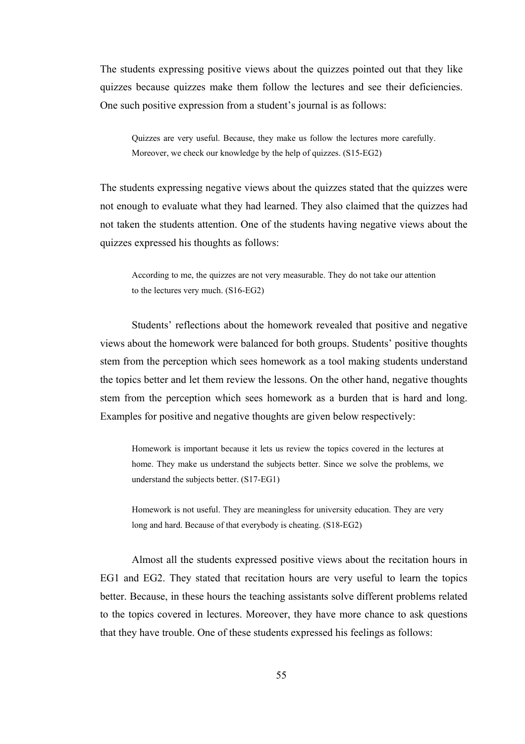The students expressing positive views about the quizzes pointed out that they like quizzes because quizzes make them follow the lectures and see their deficiencies. One such positive expression from a student's journal is as follows:

Quizzes are very useful. Because, they make us follow the lectures more carefully. Moreover, we check our knowledge by the help of quizzes. (S15-EG2)

The students expressing negative views about the quizzes stated that the quizzes were not enough to evaluate what they had learned. They also claimed that the quizzes had not taken the students attention. One of the students having negative views about the quizzes expressed his thoughts as follows:

According to me, the quizzes are not very measurable. They do not take our attention to the lectures very much. (S16-EG2)

Students' reflections about the homework revealed that positive and negative views about the homework were balanced for both groups. Students' positive thoughts stem from the perception which sees homework as a tool making students understand the topics better and let them review the lessons. On the other hand, negative thoughts stem from the perception which sees homework as a burden that is hard and long. Examples for positive and negative thoughts are given below respectively:

Homework is important because it lets us review the topics covered in the lectures at home. They make us understand the subjects better. Since we solve the problems, we understand the subjects better. (S17-EG1)

Homework is not useful. They are meaningless for university education. They are very long and hard. Because of that everybody is cheating. (S18-EG2)

Almost all the students expressed positive views about the recitation hours in EG1 and EG2. They stated that recitation hours are very useful to learn the topics better. Because, in these hours the teaching assistants solve different problems related to the topics covered in lectures. Moreover, they have more chance to ask questions that they have trouble. One of these students expressed his feelings as follows: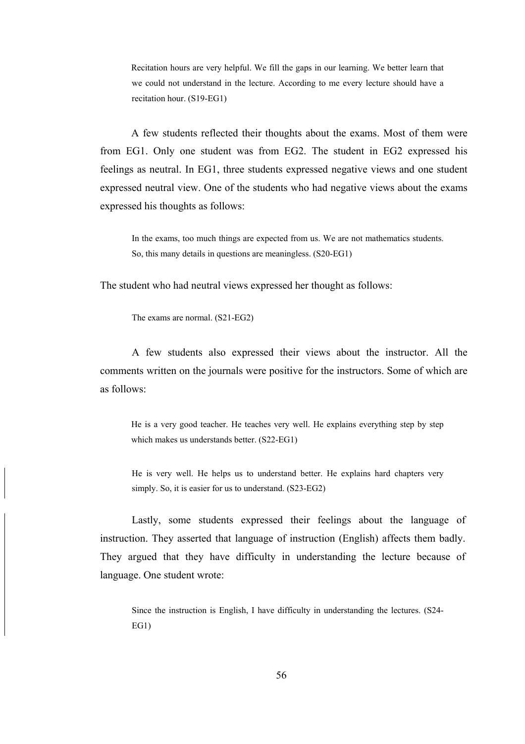Recitation hours are very helpful. We fill the gaps in our learning. We better learn that we could not understand in the lecture. According to me every lecture should have a recitation hour. (S19-EG1)

 A few students reflected their thoughts about the exams. Most of them were from EG1. Only one student was from EG2. The student in EG2 expressed his feelings as neutral. In EG1, three students expressed negative views and one student expressed neutral view. One of the students who had negative views about the exams expressed his thoughts as follows:

In the exams, too much things are expected from us. We are not mathematics students. So, this many details in questions are meaningless. (S20-EG1)

The student who had neutral views expressed her thought as follows:

The exams are normal. (S21-EG2)

A few students also expressed their views about the instructor. All the comments written on the journals were positive for the instructors. Some of which are as follows:

He is a very good teacher. He teaches very well. He explains everything step by step which makes us understands better. (S22-EG1)

He is very well. He helps us to understand better. He explains hard chapters very simply. So, it is easier for us to understand. (S23-EG2)

Lastly, some students expressed their feelings about the language of instruction. They asserted that language of instruction (English) affects them badly. They argued that they have difficulty in understanding the lecture because of language. One student wrote:

Since the instruction is English, I have difficulty in understanding the lectures. (S24- EG1)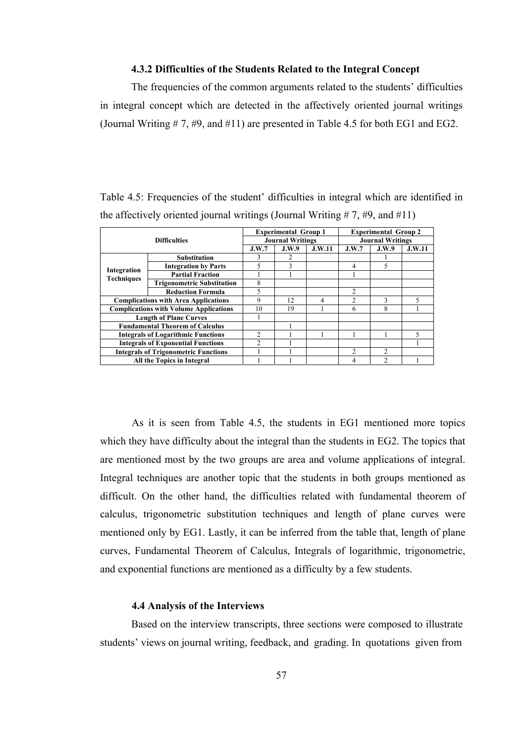### **4.3.2 Difficulties of the Students Related to the Integral Concept**

The frequencies of the common arguments related to the students' difficulties in integral concept which are detected in the affectively oriented journal writings (Journal Writing # 7, #9, and #11) are presented in Table 4.5 for both EG1 and EG2.

Table 4.5: Frequencies of the student' difficulties in integral which are identified in the affectively oriented journal writings (Journal Writing  $# 7, #9$ , and  $#11$ )

| <b>Difficulties</b>                           |                                        |                          | <b>Experimental Group 1</b> |        | <b>Experimental Group 2</b> |                |        |  |
|-----------------------------------------------|----------------------------------------|--------------------------|-----------------------------|--------|-----------------------------|----------------|--------|--|
|                                               |                                        | <b>Journal Writings</b>  |                             |        | <b>Journal Writings</b>     |                |        |  |
|                                               |                                        | J.W.7                    | J.W.9                       | J.W.11 | J.W.7                       | J.W.9          | J.W.11 |  |
|                                               | <b>Substitution</b>                    | 3                        | $\mathfrak{D}$              |        |                             |                |        |  |
|                                               | <b>Integration by Parts</b>            | 5                        | 3                           |        | 4                           | 5              |        |  |
| Integration<br><b>Techniques</b>              | <b>Partial Fraction</b>                |                          |                             |        |                             |                |        |  |
|                                               | <b>Trigonometric Substitution</b>      | 8                        |                             |        |                             |                |        |  |
|                                               | <b>Reduction Formula</b>               | $\overline{\phantom{0}}$ |                             |        | $\mathfrak{D}$              |                |        |  |
| <b>Complications with Area Applications</b>   |                                        | 9                        | 12                          | 4      | C                           | $\mathbf{R}$   | 5      |  |
| <b>Complications with Volume Applications</b> |                                        | 10                       | 19                          |        | 6                           | 8              |        |  |
|                                               | <b>Length of Plane Curves</b>          |                          |                             |        |                             |                |        |  |
|                                               | <b>Fundamental Theorem of Calculus</b> |                          |                             |        |                             |                |        |  |
| <b>Integrals of Logarithmic Functions</b>     |                                        | $\mathfrak{D}$           |                             |        |                             |                | 5      |  |
| <b>Integrals of Exponential Functions</b>     |                                        | $\mathfrak{D}$           |                             |        |                             |                |        |  |
| <b>Integrals of Trigonometric Functions</b>   |                                        |                          |                             |        | C                           | $\mathfrak{D}$ |        |  |
|                                               | All the Topics in Integral             |                          |                             |        | 4                           | $\mathcal{D}$  |        |  |
|                                               |                                        |                          |                             |        |                             |                |        |  |

As it is seen from Table 4.5, the students in EG1 mentioned more topics which they have difficulty about the integral than the students in EG2. The topics that are mentioned most by the two groups are area and volume applications of integral. Integral techniques are another topic that the students in both groups mentioned as difficult. On the other hand, the difficulties related with fundamental theorem of calculus, trigonometric substitution techniques and length of plane curves were mentioned only by EG1. Lastly, it can be inferred from the table that, length of plane curves, Fundamental Theorem of Calculus, Integrals of logarithmic, trigonometric, and exponential functions are mentioned as a difficulty by a few students.

## **4.4 Analysis of the Interviews**

Based on the interview transcripts, three sections were composed to illustrate students' views on journal writing, feedback, and grading. In quotations given from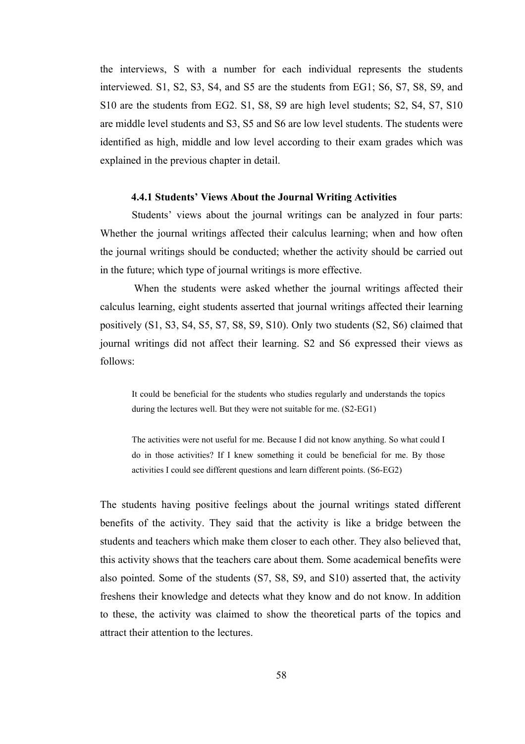the interviews, S with a number for each individual represents the students interviewed. S1, S2, S3, S4, and S5 are the students from EG1; S6, S7, S8, S9, and S10 are the students from EG2. S1, S8, S9 are high level students; S2, S4, S7, S10 are middle level students and S3, S5 and S6 are low level students. The students were identified as high, middle and low level according to their exam grades which was explained in the previous chapter in detail.

### **4.4.1 Students' Views About the Journal Writing Activities**

Students' views about the journal writings can be analyzed in four parts: Whether the journal writings affected their calculus learning; when and how often the journal writings should be conducted; whether the activity should be carried out in the future; which type of journal writings is more effective.

 When the students were asked whether the journal writings affected their calculus learning, eight students asserted that journal writings affected their learning positively (S1, S3, S4, S5, S7, S8, S9, S10). Only two students (S2, S6) claimed that journal writings did not affect their learning. S2 and S6 expressed their views as follows:

It could be beneficial for the students who studies regularly and understands the topics during the lectures well. But they were not suitable for me. (S2-EG1)

The activities were not useful for me. Because I did not know anything. So what could I do in those activities? If I knew something it could be beneficial for me. By those activities I could see different questions and learn different points. (S6-EG2)

The students having positive feelings about the journal writings stated different benefits of the activity. They said that the activity is like a bridge between the students and teachers which make them closer to each other. They also believed that, this activity shows that the teachers care about them. Some academical benefits were also pointed. Some of the students (S7, S8, S9, and S10) asserted that, the activity freshens their knowledge and detects what they know and do not know. In addition to these, the activity was claimed to show the theoretical parts of the topics and attract their attention to the lectures.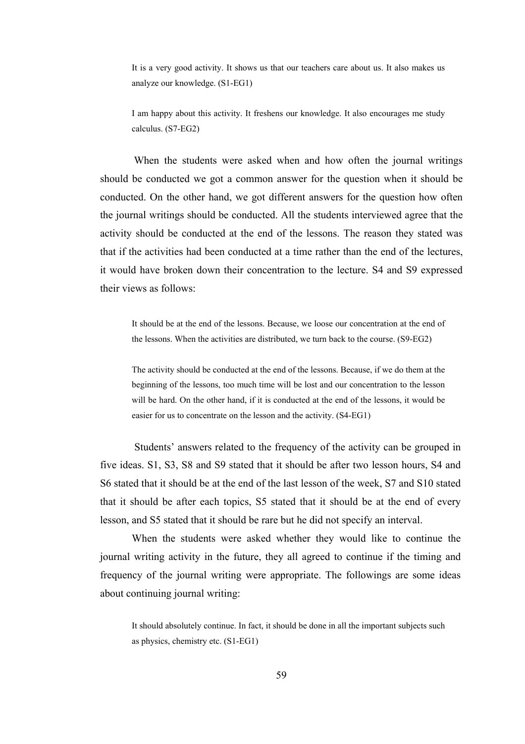It is a very good activity. It shows us that our teachers care about us. It also makes us analyze our knowledge. (S1-EG1)

I am happy about this activity. It freshens our knowledge. It also encourages me study calculus. (S7-EG2)

When the students were asked when and how often the journal writings should be conducted we got a common answer for the question when it should be conducted. On the other hand, we got different answers for the question how often the journal writings should be conducted. All the students interviewed agree that the activity should be conducted at the end of the lessons. The reason they stated was that if the activities had been conducted at a time rather than the end of the lectures, it would have broken down their concentration to the lecture. S4 and S9 expressed their views as follows:

It should be at the end of the lessons. Because, we loose our concentration at the end of the lessons. When the activities are distributed, we turn back to the course. (S9-EG2)

The activity should be conducted at the end of the lessons. Because, if we do them at the beginning of the lessons, too much time will be lost and our concentration to the lesson will be hard. On the other hand, if it is conducted at the end of the lessons, it would be easier for us to concentrate on the lesson and the activity. (S4-EG1)

 Students' answers related to the frequency of the activity can be grouped in five ideas. S1, S3, S8 and S9 stated that it should be after two lesson hours, S4 and S6 stated that it should be at the end of the last lesson of the week, S7 and S10 stated that it should be after each topics, S5 stated that it should be at the end of every lesson, and S5 stated that it should be rare but he did not specify an interval.

When the students were asked whether they would like to continue the journal writing activity in the future, they all agreed to continue if the timing and frequency of the journal writing were appropriate. The followings are some ideas about continuing journal writing:

It should absolutely continue. In fact, it should be done in all the important subjects such as physics, chemistry etc. (S1-EG1)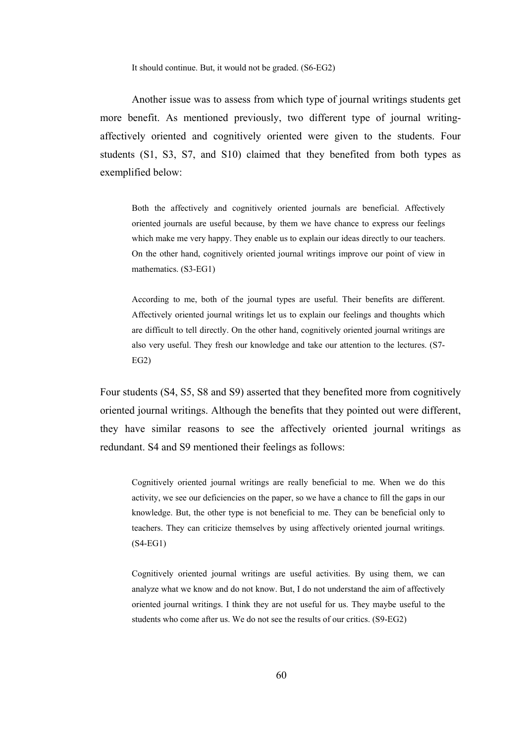It should continue. But, it would not be graded. (S6-EG2)

Another issue was to assess from which type of journal writings students get more benefit. As mentioned previously, two different type of journal writingaffectively oriented and cognitively oriented were given to the students. Four students (S1, S3, S7, and S10) claimed that they benefited from both types as exemplified below:

Both the affectively and cognitively oriented journals are beneficial. Affectively oriented journals are useful because, by them we have chance to express our feelings which make me very happy. They enable us to explain our ideas directly to our teachers. On the other hand, cognitively oriented journal writings improve our point of view in mathematics. (S3-EG1)

According to me, both of the journal types are useful. Their benefits are different. Affectively oriented journal writings let us to explain our feelings and thoughts which are difficult to tell directly. On the other hand, cognitively oriented journal writings are also very useful. They fresh our knowledge and take our attention to the lectures. (S7- EG2)

Four students (S4, S5, S8 and S9) asserted that they benefited more from cognitively oriented journal writings. Although the benefits that they pointed out were different, they have similar reasons to see the affectively oriented journal writings as redundant. S4 and S9 mentioned their feelings as follows:

Cognitively oriented journal writings are really beneficial to me. When we do this activity, we see our deficiencies on the paper, so we have a chance to fill the gaps in our knowledge. But, the other type is not beneficial to me. They can be beneficial only to teachers. They can criticize themselves by using affectively oriented journal writings. (S4-EG1)

Cognitively oriented journal writings are useful activities. By using them, we can analyze what we know and do not know. But, I do not understand the aim of affectively oriented journal writings. I think they are not useful for us. They maybe useful to the students who come after us. We do not see the results of our critics. (S9-EG2)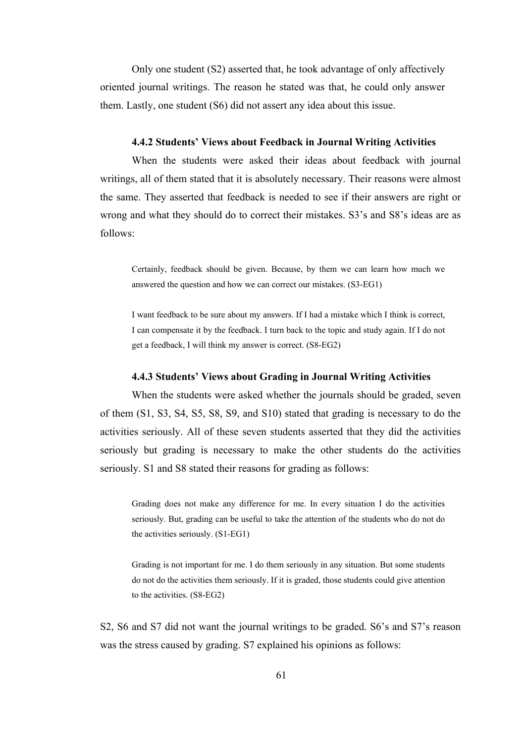Only one student (S2) asserted that, he took advantage of only affectively oriented journal writings. The reason he stated was that, he could only answer them. Lastly, one student (S6) did not assert any idea about this issue.

#### **4.4.2 Students' Views about Feedback in Journal Writing Activities**

When the students were asked their ideas about feedback with journal writings, all of them stated that it is absolutely necessary. Their reasons were almost the same. They asserted that feedback is needed to see if their answers are right or wrong and what they should do to correct their mistakes. S3's and S8's ideas are as follows:

Certainly, feedback should be given. Because, by them we can learn how much we answered the question and how we can correct our mistakes. (S3-EG1)

I want feedback to be sure about my answers. If I had a mistake which I think is correct, I can compensate it by the feedback. I turn back to the topic and study again. If I do not get a feedback, I will think my answer is correct. (S8-EG2)

#### **4.4.3 Students' Views about Grading in Journal Writing Activities**

When the students were asked whether the journals should be graded, seven of them (S1, S3, S4, S5, S8, S9, and S10) stated that grading is necessary to do the activities seriously. All of these seven students asserted that they did the activities seriously but grading is necessary to make the other students do the activities seriously. S1 and S8 stated their reasons for grading as follows:

Grading does not make any difference for me. In every situation I do the activities seriously. But, grading can be useful to take the attention of the students who do not do the activities seriously. (S1-EG1)

Grading is not important for me. I do them seriously in any situation. But some students do not do the activities them seriously. If it is graded, those students could give attention to the activities. (S8-EG2)

S2, S6 and S7 did not want the journal writings to be graded. S6's and S7's reason was the stress caused by grading. S7 explained his opinions as follows: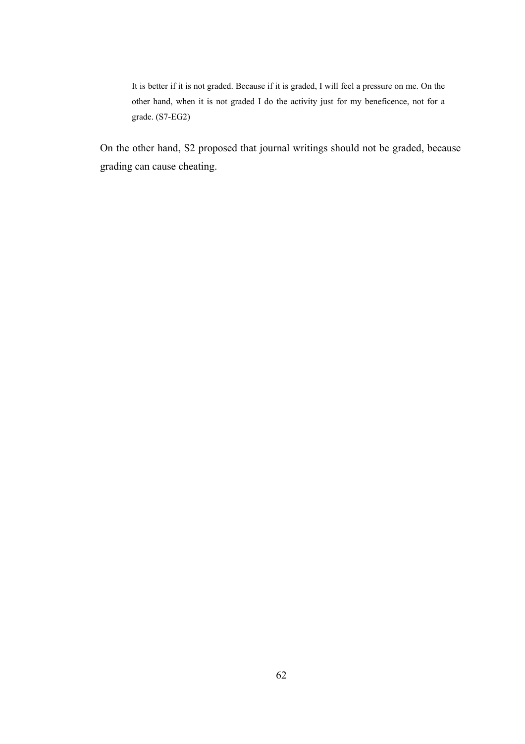It is better if it is not graded. Because if it is graded, I will feel a pressure on me. On the other hand, when it is not graded I do the activity just for my beneficence, not for a grade. (S7-EG2)

On the other hand, S2 proposed that journal writings should not be graded, because grading can cause cheating.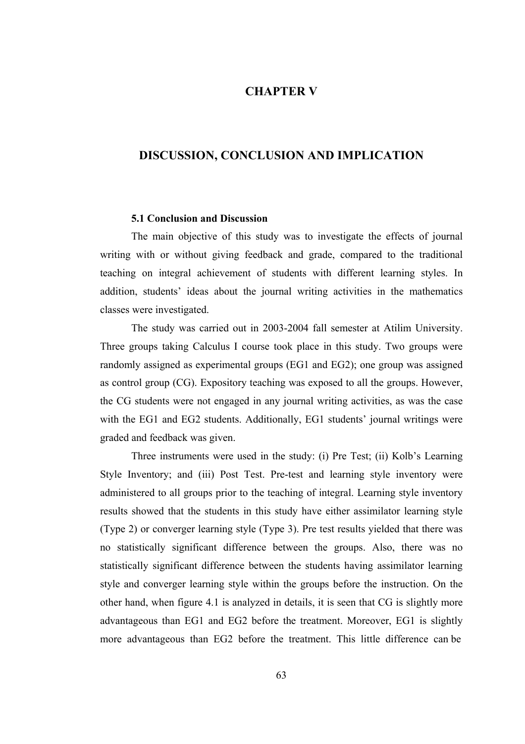## **CHAPTER V**

### **DISCUSSION, CONCLUSION AND IMPLICATION**

#### **5.1 Conclusion and Discussion**

The main objective of this study was to investigate the effects of journal writing with or without giving feedback and grade, compared to the traditional teaching on integral achievement of students with different learning styles. In addition, students' ideas about the journal writing activities in the mathematics classes were investigated.

 The study was carried out in 2003-2004 fall semester at Atilim University. Three groups taking Calculus I course took place in this study. Two groups were randomly assigned as experimental groups (EG1 and EG2); one group was assigned as control group (CG). Expository teaching was exposed to all the groups. However, the CG students were not engaged in any journal writing activities, as was the case with the EG1 and EG2 students. Additionally, EG1 students' journal writings were graded and feedback was given.

 Three instruments were used in the study: (i) Pre Test; (ii) Kolb's Learning Style Inventory; and (iii) Post Test. Pre-test and learning style inventory were administered to all groups prior to the teaching of integral. Learning style inventory results showed that the students in this study have either assimilator learning style (Type 2) or converger learning style (Type 3). Pre test results yielded that there was no statistically significant difference between the groups. Also, there was no statistically significant difference between the students having assimilator learning style and converger learning style within the groups before the instruction. On the other hand, when figure 4.1 is analyzed in details, it is seen that CG is slightly more advantageous than EG1 and EG2 before the treatment. Moreover, EG1 is slightly more advantageous than EG2 before the treatment. This little difference can be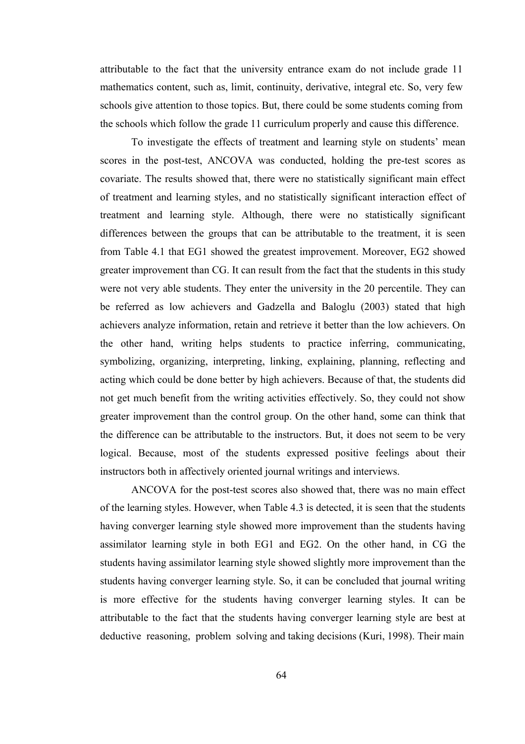attributable to the fact that the university entrance exam do not include grade 11 mathematics content, such as, limit, continuity, derivative, integral etc. So, very few schools give attention to those topics. But, there could be some students coming from the schools which follow the grade 11 curriculum properly and cause this difference.

 To investigate the effects of treatment and learning style on students' mean scores in the post-test, ANCOVA was conducted, holding the pre-test scores as covariate. The results showed that, there were no statistically significant main effect of treatment and learning styles, and no statistically significant interaction effect of treatment and learning style. Although, there were no statistically significant differences between the groups that can be attributable to the treatment, it is seen from Table 4.1 that EG1 showed the greatest improvement. Moreover, EG2 showed greater improvement than CG. It can result from the fact that the students in this study were not very able students. They enter the university in the 20 percentile. They can be referred as low achievers and Gadzella and Baloglu (2003) stated that high achievers analyze information, retain and retrieve it better than the low achievers. On the other hand, writing helps students to practice inferring, communicating, symbolizing, organizing, interpreting, linking, explaining, planning, reflecting and acting which could be done better by high achievers. Because of that, the students did not get much benefit from the writing activities effectively. So, they could not show greater improvement than the control group. On the other hand, some can think that the difference can be attributable to the instructors. But, it does not seem to be very logical. Because, most of the students expressed positive feelings about their instructors both in affectively oriented journal writings and interviews.

 ANCOVA for the post-test scores also showed that, there was no main effect of the learning styles. However, when Table 4.3 is detected, it is seen that the students having converger learning style showed more improvement than the students having assimilator learning style in both EG1 and EG2. On the other hand, in CG the students having assimilator learning style showed slightly more improvement than the students having converger learning style. So, it can be concluded that journal writing is more effective for the students having converger learning styles. It can be attributable to the fact that the students having converger learning style are best at deductive reasoning, problem solving and taking decisions (Kuri, 1998). Their main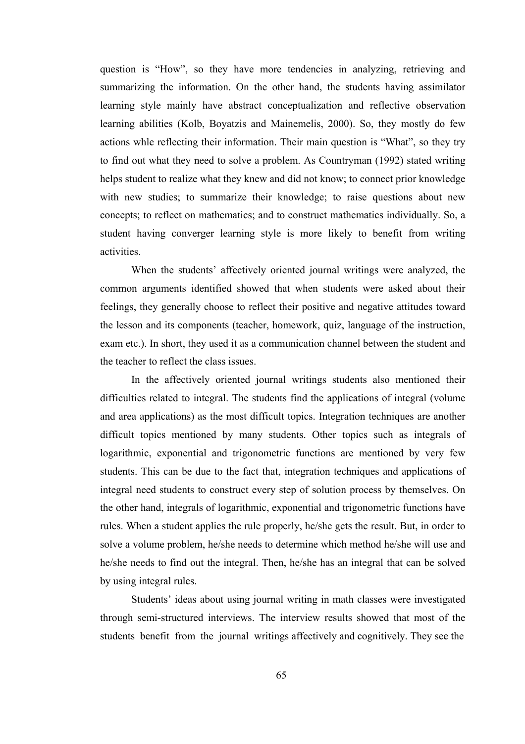question is "How", so they have more tendencies in analyzing, retrieving and summarizing the information. On the other hand, the students having assimilator learning style mainly have abstract conceptualization and reflective observation learning abilities (Kolb, Boyatzis and Mainemelis, 2000). So, they mostly do few actions whle reflecting their information. Their main question is "What", so they try to find out what they need to solve a problem. As Countryman (1992) stated writing helps student to realize what they knew and did not know; to connect prior knowledge with new studies; to summarize their knowledge; to raise questions about new concepts; to reflect on mathematics; and to construct mathematics individually. So, a student having converger learning style is more likely to benefit from writing activities.

 When the students' affectively oriented journal writings were analyzed, the common arguments identified showed that when students were asked about their feelings, they generally choose to reflect their positive and negative attitudes toward the lesson and its components (teacher, homework, quiz, language of the instruction, exam etc.). In short, they used it as a communication channel between the student and the teacher to reflect the class issues.

 In the affectively oriented journal writings students also mentioned their difficulties related to integral. The students find the applications of integral (volume and area applications) as the most difficult topics. Integration techniques are another difficult topics mentioned by many students. Other topics such as integrals of logarithmic, exponential and trigonometric functions are mentioned by very few students. This can be due to the fact that, integration techniques and applications of integral need students to construct every step of solution process by themselves. On the other hand, integrals of logarithmic, exponential and trigonometric functions have rules. When a student applies the rule properly, he/she gets the result. But, in order to solve a volume problem, he/she needs to determine which method he/she will use and he/she needs to find out the integral. Then, he/she has an integral that can be solved by using integral rules.

 Students' ideas about using journal writing in math classes were investigated through semi-structured interviews. The interview results showed that most of the students benefit from the journal writings affectively and cognitively. They see the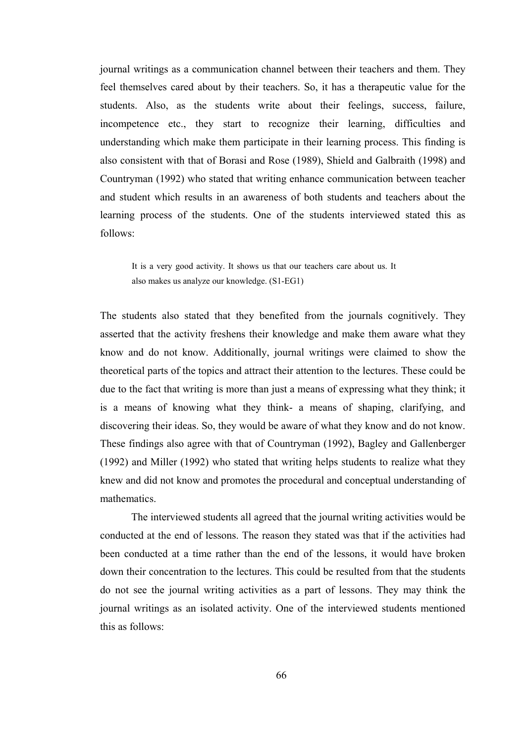journal writings as a communication channel between their teachers and them. They feel themselves cared about by their teachers. So, it has a therapeutic value for the students. Also, as the students write about their feelings, success, failure, incompetence etc., they start to recognize their learning, difficulties and understanding which make them participate in their learning process. This finding is also consistent with that of Borasi and Rose (1989), Shield and Galbraith (1998) and Countryman (1992) who stated that writing enhance communication between teacher and student which results in an awareness of both students and teachers about the learning process of the students. One of the students interviewed stated this as follows:

It is a very good activity. It shows us that our teachers care about us. It also makes us analyze our knowledge. (S1-EG1)

The students also stated that they benefited from the journals cognitively. They asserted that the activity freshens their knowledge and make them aware what they know and do not know. Additionally, journal writings were claimed to show the theoretical parts of the topics and attract their attention to the lectures. These could be due to the fact that writing is more than just a means of expressing what they think; it is a means of knowing what they think- a means of shaping, clarifying, and discovering their ideas. So, they would be aware of what they know and do not know. These findings also agree with that of Countryman (1992), Bagley and Gallenberger (1992) and Miller (1992) who stated that writing helps students to realize what they knew and did not know and promotes the procedural and conceptual understanding of mathematics.

 The interviewed students all agreed that the journal writing activities would be conducted at the end of lessons. The reason they stated was that if the activities had been conducted at a time rather than the end of the lessons, it would have broken down their concentration to the lectures. This could be resulted from that the students do not see the journal writing activities as a part of lessons. They may think the journal writings as an isolated activity. One of the interviewed students mentioned this as follows: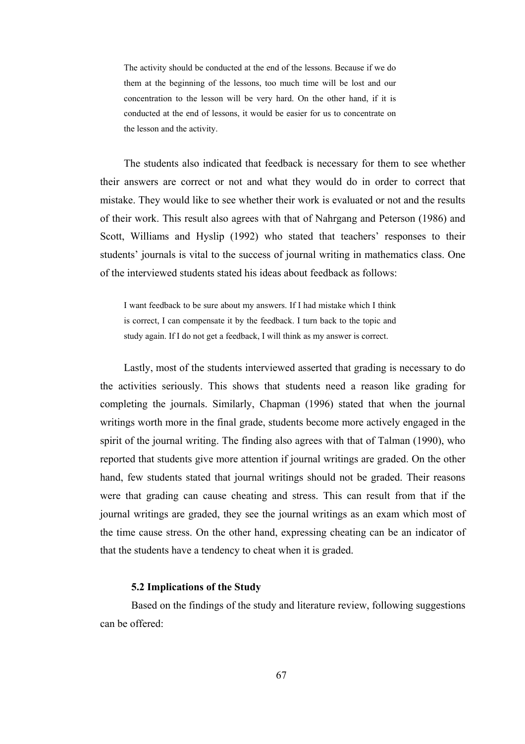The activity should be conducted at the end of the lessons. Because if we do them at the beginning of the lessons, too much time will be lost and our concentration to the lesson will be very hard. On the other hand, if it is conducted at the end of lessons, it would be easier for us to concentrate on the lesson and the activity.

The students also indicated that feedback is necessary for them to see whether their answers are correct or not and what they would do in order to correct that mistake. They would like to see whether their work is evaluated or not and the results of their work. This result also agrees with that of Nahrgang and Peterson (1986) and Scott, Williams and Hyslip (1992) who stated that teachers' responses to their students' journals is vital to the success of journal writing in mathematics class. One of the interviewed students stated his ideas about feedback as follows:

I want feedback to be sure about my answers. If I had mistake which I think is correct, I can compensate it by the feedback. I turn back to the topic and study again. If I do not get a feedback, I will think as my answer is correct.

Lastly, most of the students interviewed asserted that grading is necessary to do the activities seriously. This shows that students need a reason like grading for completing the journals. Similarly, Chapman (1996) stated that when the journal writings worth more in the final grade, students become more actively engaged in the spirit of the journal writing. The finding also agrees with that of Talman (1990), who reported that students give more attention if journal writings are graded. On the other hand, few students stated that journal writings should not be graded. Their reasons were that grading can cause cheating and stress. This can result from that if the journal writings are graded, they see the journal writings as an exam which most of the time cause stress. On the other hand, expressing cheating can be an indicator of that the students have a tendency to cheat when it is graded.

#### **5.2 Implications of the Study**

Based on the findings of the study and literature review, following suggestions can be offered: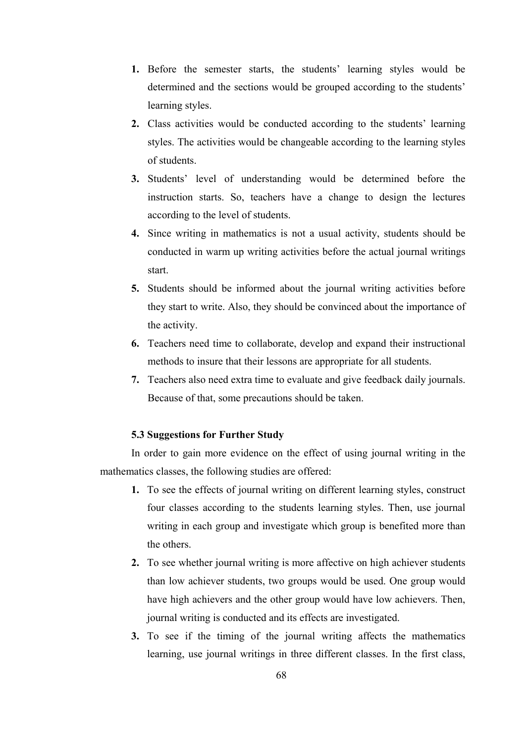- **1.** Before the semester starts, the students' learning styles would be determined and the sections would be grouped according to the students' learning styles.
- **2.** Class activities would be conducted according to the students' learning styles. The activities would be changeable according to the learning styles of students.
- **3.** Students' level of understanding would be determined before the instruction starts. So, teachers have a change to design the lectures according to the level of students.
- **4.** Since writing in mathematics is not a usual activity, students should be conducted in warm up writing activities before the actual journal writings start.
- **5.** Students should be informed about the journal writing activities before they start to write. Also, they should be convinced about the importance of the activity.
- **6.** Teachers need time to collaborate, develop and expand their instructional methods to insure that their lessons are appropriate for all students.
- **7.** Teachers also need extra time to evaluate and give feedback daily journals. Because of that, some precautions should be taken.

#### **5.3 Suggestions for Further Study**

 In order to gain more evidence on the effect of using journal writing in the mathematics classes, the following studies are offered:

- **1.** To see the effects of journal writing on different learning styles, construct four classes according to the students learning styles. Then, use journal writing in each group and investigate which group is benefited more than the others.
- **2.** To see whether journal writing is more affective on high achiever students than low achiever students, two groups would be used. One group would have high achievers and the other group would have low achievers. Then, journal writing is conducted and its effects are investigated.
- **3.** To see if the timing of the journal writing affects the mathematics learning, use journal writings in three different classes. In the first class,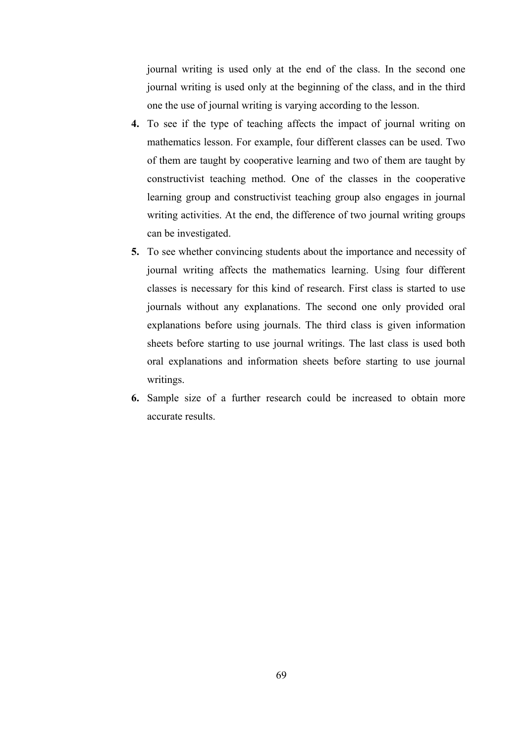journal writing is used only at the end of the class. In the second one journal writing is used only at the beginning of the class, and in the third one the use of journal writing is varying according to the lesson.

- **4.** To see if the type of teaching affects the impact of journal writing on mathematics lesson. For example, four different classes can be used. Two of them are taught by cooperative learning and two of them are taught by constructivist teaching method. One of the classes in the cooperative learning group and constructivist teaching group also engages in journal writing activities. At the end, the difference of two journal writing groups can be investigated.
- **5.** To see whether convincing students about the importance and necessity of journal writing affects the mathematics learning. Using four different classes is necessary for this kind of research. First class is started to use journals without any explanations. The second one only provided oral explanations before using journals. The third class is given information sheets before starting to use journal writings. The last class is used both oral explanations and information sheets before starting to use journal writings.
- **6.** Sample size of a further research could be increased to obtain more accurate results.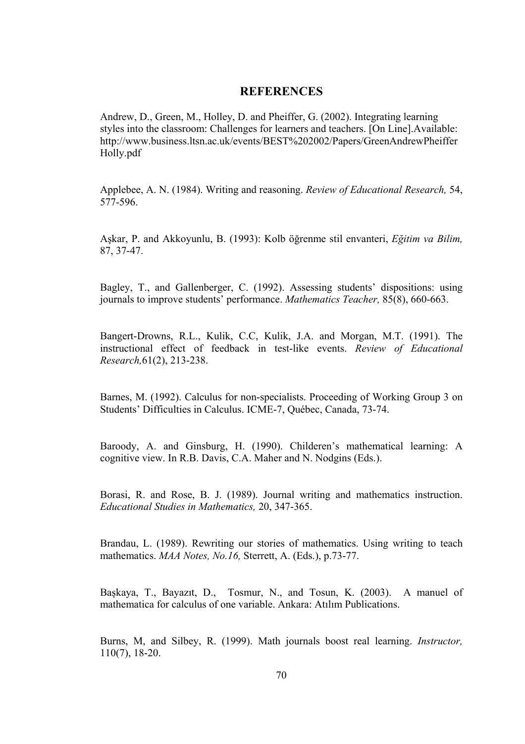#### **REFERENCES**

Andrew, D., Green, M., Holley, D. and Pheiffer, G. (2002). Integrating learning styles into the classroom: Challenges for learners and teachers. [On Line].Available: http://www.business.ltsn.ac.uk/events/BEST%202002/Papers/GreenAndrewPheiffer Holly.pdf

Applebee, A. N. (1984). Writing and reasoning. *Review of Educational Research,* 54, 577-596.

Aşkar, P. and Akkoyunlu, B. (1993): Kolb öğrenme stil envanteri, *Eğitim va Bilim,*  87, 37-47.

Bagley, T., and Gallenberger, C. (1992). Assessing students' dispositions: using journals to improve students' performance. *Mathematics Teacher,* 85(8), 660-663.

Bangert-Drowns, R.L., Kulik, C.C, Kulik, J.A. and Morgan, M.T. (1991). The instructional effect of feedback in test-like events. *Review of Educational Research,*61(2), 213-238.

Barnes, M. (1992). Calculus for non-specialists. Proceeding of Working Group 3 on Students' Difficulties in Calculus. ICME-7, Québec, Canada, 73-74.

Baroody, A. and Ginsburg, H. (1990). Childeren's mathematical learning: A cognitive view. In R.B. Davis, C.A. Maher and N. Nodgins (Eds.).

Borasi, R. and Rose, B. J. (1989). Journal writing and mathematics instruction. *Educational Studies in Mathematics,* 20, 347-365.

Brandau, L. (1989). Rewriting our stories of mathematics. Using writing to teach mathematics. *MAA Notes, No.16,* Sterrett, A. (Eds.), p.73-77.

Başkaya, T., Bayazıt, D., Tosmur, N., and Tosun, K. (2003). A manuel of mathematica for calculus of one variable. Ankara: Atılım Publications.

Burns, M, and Silbey, R. (1999). Math journals boost real learning. *Instructor,*  110(7), 18-20.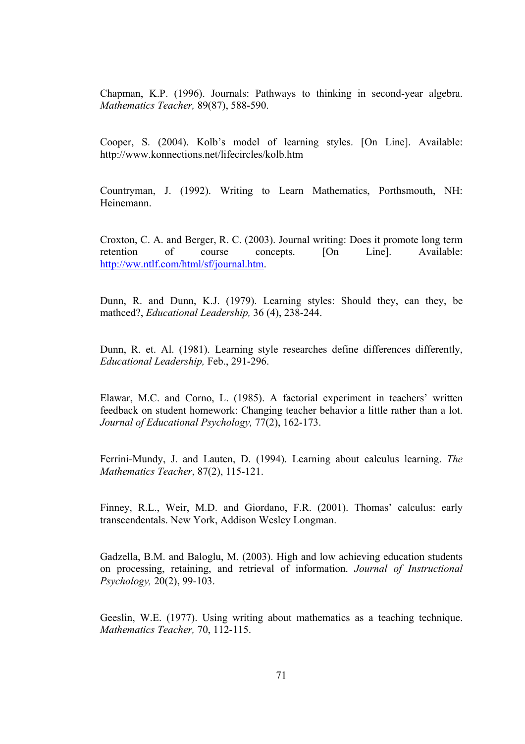Chapman, K.P. (1996). Journals: Pathways to thinking in second-year algebra. *Mathematics Teacher,* 89(87), 588-590.

Cooper, S. (2004). Kolb's model of learning styles. [On Line]. Available: http://www.konnections.net/lifecircles/kolb.htm

Countryman, J. (1992). Writing to Learn Mathematics, Porthsmouth, NH: Heinemann.

Croxton, C. A. and Berger, R. C. (2003). Journal writing: Does it promote long term retention of course concepts. [On Line]. Available: http://ww.ntlf.com/html/sf/journal.htm.

Dunn, R. and Dunn, K.J. (1979). Learning styles: Should they, can they, be mathced?, *Educational Leadership,* 36 (4), 238-244.

Dunn, R. et. Al. (1981). Learning style researches define differences differently, *Educational Leadership,* Feb., 291-296.

Elawar, M.C. and Corno, L. (1985). A factorial experiment in teachers' written feedback on student homework: Changing teacher behavior a little rather than a lot. *Journal of Educational Psychology,* 77(2), 162-173.

Ferrini-Mundy, J. and Lauten, D. (1994). Learning about calculus learning. *The Mathematics Teacher*, 87(2), 115-121.

Finney, R.L., Weir, M.D. and Giordano, F.R. (2001). Thomas' calculus: early transcendentals. New York, Addison Wesley Longman.

Gadzella, B.M. and Baloglu, M. (2003). High and low achieving education students on processing, retaining, and retrieval of information. *Journal of Instructional Psychology,* 20(2), 99-103.

Geeslin, W.E. (1977). Using writing about mathematics as a teaching technique. *Mathematics Teacher,* 70, 112-115.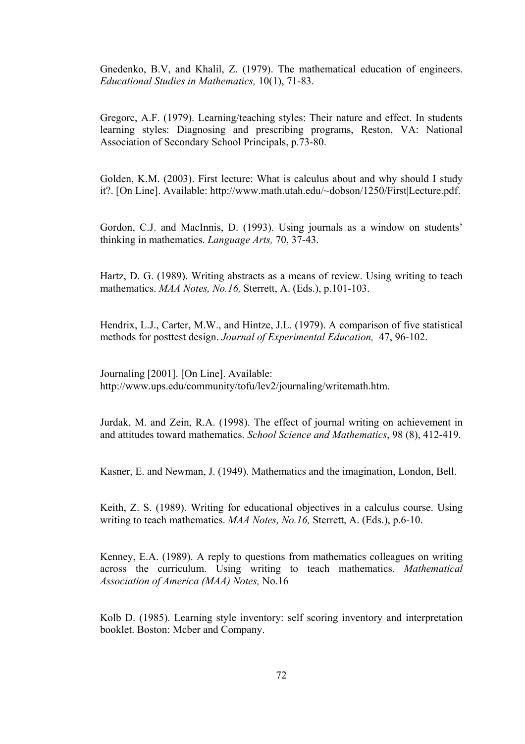Gnedenko, B.V, and Khalil, Z. (1979). The mathematical education of engineers. *Educational Studies in Mathematics,* 10(1), 71-83.

Gregorc, A.F. (1979). Learning/teaching styles: Their nature and effect. In students learning styles: Diagnosing and prescribing programs, Reston, VA: National Association of Secondary School Principals, p.73-80.

Golden, K.M. (2003). First lecture: What is calculus about and why should I study it?. [On Line]. Available: http://www.math.utah.edu/~dobson/1250/First|Lecture.pdf.

Gordon, C.J. and MacInnis, D. (1993). Using journals as a window on students' thinking in mathematics. *Language Arts,* 70, 37-43.

Hartz, D. G. (1989). Writing abstracts as a means of review. Using writing to teach mathematics. *MAA Notes, No.16,* Sterrett, A. (Eds.), p.101-103.

Hendrix, L.J., Carter, M.W., and Hintze, J.L. (1979). A comparison of five statistical methods for posttest design. *Journal of Experimental Education,* 47, 96-102.

Journaling [2001]. [On Line]. Available: http://www.ups.edu/community/tofu/lev2/journaling/writemath.htm.

Jurdak, M. and Zein, R.A. (1998). The effect of journal writing on achievement in and attitudes toward mathematics. *School Science and Mathematics*, 98 (8), 412-419.

Kasner, E. and Newman, J. (1949). Mathematics and the imagination, London, Bell.

Keith, Z. S. (1989). Writing for educational objectives in a calculus course. Using writing to teach mathematics. *MAA Notes, No.16,* Sterrett, A. (Eds.), p.6-10.

Kenney, E.A. (1989). A reply to questions from mathematics colleagues on writing across the curriculum. Using writing to teach mathematics. *Mathematical Association of America (MAA) Notes,* No.16

Kolb D. (1985). Learning style inventory: self scoring inventory and interpretation booklet. Boston: Mcber and Company.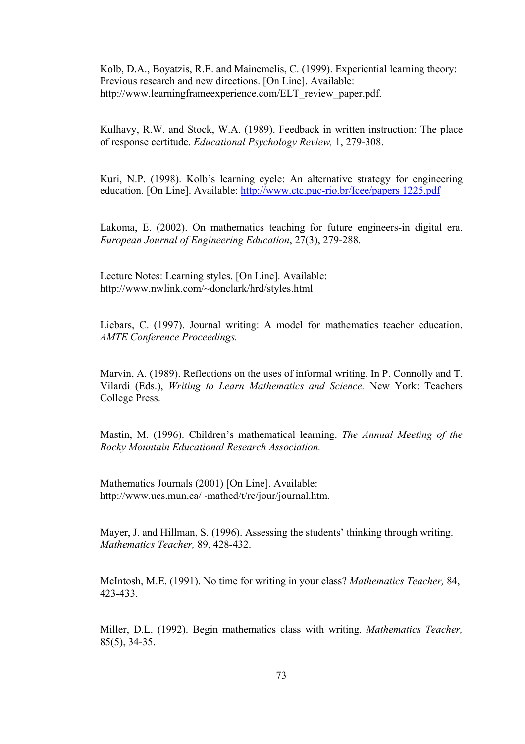Kolb, D.A., Boyatzis, R.E. and Mainemelis, C. (1999). Experiential learning theory: Previous research and new directions. [On Line]. Available: http://www.learningframeexperience.com/ELT\_review\_paper.pdf.

Kulhavy, R.W. and Stock, W.A. (1989). Feedback in written instruction: The place of response certitude. *Educational Psychology Review,* 1, 279-308.

Kuri, N.P. (1998). Kolb's learning cycle: An alternative strategy for engineering education. [On Line]. Available: http://www.ctc.puc-rio.br/Icee/papers 1225.pdf

Lakoma, E. (2002). On mathematics teaching for future engineers-in digital era. *European Journal of Engineering Education*, 27(3), 279-288.

Lecture Notes: Learning styles. [On Line]. Available: http://www.nwlink.com/~donclark/hrd/styles.html

Liebars, C. (1997). Journal writing: A model for mathematics teacher education. *AMTE Conference Proceedings.* 

Marvin, A. (1989). Reflections on the uses of informal writing. In P. Connolly and T. Vilardi (Eds.), *Writing to Learn Mathematics and Science.* New York: Teachers College Press.

Mastin, M. (1996). Children's mathematical learning. *The Annual Meeting of the Rocky Mountain Educational Research Association.* 

Mathematics Journals (2001) [On Line]. Available: http://www.ucs.mun.ca/~mathed/t/rc/jour/journal.htm.

Mayer, J. and Hillman, S. (1996). Assessing the students' thinking through writing. *Mathematics Teacher,* 89, 428-432.

McIntosh, M.E. (1991). No time for writing in your class? *Mathematics Teacher,* 84, 423-433.

Miller, D.L. (1992). Begin mathematics class with writing. *Mathematics Teacher,*  85(5), 34-35.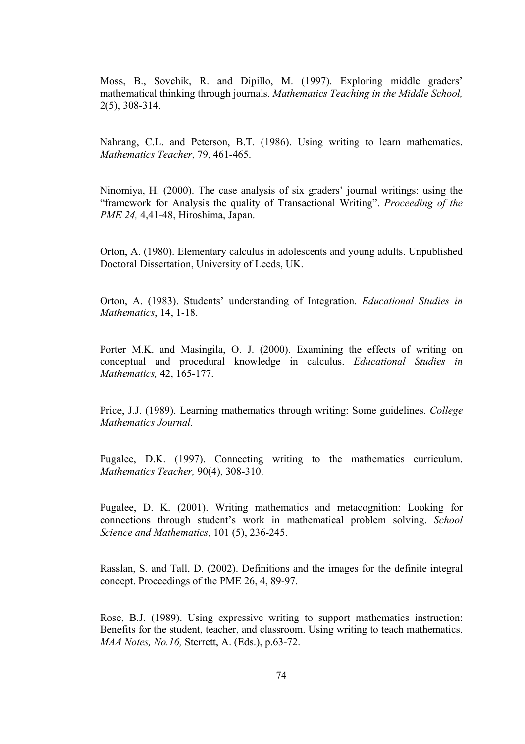Moss, B., Sovchik, R. and Dipillo, M. (1997). Exploring middle graders' mathematical thinking through journals. *Mathematics Teaching in the Middle School,*  2(5), 308-314.

Nahrang, C.L. and Peterson, B.T. (1986). Using writing to learn mathematics. *Mathematics Teacher*, 79, 461-465.

Ninomiya, H. (2000). The case analysis of six graders' journal writings: using the "framework for Analysis the quality of Transactional Writing". *Proceeding of the PME 24, 4,41-48, Hiroshima, Japan.* 

Orton, A. (1980). Elementary calculus in adolescents and young adults. Unpublished Doctoral Dissertation, University of Leeds, UK.

Orton, A. (1983). Students' understanding of Integration. *Educational Studies in Mathematics*, 14, 1-18.

Porter M.K. and Masingila, O. J. (2000). Examining the effects of writing on conceptual and procedural knowledge in calculus. *Educational Studies in Mathematics,* 42, 165-177.

Price, J.J. (1989). Learning mathematics through writing: Some guidelines. *College Mathematics Journal.* 

Pugalee, D.K. (1997). Connecting writing to the mathematics curriculum. *Mathematics Teacher,* 90(4), 308-310.

Pugalee, D. K. (2001). Writing mathematics and metacognition: Looking for connections through student's work in mathematical problem solving. *School Science and Mathematics,* 101 (5), 236-245.

Rasslan, S. and Tall, D. (2002). Definitions and the images for the definite integral concept. Proceedings of the PME 26, 4, 89-97.

Rose, B.J. (1989). Using expressive writing to support mathematics instruction: Benefits for the student, teacher, and classroom. Using writing to teach mathematics. *MAA Notes, No.16,* Sterrett, A. (Eds.), p.63-72.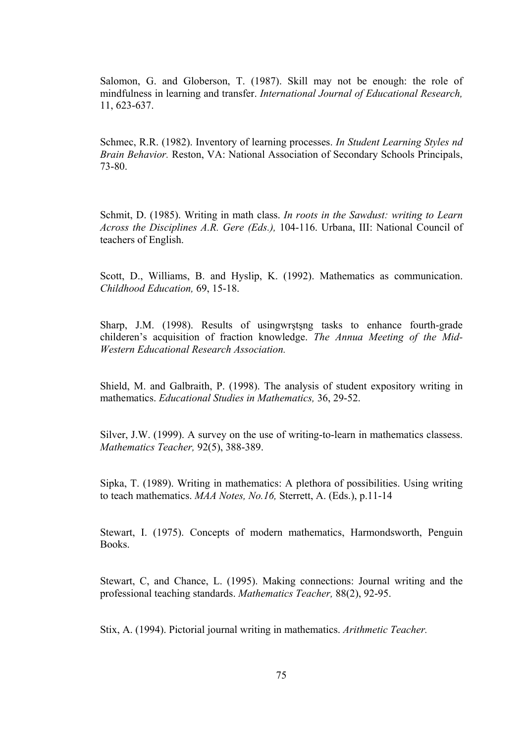Salomon, G. and Globerson, T. (1987). Skill may not be enough: the role of mindfulness in learning and transfer. *International Journal of Educational Research,*  11, 623-637.

Schmec, R.R. (1982). Inventory of learning processes. *In Student Learning Styles nd Brain Behavior.* Reston, VA: National Association of Secondary Schools Principals, 73-80.

Schmit, D. (1985). Writing in math class. *In roots in the Sawdust: writing to Learn Across the Disciplines A.R. Gere (Eds.),* 104-116. Urbana, III: National Council of teachers of English.

Scott, D., Williams, B. and Hyslip, K. (1992). Mathematics as communication. *Childhood Education,* 69, 15-18.

Sharp, J.M. (1998). Results of usingwrştşng tasks to enhance fourth-grade childeren's acquisition of fraction knowledge. *The Annua Meeting of the Mid-Western Educational Research Association.* 

Shield, M. and Galbraith, P. (1998). The analysis of student expository writing in mathematics. *Educational Studies in Mathematics,* 36, 29-52.

Silver, J.W. (1999). A survey on the use of writing-to-learn in mathematics classess. *Mathematics Teacher,* 92(5), 388-389.

Sipka, T. (1989). Writing in mathematics: A plethora of possibilities. Using writing to teach mathematics. *MAA Notes, No.16,* Sterrett, A. (Eds.), p.11-14

Stewart, I. (1975). Concepts of modern mathematics, Harmondsworth, Penguin Books.

Stewart, C, and Chance, L. (1995). Making connections: Journal writing and the professional teaching standards. *Mathematics Teacher,* 88(2), 92-95.

Stix, A. (1994). Pictorial journal writing in mathematics. *Arithmetic Teacher.*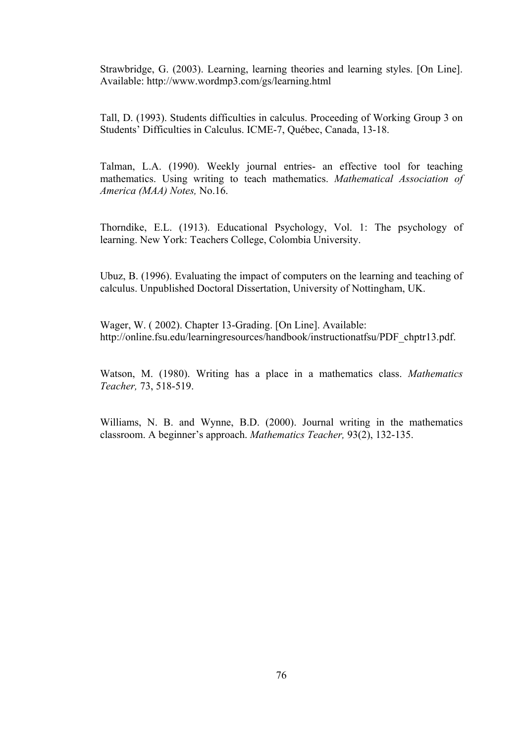Strawbridge, G. (2003). Learning, learning theories and learning styles. [On Line]. Available: http://www.wordmp3.com/gs/learning.html

Tall, D. (1993). Students difficulties in calculus. Proceeding of Working Group 3 on Students' Difficulties in Calculus. ICME-7, Québec, Canada, 13-18.

Talman, L.A. (1990). Weekly journal entries- an effective tool for teaching mathematics. Using writing to teach mathematics. *Mathematical Association of America (MAA) Notes,* No.16.

Thorndike, E.L. (1913). Educational Psychology, Vol. 1: The psychology of learning. New York: Teachers College, Colombia University.

Ubuz, B. (1996). Evaluating the impact of computers on the learning and teaching of calculus. Unpublished Doctoral Dissertation, University of Nottingham, UK.

Wager, W. ( 2002). Chapter 13-Grading. [On Line]. Available: http://online.fsu.edu/learningresources/handbook/instructionatfsu/PDF\_chptr13.pdf.

Watson, M. (1980). Writing has a place in a mathematics class. *Mathematics Teacher,* 73, 518-519.

Williams, N. B. and Wynne, B.D. (2000). Journal writing in the mathematics classroom. A beginner's approach. *Mathematics Teacher,* 93(2), 132-135.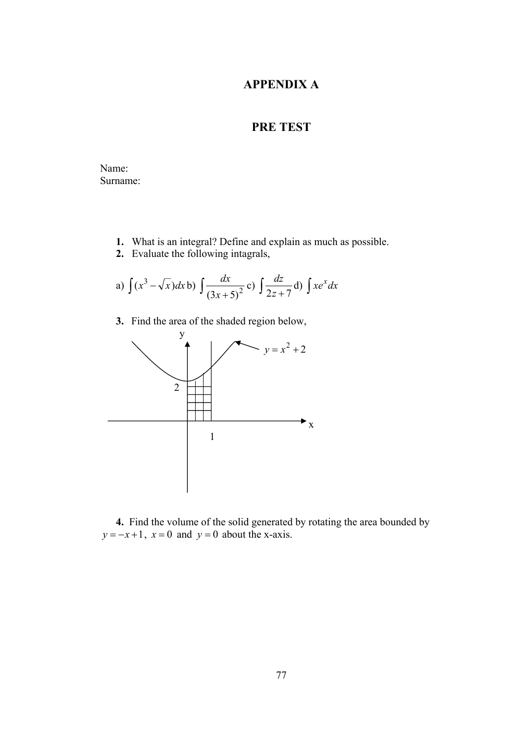## **APPENDIX A**

# **PRE TEST**

Name: Surname:

- **1.** What is an integral? Define and explain as much as possible.
- **2.** Evaluate the following intagrals,

a) 
$$
\int (x^3 - \sqrt{x}) dx
$$
b)  $\int \frac{dx}{(3x+5)^2}$ c)  $\int \frac{dz}{2z+7}$ d)  $\int xe^x dx$ 

**3.** Find the area of the shaded region below,



 **4.** Find the volume of the solid generated by rotating the area bounded by  $y = -x + 1$ ,  $x = 0$  and  $y = 0$  about the x-axis.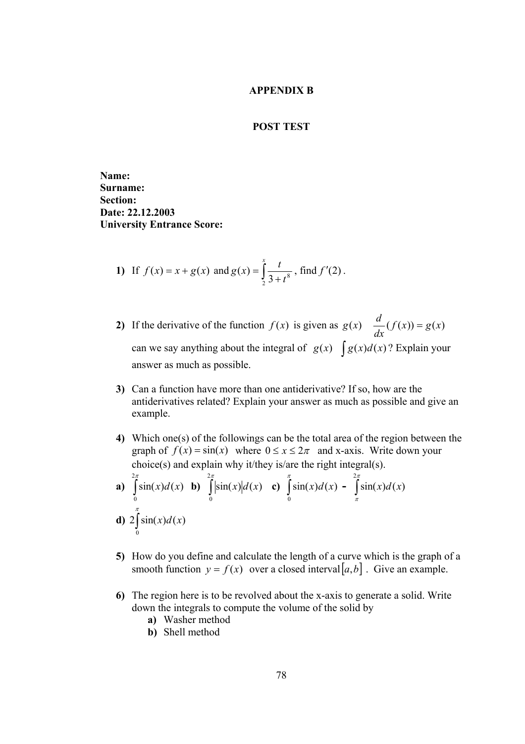#### **APPENDIX B**

#### **POST TEST**

**Name: Surname: Section: Date: 22.12.2003 University Entrance Score:** 

1) If 
$$
f(x) = x + g(x)
$$
 and  $g(x) = \int_{2}^{x} \frac{t}{3 + t^8}$ , find  $f'(2)$ .

- **2)** If the derivative of the function  $f(x)$  is given as  $g(x) = \frac{d}{dx}(f(x)) = g(x)$ can we say anything about the integral of  $g(x) \int g(x) d(x)$ ? Explain your answer as much as possible.
- **3)** Can a function have more than one antiderivative? If so, how are the antiderivatives related? Explain your answer as much as possible and give an example.
- **4)** Which one(s) of the followings can be the total area of the region between the graph of  $f(x) = \sin(x)$  where  $0 \le x \le 2\pi$  and x-axis. Write down your choice(s) and explain why it/they is/are the right integral(s).

**a)** 
$$
\int_{0}^{2\pi} \sin(x) d(x)
$$
 **b)**  $\int_{0}^{2\pi} |\sin(x)| d(x)$  **c)**  $\int_{0}^{\pi} \sin(x) d(x) - \int_{\pi}^{2\pi} \sin(x) d(x)$   
**d)**  $2 \int_{0}^{\pi} \sin(x) d(x)$ 

- **5)** How do you define and calculate the length of a curve which is the graph of a smooth function  $y = f(x)$  over a closed interval  $[a,b]$ . Give an example.
- **6)** The region here is to be revolved about the x-axis to generate a solid. Write down the integrals to compute the volume of the solid by
	- **a)** Washer method
	- **b)** Shell method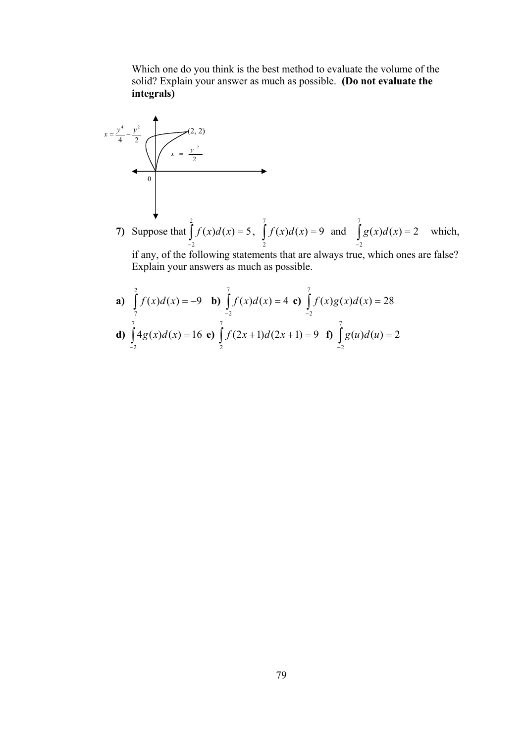Which one do you think is the best method to evaluate the volume of the solid? Explain your answer as much as possible. **(Do not evaluate the integrals)**

4 2 <sup>4</sup> <sup>2</sup> *<sup>y</sup> <sup>y</sup> <sup>x</sup>* <sup>=</sup> <sup>−</sup> (2, 2) 2 <sup>2</sup> *<sup>y</sup> <sup>x</sup>* <sup>=</sup> 0 **7)** Suppose that ∫ − = 2 2 *f* (*x*)*d*(*x*) 5, 9 ( ) ( ) 7 2 <sup>=</sup> ∫ *<sup>f</sup> <sup>x</sup> <sup>d</sup> <sup>x</sup>* and ∫ − = 7 2 *g*(*x*)*d*(*x*) 2 which, if any, of the following statements that are always true, which ones are false? Explain your answers as much as possible.

**a)** 
$$
\int_{7}^{2} f(x) d(x) = -9
$$
 **b)**  $\int_{-2}^{7} f(x) d(x) = 4$  **c)**  $\int_{-2}^{7} f(x) g(x) d(x) = 28$   
**d)**  $\int_{-2}^{7} 4g(x) d(x) = 16$  **e)**  $\int_{2}^{7} f(2x+1) d(2x+1) = 9$  **f)**  $\int_{-2}^{7} g(u) d(u) = 2$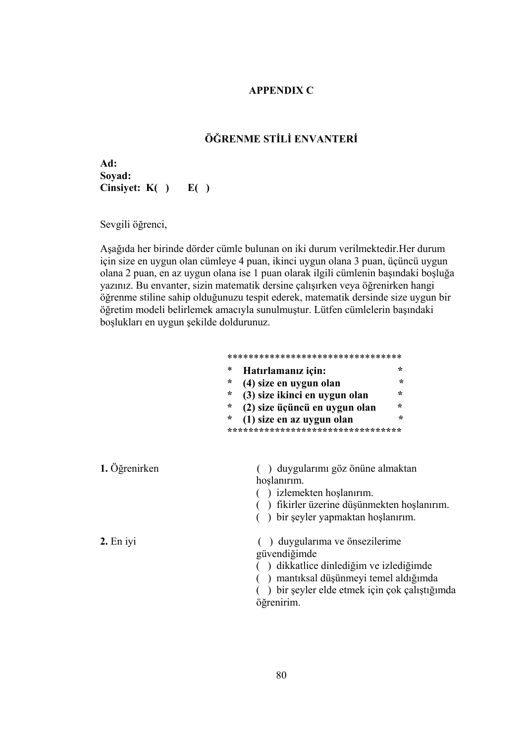#### **APPENDIX C**

## **ÖĞRENME STİLİ ENVANTERİ**

**Ad: Soyad: Cinsiyet: K( ) E( )** 

Sevgili öğrenci,

Aşağıda her birinde dörder cümle bulunan on iki durum verilmektedir.Her durum için size en uygun olan cümleye 4 puan, ikinci uygun olana 3 puan, üçüncü uygun olana 2 puan, en az uygun olana ise 1 puan olarak ilgili cümlenin başındaki boşluğa yazınız. Bu envanter, sizin matematik dersine çalışırken veya öğrenirken hangi öğrenme stiline sahip olduğunuzu tespit ederek, matematik dersinde size uygun bir öğretim modeli belirlemek amacıyla sunulmuştur. Lütfen cümlelerin başındaki boşlukları en uygun şekilde doldurunuz.

|                     | **********************************                                                                                                                                                              |  |  |
|---------------------|-------------------------------------------------------------------------------------------------------------------------------------------------------------------------------------------------|--|--|
|                     | *<br>÷<br>Hatırlamanız için:                                                                                                                                                                    |  |  |
|                     | ÷<br>(4) size en uygun olan<br>÷                                                                                                                                                                |  |  |
|                     | ÷<br>(3) size ikinci en uygun olan<br>÷                                                                                                                                                         |  |  |
|                     | (2) size üçüncü en uygun olan<br>$\star$                                                                                                                                                        |  |  |
|                     | (1) size en az uygun olan<br>÷<br>∗                                                                                                                                                             |  |  |
|                     |                                                                                                                                                                                                 |  |  |
| 1. Öğrenirken       | () duygularımı göz önüne almaktan<br>hoşlanırım.<br>) izlemekten hoşlanırım.<br>) fikirler üzerine düşünmekten hoşlanırım.<br>) bir şeyler yapmaktan hoşlanırım.                                |  |  |
| $2. \text{En }$ iyi | ) duygularıma ve önsezilerime<br>güvendiğimde<br>) dikkatlice dinlediğim ve izlediğimde<br>) mantıksal düşünmeyi temel aldığımda<br>) bir şeyler elde etmek için çok çalıştığımda<br>öğrenirim. |  |  |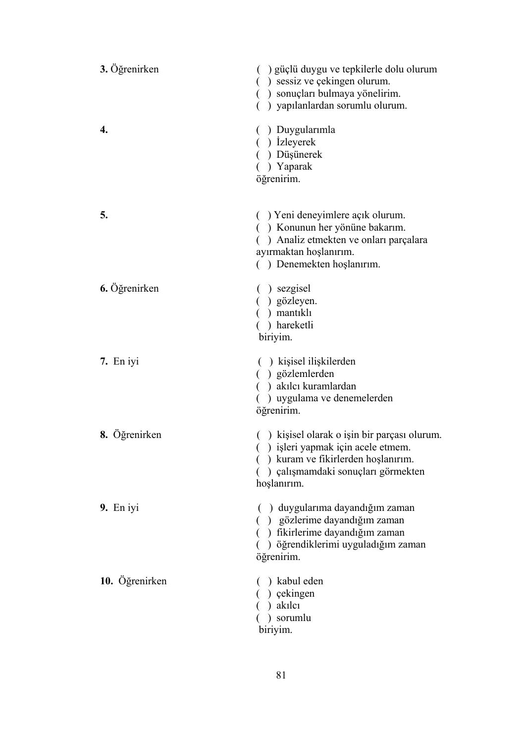| 3. Öğrenirken  | ) güçlü duygu ve tepkilerle dolu olurum<br>() sessiz ve çekingen olurum.<br>() sonuçları bulmaya yönelirim.<br>) yapılanlardan sorumlu olurum.                                 |
|----------------|--------------------------------------------------------------------------------------------------------------------------------------------------------------------------------|
| 4.             | () Duygularımla<br>() Izleyerek<br>() Düşünerek<br>) Yaparak<br>öğrenirim.                                                                                                     |
| 5.             | () Yeni deneyimlere açık olurum.<br>() Konunun her yönüne bakarım.<br>() Analiz etmekten ve onları parçalara<br>ayırmaktan hoşlanırım.<br>() Denemekten hoşlanırım.            |
| 6. Öğrenirken  | $( )$ sezgisel<br>() gözleyen.<br>() mantikli<br>) hareketli<br>biriyim.                                                                                                       |
| 7. En iyi      | () kişisel ilişkilerden<br>() gözlemlerden<br>() akılcı kuramlardan<br>) uygulama ve denemelerden<br>öğrenirim.                                                                |
| 8. Öğrenirken  | () kişisel olarak o işin bir parçası olurum.<br>() işleri yapmak için acele etmem.<br>() kuram ve fikirlerden hoşlanırım.<br>) çalışmamdaki sonuçları görmekten<br>hoşlanırım. |
| 9. En iyi      | () duygularıma dayandığım zaman<br>) gözlerime dayandığım zaman<br>) fikirlerime dayandığım zaman<br>) öğrendiklerimi uyguladığım zaman<br>öğrenirim.                          |
| 10. Öğrenirken | ) kabul eden<br>) çekingen<br>) akılcı<br>) sorumlu<br>biriyim.                                                                                                                |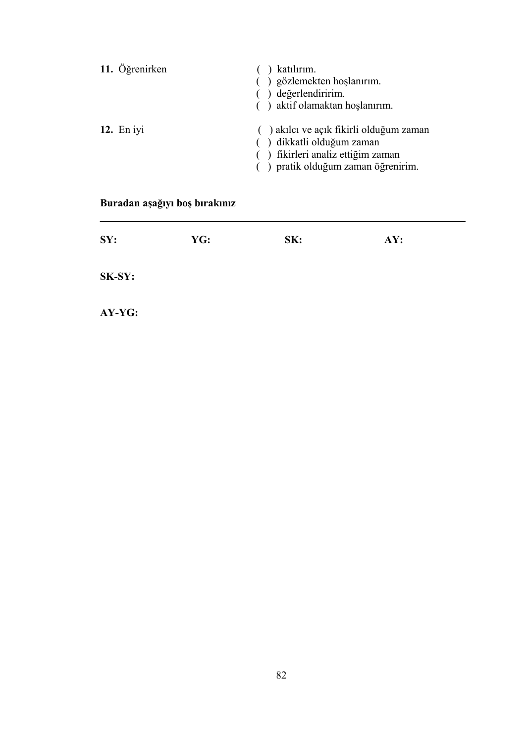| 11. Öğrenirken | katılırım.<br>() gözlemekten hoşlanırım.<br>() değerlendiririm.<br>() aktif olamaktan hoşlanırım.                                               |
|----------------|-------------------------------------------------------------------------------------------------------------------------------------------------|
| 12. En $iyi$   | () akılcı ve açık fikirli olduğum zaman<br>() dikkatli olduğum zaman<br>() fikirleri analiz ettiğim zaman<br>() pratik olduğum zaman öğrenirim. |

# **Buradan aşağıyı boş bırakınız**

| SY:    | YG: | SK: | AY: |
|--------|-----|-----|-----|
| SK-SY: |     |     |     |
| AY-YG: |     |     |     |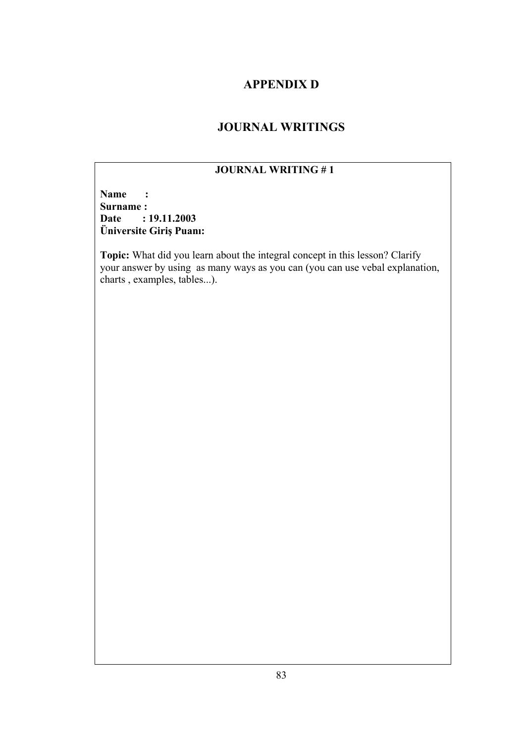## **APPENDIX D**

# **JOURNAL WRITINGS**

## **JOURNAL WRITING # 1**

**Name :**  Surname :<br>Date : **Date : 19.11.2003 Üniversite Giriş Puanı:** 

**Topic:** What did you learn about the integral concept in this lesson? Clarify your answer by using as many ways as you can (you can use vebal explanation, charts , examples, tables...).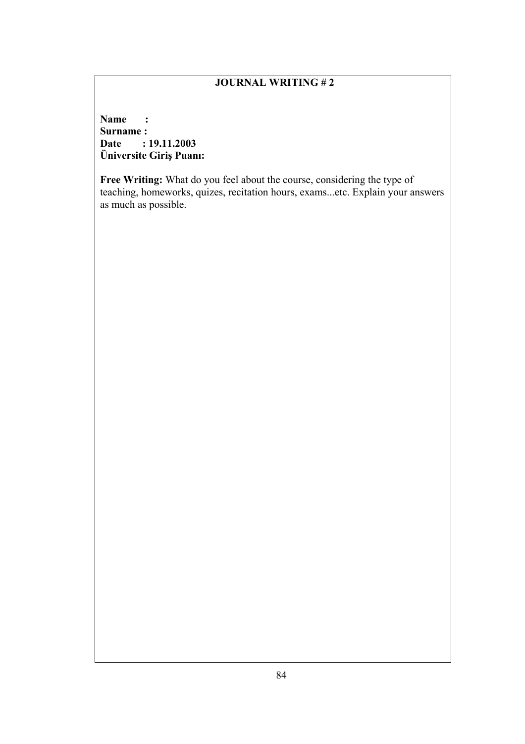**Name : Surname : Date : 19.11.2003 Üniversite Giriş Puanı:** 

**Free Writing:** What do you feel about the course, considering the type of teaching, homeworks, quizes, recitation hours, exams...etc. Explain your answers as much as possible.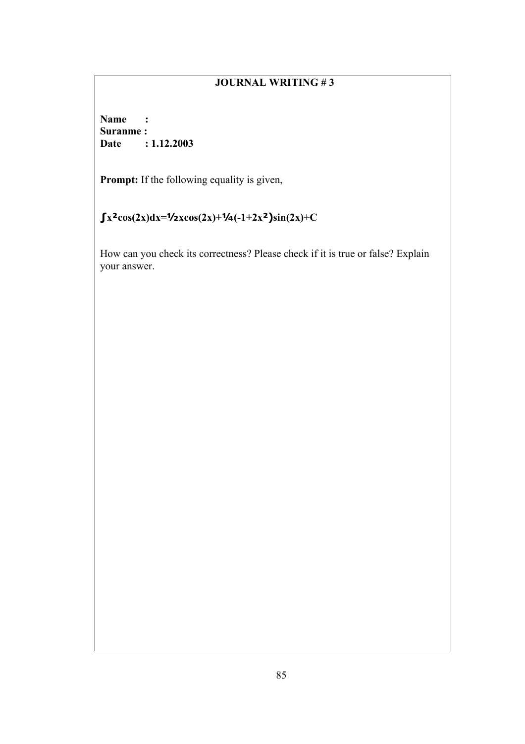**Name : Suranme : Date : 1.12.2003** 

**Prompt:** If the following equality is given,

# $\int x^2 \cos(2x) dx = \frac{1}{2}x \cos(2x) + \frac{1}{4}(-1+2x^2) \sin(2x) + C$

How can you check its correctness? Please check if it is true or false? Explain your answer.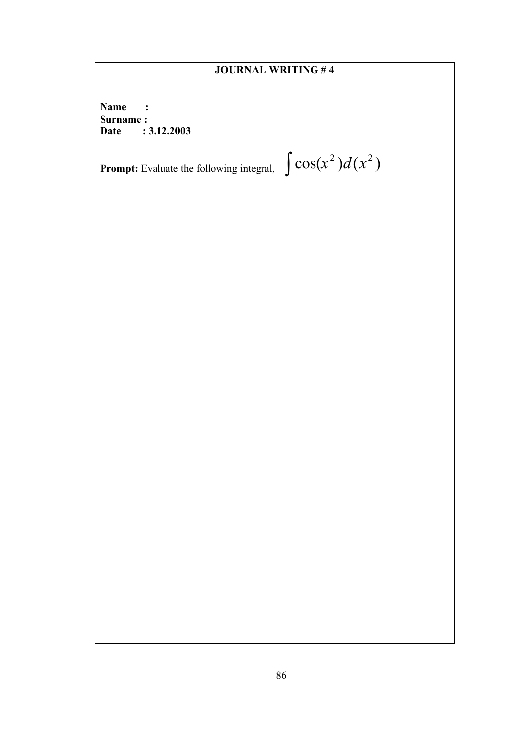**Name :**  Surname :<br>Date : **Date : 3.12.2003** 

**Prompt:** Evaluate the following integral,  $\int \cos(x^2) d(x^2)$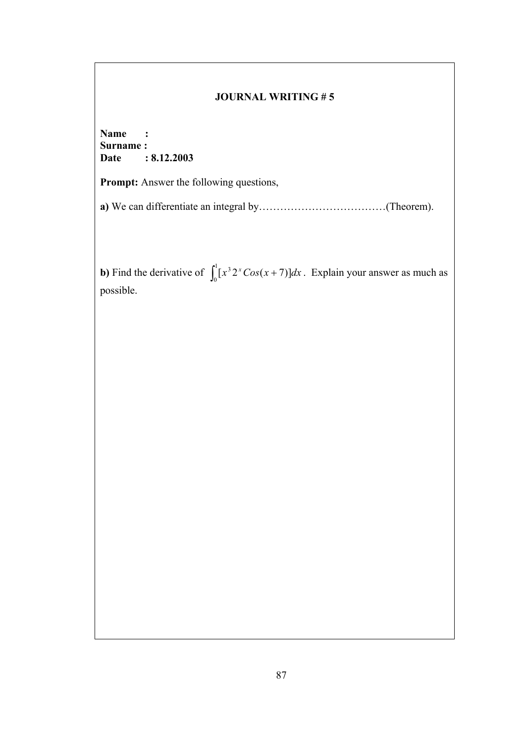**Name : Surname : Date : 8.12.2003** 

Prompt: Answer the following questions,

**a)** We can differentiate an integral by………………………………(Theorem).

**b**) Find the derivative of  $\int_0^1 [x^3 2^x \cos(x +$  $\int_{0}^{1} [x^{3} 2^{x} \cos(x+7)] dx$ . Explain your answer as much as possible.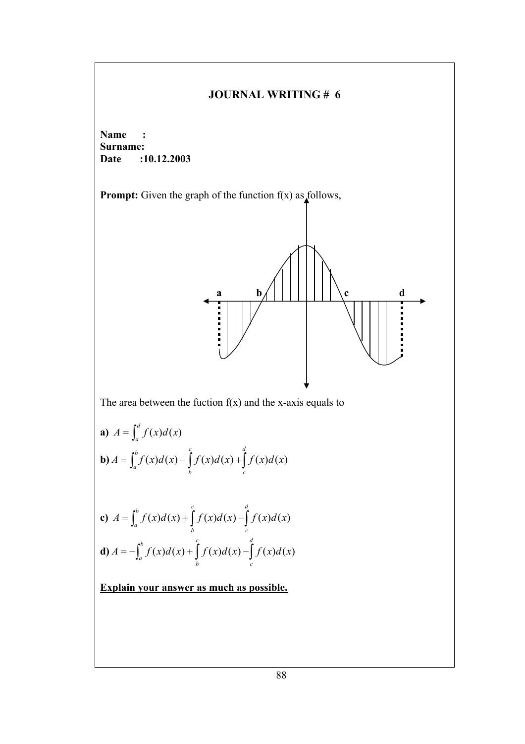**Name : Surname: Date :10.12.2003** 

**Prompt:** Given the graph of the function  $f(x)$  as follows,



The area between the fuction  $f(x)$  and the x-axis equals to

**a)** 
$$
A = \int_{a}^{d} f(x) d(x)
$$
  
\n**b)**  $A = \int_{a}^{b} f(x) d(x) - \int_{b}^{c} f(x) d(x) + \int_{c}^{d} f(x) d(x)$   
\n**c)**  $A = \int_{a}^{b} f(x) d(x) + \int_{b}^{c} f(x) d(x) - \int_{c}^{d} f(x) d(x)$ 

**d**) 
$$
A = -\int_a^b f(x)d(x) + \int_b^c f(x)d(x) - \int_c^d f(x)d(x)
$$

**Explain your answer as much as possible.**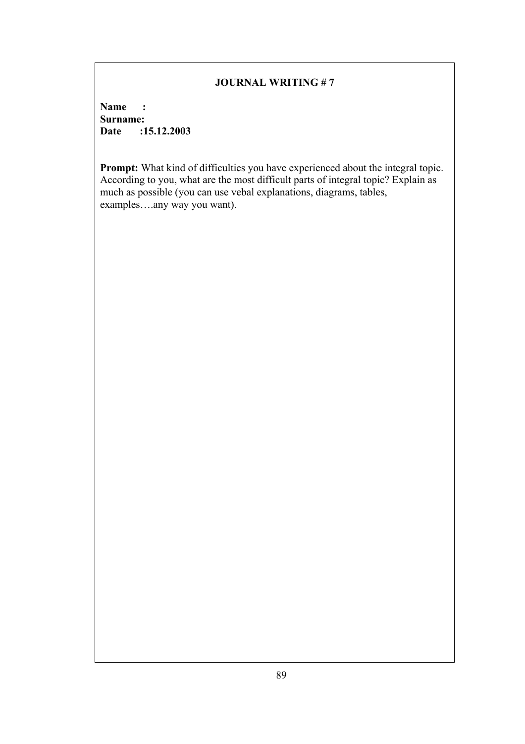**Name : Surname:**<br>Date :1 **Date :15.12.2003** 

**Prompt:** What kind of difficulties you have experienced about the integral topic. According to you, what are the most difficult parts of integral topic? Explain as much as possible (you can use vebal explanations, diagrams, tables, examples….any way you want).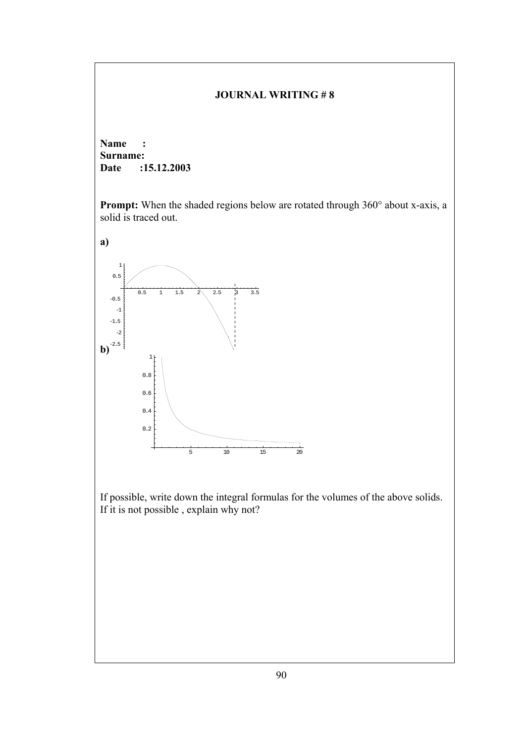**Name : Surname: Date :15.12.2003** 

**Prompt:** When the shaded regions below are rotated through 360° about x-axis, a solid is traced out.



If possible, write down the integral formulas for the volumes of the above solids. If it is not possible , explain why not?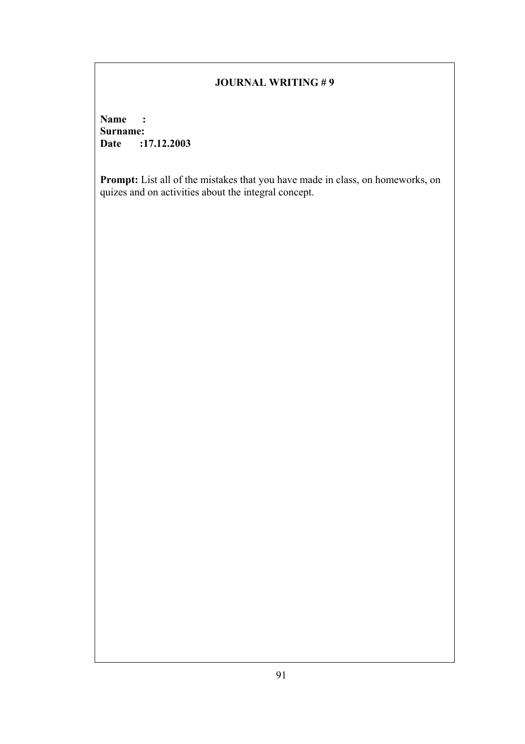**Name : Surname: Date :17.12.2003** 

**Prompt:** List all of the mistakes that you have made in class, on homeworks, on quizes and on activities about the integral concept.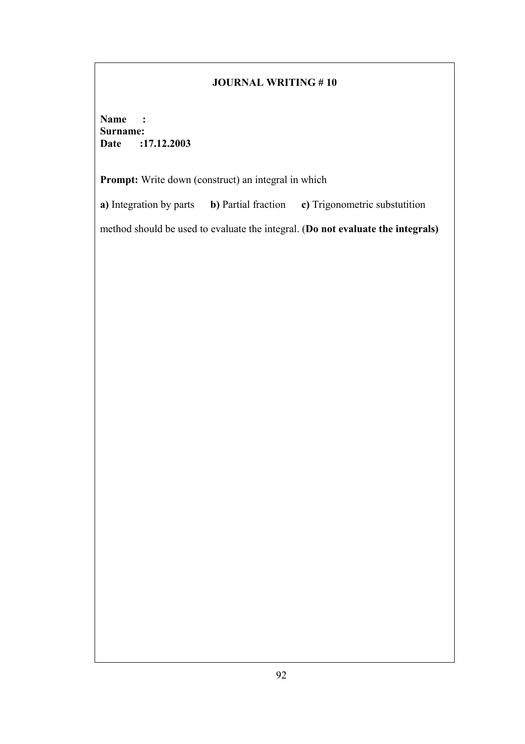**Name : Surname: Date :17.12.2003** 

Prompt: Write down (construct) an integral in which

**a)** Integration by parts **b)** Partial fraction **c)** Trigonometric substutition

method should be used to evaluate the integral. (**Do not evaluate the integrals)**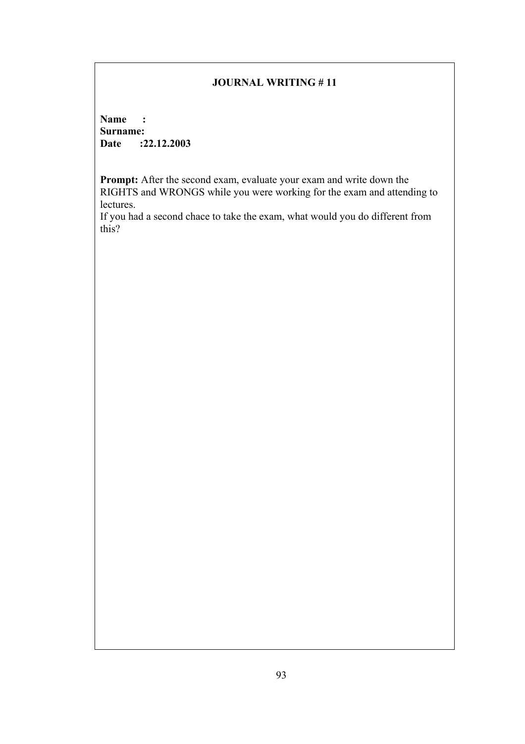**Name : Surname: Date :22.12.2003** 

**Prompt:** After the second exam, evaluate your exam and write down the RIGHTS and WRONGS while you were working for the exam and attending to lectures.

If you had a second chace to take the exam, what would you do different from this?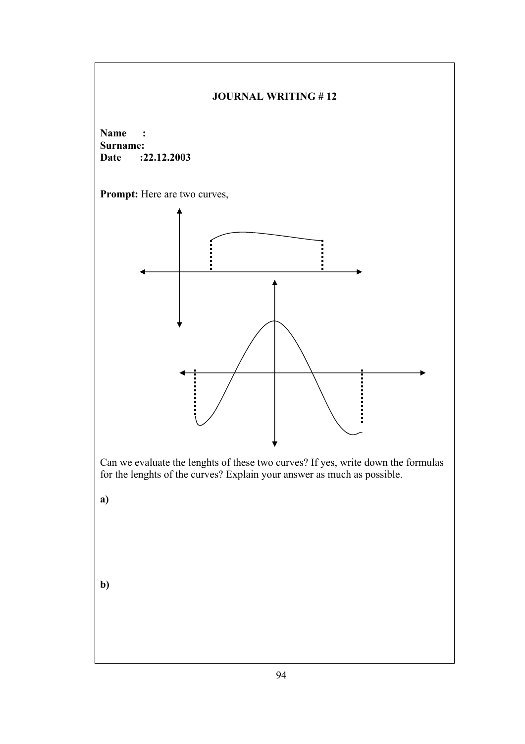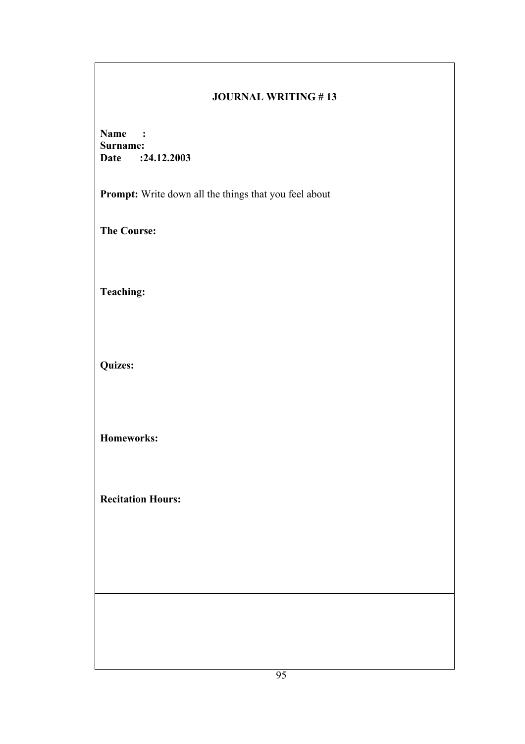## **JOURNAL WRITING # 13**

**Name : Surname: Date :24.12.2003** 

**Prompt:** Write down all the things that you feel about

**The Course:** 

**Teaching:** 

**Quizes:** 

**Homeworks:** 

**Recitation Hours:**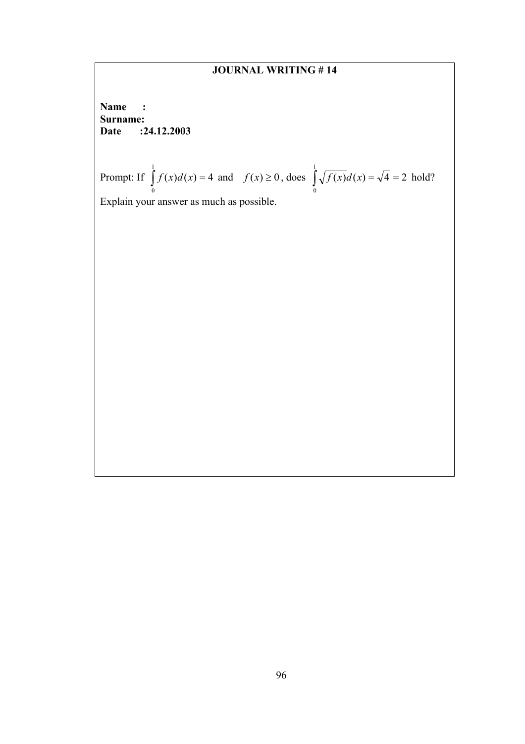# **JOURNAL WRITING # 14**

**Name : Surname: Date :24.12.2003** 

Property: If 
$$
\int_{0}^{1} f(x) d(x) = 4
$$
 and  $f(x) \ge 0$ , does  $\int_{0}^{1} \sqrt{f(x)} d(x) = \sqrt{4} = 2$  hold?

Explain your answer as much as possible.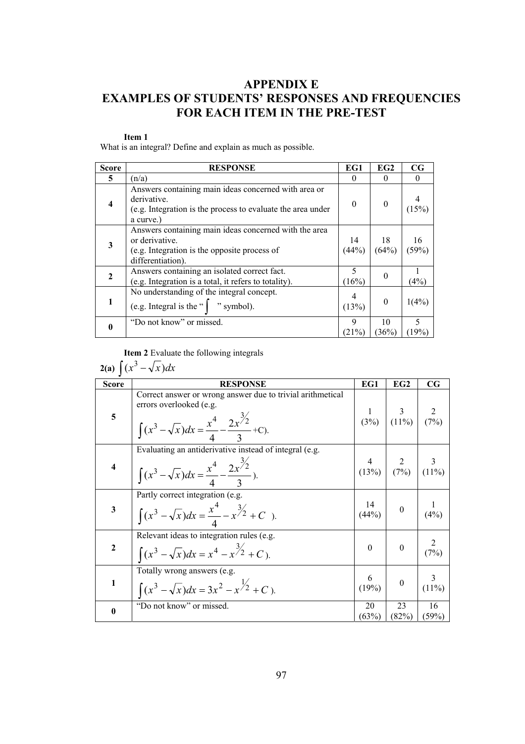# **APPENDIX E EXAMPLES OF STUDENTS' RESPONSES AND FREQUENCIES FOR EACH ITEM IN THE PRE-TEST**

#### **Item 1**

What is an integral? Define and explain as much as possible.

| <b>Score</b>            | <b>RESPONSE</b>                                                                                                                                 | EG1         | EG <sub>2</sub> | CG          |
|-------------------------|-------------------------------------------------------------------------------------------------------------------------------------------------|-------------|-----------------|-------------|
| 5                       | (n/a)                                                                                                                                           |             | $\theta$        |             |
| $\overline{\mathbf{4}}$ | Answers containing main ideas concerned with area or<br>derivative.<br>(e.g. Integration is the process to evaluate the area under<br>a curve.) | $\Omega$    | $\theta$        | (15%)       |
| 3                       | Answers containing main ideas concerned with the area<br>or derivative.<br>(e.g. Integration is the opposite process of<br>differentiation).    | 14<br>(44%) | 18<br>(64%)     | 16<br>(59%) |
| $\mathbf{2}$            | Answers containing an isolated correct fact.<br>(e.g. Integration is a total, it refers to totality).                                           | 5<br>(16%)  | 0               | (4%)        |
|                         | No understanding of the integral concept.<br>(e.g. Integral is the " $\int$ " symbol).                                                          | (13%)       | $\theta$        | 1(4%)       |
|                         | "Do not know" or missed.                                                                                                                        | 9<br>(21%)  | 10<br>(36%)     | 5<br>(19%)  |

**Item 2** Evaluate the following integrals

$$
2(a)\int (x^3 - \sqrt{x})dx
$$

| <b>Score</b> | <b>RESPONSE</b>                                                                                                                                                       | EG1                 | EG2                                                                  | $_{\rm CG}$   |
|--------------|-----------------------------------------------------------------------------------------------------------------------------------------------------------------------|---------------------|----------------------------------------------------------------------|---------------|
| 5            | Correct answer or wrong answer due to trivial arithmetical<br>errors overlooked (e.g.<br>$\int (x^3 - \sqrt{x}) dx = \frac{x^4}{4} - \frac{2x^{\frac{3}{2}}}{2} + C.$ |                     | $\begin{array}{c c} 1 & 3 \\ (3\%) & (11\%) & (7\%) \end{array}$     |               |
| 4            | Evaluating an antiderivative instead of integral (e.g.<br>$\int (x^3 - \sqrt{x}) dx = \frac{x^4}{4} - \frac{2x^{\frac{3}{2}}}{2}.$                                    |                     | $\begin{array}{c c} 4 & 2 & 3 \ (13\%) & (7\%) & (11\%) \end{array}$ | 3             |
| 3            | Partly correct integration (e.g.<br>$\int (x^3 - \sqrt{x}) dx = \frac{x^4}{4} - x^{3/2} + C$ .                                                                        | $\frac{14}{(44\%)}$ | $\overline{0}$                                                       | (4%)          |
| $\mathbf{2}$ | Relevant ideas to integration rules (e.g.<br>$\int (x^3 - \sqrt{x}) dx = x^4 - x^{3/2} + C$ .                                                                         | $\Omega$            | $\theta$                                                             | (7%)          |
| 1            | Totally wrong answers (e.g.<br>$\int (x^3 - \sqrt{x}) dx = 3x^2 - x^{\frac{1}{2}} + C$ .                                                                              | $\frac{6}{(19\%)}$  | $\boldsymbol{0}$                                                     | 3<br>$(11\%)$ |
| $\bf{0}$     | "Do not know" or missed.                                                                                                                                              | 20<br>(63%)         | 23<br>(82%)                                                          | 16<br>(59%)   |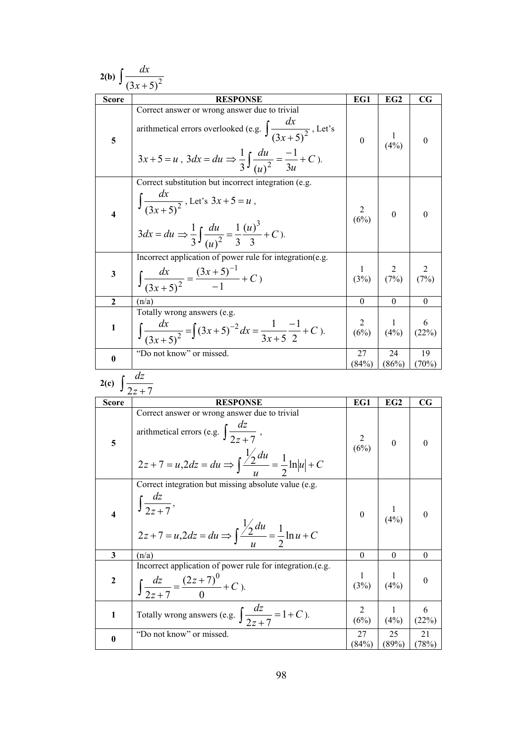|                                          | 2(b) $\int \frac{dx}{(3x+5)^2}$                                                                                                                                                                                       |                                             |                        |                  |
|------------------------------------------|-----------------------------------------------------------------------------------------------------------------------------------------------------------------------------------------------------------------------|---------------------------------------------|------------------------|------------------|
| <b>Score</b>                             | <b>RESPONSE</b>                                                                                                                                                                                                       | EG1                                         | EG <sub>2</sub>        | $_{\rm CG}$      |
| 5                                        | Correct answer or wrong answer due to trivial<br>arithmetical errors overlooked (e.g. $\int \frac{dx}{(3x+5)^2}$ , Let's<br>$3x+5=u$ , $3dx = du \Rightarrow \frac{1}{3}\int \frac{du}{(u)^2} = \frac{-1}{3u} + C$ ). | $\mathbf{0}$                                | $\mathbf{I}$<br>(4%)   | $\boldsymbol{0}$ |
| 4                                        | Correct substitution but incorrect integration (e.g.<br>$\int \frac{dx}{(3x+5)^2}$ , Let's $3x+5=u$ ,<br>$3dx = du \Rightarrow \frac{1}{3} \int \frac{du}{(u)^2} = \frac{1}{3} \frac{(u)^3}{3} + C$ .                 | $\begin{array}{c c} 2 \\ (6\%) \end{array}$ | $\boldsymbol{0}$       | $\theta$         |
| 3                                        | Incorrect application of power rule for integration(e.g.<br>$\int \frac{dx}{(3x+5)^2} = \frac{(3x+5)^{-1}}{-1} + C$                                                                                                   | 1<br>(3%)                                   | $\overline{2}$<br>(7%) | 2<br>(7%)        |
| $\mathbf{2}$                             | (n/a)                                                                                                                                                                                                                 | $\theta$                                    | $\theta$               | $\boldsymbol{0}$ |
| 1                                        | Totally wrong answers (e.g.<br>$\int \frac{dx}{(3x+5)^2} = \int (3x+5)^{-2} dx = \frac{1}{3x+5} \frac{-1}{2} + C$ .                                                                                                   | $\overline{2}$<br>(6%)                      | $\mathbf{1}$<br>(4%)   | 6<br>(22%)       |
| $\bf{0}$                                 | "Do not know" or missed.                                                                                                                                                                                              | 27<br>(84%)                                 | 24<br>(86%)            | 19<br>$(70\%)$   |
| $\overline{2(c)}$ $\int \frac{dz}{2z+7}$ |                                                                                                                                                                                                                       |                                             |                        |                  |
| <b>Score</b>                             | <b>RESPONSE</b>                                                                                                                                                                                                       | EG1                                         | EG2                    | $_{\rm CG}$      |
| 5                                        | Correct answer or wrong answer due to trivial<br>arithmetical errors (e.g. $\int \frac{dz}{2z+7}$ ,<br>$2z + 7 = u, 2dz = du \Rightarrow \int \frac{\frac{1}{2}du}{u} = \frac{1}{2} \ln u  + C$                       | $\overline{2}$<br>(6%)                      | $\boldsymbol{0}$       | $\boldsymbol{0}$ |
| $\overline{\mathbf{4}}$                  | Correct integration but missing absolute value (e.g.<br>$\int \frac{dz}{2z+7},$                                                                                                                                       |                                             |                        |                  |
|                                          | $2z + 7 = u, 2dz = du \Rightarrow \int \frac{\frac{1}{2}du}{u} = \frac{1}{2} \ln u + C$                                                                                                                               | $\mathbf{0}$                                | $\frac{1}{(4\%)}$      | $\boldsymbol{0}$ |
| 3                                        | (n/a)                                                                                                                                                                                                                 | $\mathbf{0}$                                | $\bf{0}$               | $\boldsymbol{0}$ |
| $\boldsymbol{2}$                         | Incorrect application of power rule for integration.(e.g.<br>$\int \frac{dz}{2z+7} = \frac{(2z+7)^0}{0} + C$ ).                                                                                                       | $\perp$<br>(3%)                             | 1<br>(4%)              | $\boldsymbol{0}$ |
| $\mathbf{1}$                             | Totally wrong answers (e.g. $\int \frac{dz}{2z+7} = 1+C$ ).<br>"Do not know" or missed.                                                                                                                               | $\overline{2}$<br>(6%)                      | $\mathbf{1}$<br>(4%)   | 6<br>(22%)       |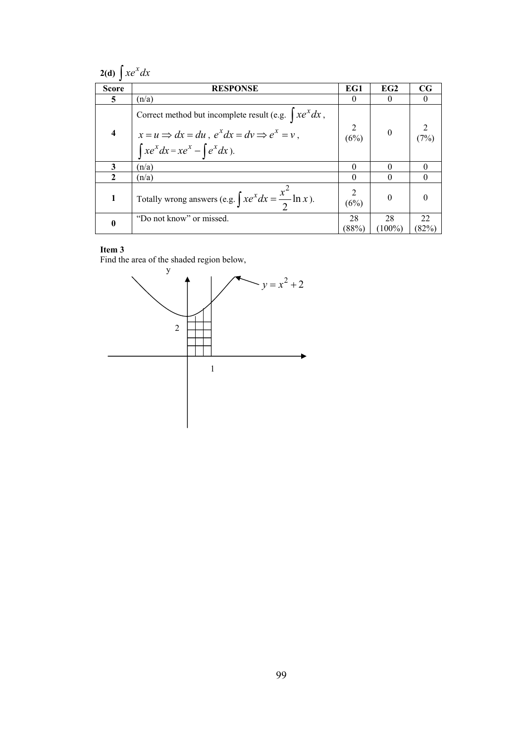| $2(d) \int xe^x dx$     |                                                                                                                                                                       |                |                  |             |  |  |
|-------------------------|-----------------------------------------------------------------------------------------------------------------------------------------------------------------------|----------------|------------------|-------------|--|--|
| <b>Score</b>            | <b>RESPONSE</b>                                                                                                                                                       | EG1            | EG2              | $_{\rm CG}$ |  |  |
| 5                       | (n/a)                                                                                                                                                                 | 0              | 0                | 0           |  |  |
| $\overline{\mathbf{4}}$ | Correct method but incomplete result (e.g. $\int xe^{x} dx$ ,<br>$x = u \implies dx = du$ , $e^x dx = dv \implies e^x = v$ ,<br>$\int xe^x dx = xe^x - \int e^x dx$ . | (6%)           | $\boldsymbol{0}$ | (7%)        |  |  |
| 3                       | (n/a)                                                                                                                                                                 | $\theta$       |                  |             |  |  |
| $\mathbf{2}$            | (n/a)                                                                                                                                                                 | $\theta$       | 0                |             |  |  |
| 1                       | Totally wrong answers (e.g. $\int xe^{x} dx = \frac{x^{2}}{2} \ln x$ ).                                                                                               | (6%)           | $\Omega$         |             |  |  |
| $\bf{0}$                | "Do not know" or missed.                                                                                                                                              | 28<br>$(88\%)$ | 28<br>$(100\%)$  | 22<br>(82%) |  |  |

Find the area of the shaded region below,

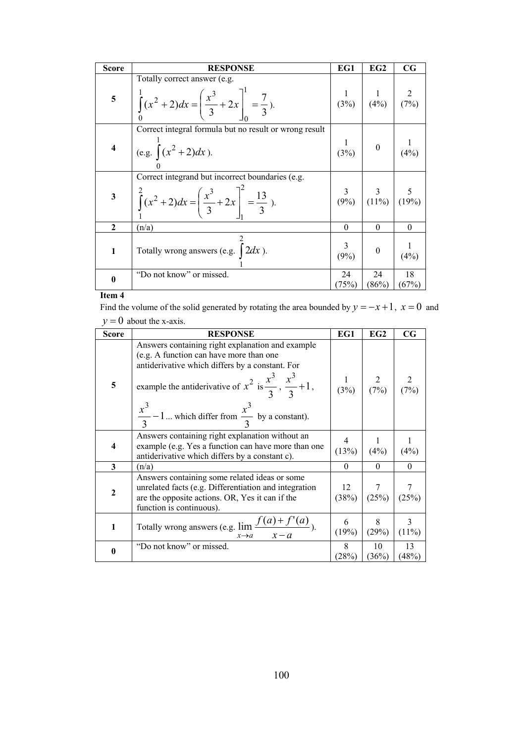| <b>Score</b>   | <b>RESPONSE</b>                                                                                                                       | EG1          | EG2                                                                   | $_{\rm CG}$       |
|----------------|---------------------------------------------------------------------------------------------------------------------------------------|--------------|-----------------------------------------------------------------------|-------------------|
| 5 <sup>1</sup> | Totally correct answer (e.g.<br>$\int_0^1 (x^2 + 2) dx = \left(\frac{x^3}{3} + 2x\right)_0^1 = \frac{7}{3}.$                          |              | $\begin{array}{c c} 1 & 1 & 2 \\ (3\%) & (4\%) & (7\%) \end{array}$   |                   |
| $\overline{4}$ | Correct integral formula but no result or wrong result<br>(e.g. $\int (x^2 + 2) dx$ ).                                                |              | $\begin{array}{c c} 1 & 0 \\ (3\%) & \end{array}$                     | $\frac{1}{(4\%)}$ |
| $\mathbf{3}$   | Correct integrand but incorrect boundaries (e.g.<br>$\int_{0}^{2} (x^2 + 2) dx = \left( \frac{x^3}{3} + 2x \right)^2 = \frac{13}{3}.$ |              | $\begin{array}{c c} 3 & 3 & 5 \\ (9\%) & (11\%) & (19\%) \end{array}$ |                   |
| $\mathbf{2}$   | (n/a)                                                                                                                                 | $\theta$     | $\theta$                                                              | $\theta$          |
| $\mathbf{1}$   | Totally wrong answers (e.g. $\int 2dx$ ).                                                                                             | 3<br>$(9\%)$ | $\boldsymbol{0}$                                                      | (4%)              |
| $\bf{0}$       | "Do not know" or missed.                                                                                                              | 24<br>(75%)  | 24<br>(86%)                                                           | 18<br>(67%)       |

Find the volume of the solid generated by rotating the area bounded by  $y = -x + 1$ ,  $x = 0$  and  $y = 0$  about the x-axis.

| <b>Score</b>            | <b>RESPONSE</b>                                                                                                                                                                                                                                                                                          | EG1         | EG2                                                                 | $_{\rm CG}$                                               |
|-------------------------|----------------------------------------------------------------------------------------------------------------------------------------------------------------------------------------------------------------------------------------------------------------------------------------------------------|-------------|---------------------------------------------------------------------|-----------------------------------------------------------|
| 5                       | Answers containing right explanation and example<br>(e.g. A function can have more than one<br>antiderivative which differs by a constant. For<br>example the antiderivative of $x^2$ is $\frac{x^3}{3}$ , $\frac{x^3}{3}$ + 1,<br>$\frac{x^3}{3}$ – 1 which differ from $\frac{x^3}{3}$ by a constant). |             | $\begin{array}{c c} 1 & 2 & 2 \\ (3\%) & (7\%) & (7\%) \end{array}$ |                                                           |
| $\overline{\mathbf{4}}$ | Answers containing right explanation without an<br>example (e.g. Yes a function can have more than one<br>antiderivative which differs by a constant c).                                                                                                                                                 | (13%)       | $\frac{1}{(4\%)}$                                                   | (4%)                                                      |
| 3                       | (n/a)                                                                                                                                                                                                                                                                                                    | $\Omega$    | $\theta$                                                            | $\theta$                                                  |
| $\mathbf{2}$            | Answers containing some related ideas or some<br>unrelated facts (e.g. Differentiation and integration<br>are the opposite actions. OR, Yes it can if the<br>function is continuous).                                                                                                                    | 12<br>(38%) |                                                                     | $\begin{array}{c c} 7 & 7 \\ (25\%) & (25\%) \end{array}$ |
| 1                       | Totally wrong answers (e.g. $\lim_{x \to a} \frac{f(a) + f'(a)}{x}$ ).<br>$x \rightarrow a$ $x - a$                                                                                                                                                                                                      | 6<br>(19%)  | 8<br>(29%)                                                          | $\mathfrak{Z}$<br>$(11\%)$                                |
| $\bf{0}$                | "Do not know" or missed.                                                                                                                                                                                                                                                                                 | 8<br>(28%)  | 10<br>(36%)                                                         | 13<br>(48%)                                               |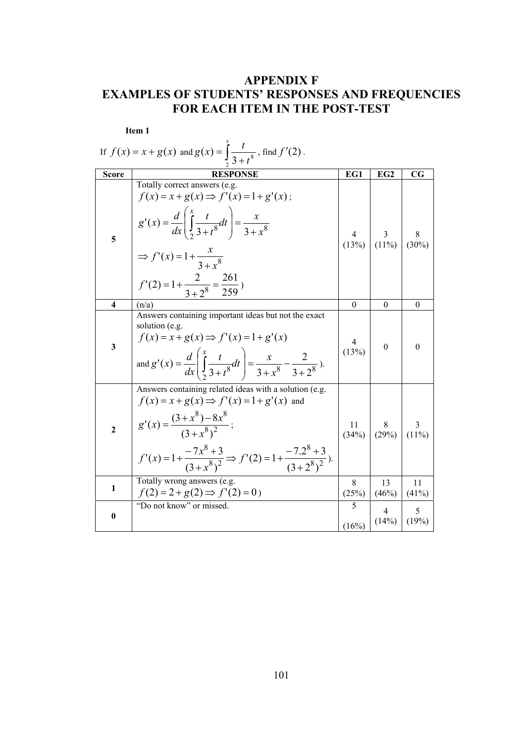# **APPENDIX F EXAMPLES OF STUDENTS' RESPONSES AND FREQUENCIES FOR EACH ITEM IN THE POST-TEST**

|                         | Item 1                                                                                                                                                                                                                                                                           |                         |                                                            |                  |
|-------------------------|----------------------------------------------------------------------------------------------------------------------------------------------------------------------------------------------------------------------------------------------------------------------------------|-------------------------|------------------------------------------------------------|------------------|
|                         | If $f(x) = x + g(x)$ and $g(x) = \int_{0}^{x} \frac{t}{3+t^8}$ , find $f'(2)$ .                                                                                                                                                                                                  |                         |                                                            |                  |
| <b>Score</b>            | <b>RESPONSE</b>                                                                                                                                                                                                                                                                  | EG1                     | EG <sub>2</sub>                                            | $_{\rm CG}$      |
| 5                       | Totally correct answers (e.g.<br>$f(x) = x + g(x) \Rightarrow f'(x) = 1 + g'(x);$<br>$g'(x) = \frac{d}{dx} \left( \int_{2}^{x} \frac{t}{3+t^8} dt \right) = \frac{x}{3+x^8}$<br>$\Rightarrow f'(x) = 1 + \frac{x}{3 + x^8}$<br>$f'(2) = 1 + \frac{2}{3 + 2^8} = \frac{261}{259}$ |                         | $\begin{array}{c c} 4 & 3 \\ (13\%) & (11\%) \end{array}$  | 8<br>(30%)       |
| $\overline{\mathbf{4}}$ | (n/a)                                                                                                                                                                                                                                                                            | $\theta$                | $\theta$                                                   | $\boldsymbol{0}$ |
| $\overline{\mathbf{3}}$ | Answers containing important ideas but not the exact<br>solution (e.g.<br>$f(x) = x + g(x) \Rightarrow f'(x) = 1 + g'(x)$<br>and $g'(x) = \frac{d}{dx} \left( \int \frac{x}{3+t^8} dt \right) = \frac{x}{3+x^8} - \frac{2}{3+2^8}$ ).                                            | 4<br>(13%)              | $\theta$                                                   | $\theta$         |
| $\overline{2}$          | Answers containing related ideas with a solution (e.g.<br>$f(x) = x + g(x) \Rightarrow f'(x) = 1 + g'(x)$ and<br>$g'(x) = \frac{(3+x^8)-8x^8}{(3+x^8)^2}$ ;<br>$f'(x) = 1 + \frac{-7x^8 + 3}{(3 + x^8)^2} \Rightarrow f'(2) = 1 + \frac{-7.2^8 + 3}{(3 + 2^8)^2}.$               |                         | $\begin{array}{c c} 11 & 8 \\ (34\%) & (29\%) \end{array}$ | 3<br>$(11\%)$    |
| 1                       | Totally wrong answers (e.g.<br>$f(2) = 2 + g(2) \Rightarrow f'(2) = 0$                                                                                                                                                                                                           | 8<br>(25%)              | 13<br>(46%)                                                | 11<br>(41%)      |
| $\bf{0}$                | "Do not know" or missed.                                                                                                                                                                                                                                                         | $\overline{5}$<br>(16%) | $\overline{4}$<br>(14%)                                    | 5<br>(19%)       |

101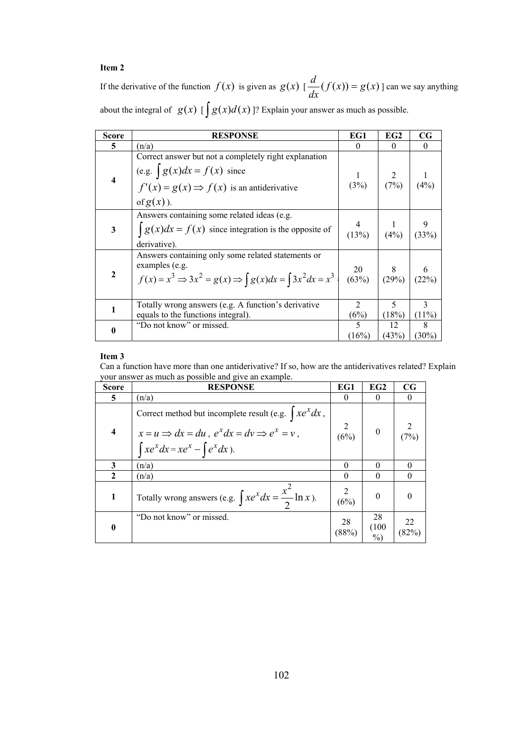If the derivative of the function  $f(x)$  is given as  $g(x) \left[ \frac{d}{dx} (f(x)) = g(x) \right]$  can we say anything about the integral of  $g(x)$  [ $\int g(x)d(x)$ ]? Explain your answer as much as possible.

| <b>Score</b>            | <b>RESPONSE</b>                                                                                                                                                   | EG1                                                                     | EG2                 | $_{\rm CG}$   |
|-------------------------|-------------------------------------------------------------------------------------------------------------------------------------------------------------------|-------------------------------------------------------------------------|---------------------|---------------|
| 5                       | (n/a)                                                                                                                                                             | $\Omega$                                                                | $\Omega$            | $\Omega$      |
| $\overline{\mathbf{4}}$ | Correct answer but not a completely right explanation<br>(e.g. $\int g(x)dx = f(x)$ since<br>$f'(x) = g(x) \Rightarrow f(x)$ is an antiderivative<br>of $g(x)$ ). | (3%)                                                                    | $\frac{2}{(7\%)}$ 1 | (4%)          |
| 3                       | Answers containing some related ideas (e.g.<br>$\int g(x)dx = f(x)$ since integration is the opposite of<br>derivative).                                          | 4<br>(13%)                                                              | (4%)                | 9<br>(33%)    |
| $\mathbf{2}$            | Answers containing only some related statements or<br>examples (e.g.<br>$f(x) = x^3 \Rightarrow 3x^2 = g(x) \Rightarrow \int g(x)dx = \int 3x^2 dx = x^3$         | $\begin{array}{c c} 20 & 8 & 6 \\ (63\%) & (29\%) & (22\%) \end{array}$ |                     |               |
| 1                       | Totally wrong answers (e.g. A function's derivative<br>equals to the functions integral).                                                                         | $\mathfrak{D}$<br>(6%)                                                  | 5<br>(18%)          | 3<br>$(11\%)$ |
| 0                       | "Do not know" or missed.                                                                                                                                          | 5<br>(16%)                                                              | 12<br>(43%)         | 8<br>$(30\%)$ |

#### **Item 3**

Can a function have more than one antiderivative? If so, how are the antiderivatives related? Explain your answer as much as possible and give an example.

| <b>Score</b>            | <b>RESPONSE</b>                                                                                                                                                              | EG1         | EG2                 | $_{\rm CG}$ |
|-------------------------|------------------------------------------------------------------------------------------------------------------------------------------------------------------------------|-------------|---------------------|-------------|
| 5.                      | (n/a)                                                                                                                                                                        | $\theta$    |                     |             |
| $\overline{\mathbf{4}}$ | Correct method but incomplete result (e.g. $\int xe^{x} dx$ ,<br>$x = u \Rightarrow dx = du$ , $e^x dx = dv \Rightarrow e^x = v$ ,<br>$\int xe^x dx = xe^x - \int e^x dx$ ). | (6%)        | $\theta$            | (7%)        |
| 3                       | (n/a)                                                                                                                                                                        | 0           | 0                   | 0           |
| $\mathbf{2}$            | (n/a)                                                                                                                                                                        | $\theta$    | 0                   |             |
| 1                       | Totally wrong answers (e.g. $\int xe^{x} dx = \frac{x^2}{2} \ln x$ ).                                                                                                        | (6%)        | $\Omega$            |             |
| $\bf{0}$                | "Do not know" or missed.                                                                                                                                                     | 28<br>(88%) | 28<br>(100)<br>$\%$ | 22<br>(82%) |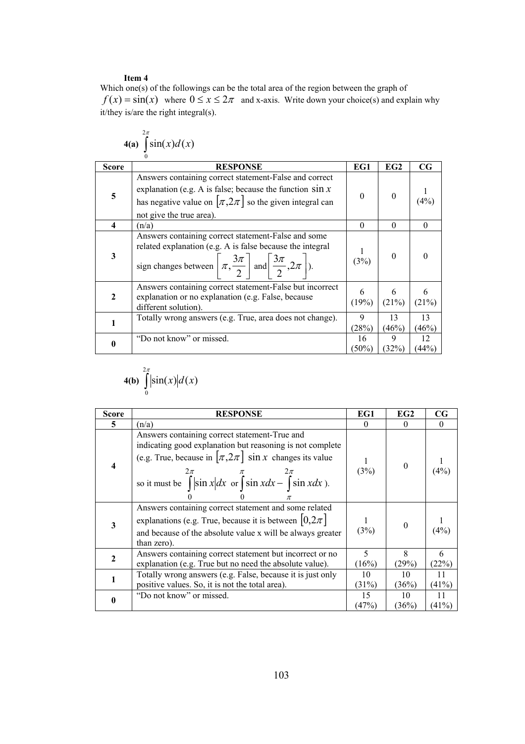$2\pi$ 

Which one(s) of the followings can be the total area of the region between the graph of  $f(x) = \sin(x)$  where  $0 \le x \le 2\pi$  and x-axis. Write down your choice(s) and explain why it/they is/are the right integral(s).

|                         | $4(a)$ $\sin(x)d(x)$                                                                                                                                                                                                   |             |             |             |
|-------------------------|------------------------------------------------------------------------------------------------------------------------------------------------------------------------------------------------------------------------|-------------|-------------|-------------|
| <b>Score</b>            | <b>RESPONSE</b>                                                                                                                                                                                                        | EG1         | EG2         | $_{\rm CG}$ |
| 5                       | Answers containing correct statement-False and correct<br>explanation (e.g. A is false; because the function $\sin x$<br>has negative value on $[\pi, 2\pi]$ so the given integral can<br>not give the true area).     | $\theta$    | $\theta$    | (4%)        |
| $\overline{\mathbf{4}}$ | (n/a)                                                                                                                                                                                                                  | $\Omega$    | $\Omega$    | $\Omega$    |
| 3                       | Answers containing correct statement-False and some<br>related explanation (e.g. A is false because the integral<br>sign changes between $\left[\pi, \frac{3\pi}{2}\right]$ and $\left[\frac{3\pi}{2}, 2\pi\right]$ ). | (3%)        | $\theta$    |             |
| $\mathbf{2}$            | Answers containing correct statement-False but incorrect<br>explanation or no explanation (e.g. False, because<br>different solution).                                                                                 | 6<br>(19%)  | 6<br>(21%)  | 6<br>(21%)  |
|                         | Totally wrong answers (e.g. True, area does not change).                                                                                                                                                               | 9<br>(28%)  | 13<br>(46%) | 13<br>(46%) |
| 0                       | "Do not know" or missed.                                                                                                                                                                                               | 16<br>(50%) | 9<br>(32%)  | 12<br>(44%) |

$$
4(b) \int_{0}^{2\pi} \left|\sin(x)\right| d(x)
$$

| <b>Score</b> | <b>RESPONSE</b>                                                                                                                                                                                                                                                                       | EG1         | EG2            | $_{\rm CG}$ |
|--------------|---------------------------------------------------------------------------------------------------------------------------------------------------------------------------------------------------------------------------------------------------------------------------------------|-------------|----------------|-------------|
| 5            | (n/a)                                                                                                                                                                                                                                                                                 | $\theta$    | $\Omega$       | $\theta$    |
| 4            | Answers containing correct statement-True and<br>indicating good explanation but reasoning is not complete<br>(e.g. True, because in $[\pi, 2\pi]$ sin x changes its value<br>so it must be $\int_{0}^{2\pi}  \sin x  dx$ or $\int_{0}^{\pi} \sin x dx - \int_{0}^{2\pi} \sin x dx$ . | (3%)        | $\overline{0}$ | (4%)        |
| 3            | Answers containing correct statement and some related<br>explanations (e.g. True, because it is between $[0, 2\pi]$<br>and because of the absolute value x will be always greater<br>than zero).                                                                                      | (3%)        | $\overline{0}$ | (4%)        |
| 2            | Answers containing correct statement but incorrect or no<br>explanation (e.g. True but no need the absolute value).                                                                                                                                                                   | 5<br>(16%)  | 8<br>(29%)     | 6<br>(22%)  |
|              | Totally wrong answers (e.g. False, because it is just only<br>positive values. So, it is not the total area).                                                                                                                                                                         | 10<br>(31%) | 10<br>(36%)    | 11<br>(41%) |
| 0            | "Do not know" or missed.                                                                                                                                                                                                                                                              | 15<br>(47%) | 10<br>(36%)    | 11<br>(41%) |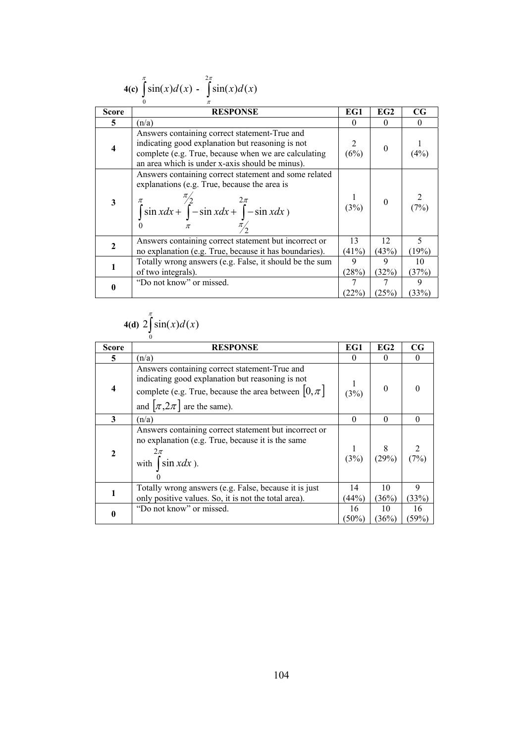|              | $4(c)$ $\int \sin(x) d(x) - \int \sin(x) d(x)$                                                                                                                                                               |             |             |             |
|--------------|--------------------------------------------------------------------------------------------------------------------------------------------------------------------------------------------------------------|-------------|-------------|-------------|
| <b>Score</b> | <b>RESPONSE</b>                                                                                                                                                                                              | EG1         | EG2         | $_{\rm CG}$ |
| 5            | (n/a)                                                                                                                                                                                                        | $\theta$    | $\theta$    | $\theta$    |
| 4            | Answers containing correct statement-True and<br>indicating good explanation but reasoning is not<br>complete (e.g. True, because when we are calculating<br>an area which is under x-axis should be minus). | (6%)        | $\theta$    | (4%)        |
| 3            | Answers containing correct statement and some related<br>explanations (e.g. True, because the area is<br>$\int_{0}^{\pi} \sin x dx + \int_{0}^{\pi} -\sin x dx + \int_{-\pi}^{2\pi} -\sin x dx$              | (3%)        |             | (7%)        |
| 2            | Answers containing correct statement but incorrect or<br>no explanation (e.g. True, because it has boundaries).                                                                                              | 13<br>(41%) | 12<br>(43%) | 5<br>(19%)  |
|              | Totally wrong answers (e.g. False, it should be the sum<br>of two integrals).                                                                                                                                | 9<br>(28%)  | 9<br>(32%)  | 10<br>(37%) |
| 0            | "Do not know" or missed.                                                                                                                                                                                     | 7<br>(22%)  | 7<br>(25%)  | 9<br>(33%)  |

#### **4(c)** ∫  $\int_{0}^{\pi}$  $\sin(x)d(x)$  -  $\int$  $2\pi$

## **4(d)**  $2\int_0^{\pi}$  $2 \sin(x) d(x)$

|              | $\theta$                                                                                                                                                                                          |             |                 |                   |
|--------------|---------------------------------------------------------------------------------------------------------------------------------------------------------------------------------------------------|-------------|-----------------|-------------------|
| Score        | <b>RESPONSE</b>                                                                                                                                                                                   | EG1         | EG <sub>2</sub> | $_{\rm CG}$       |
| 5            | (n/a)                                                                                                                                                                                             |             | $\theta$        | $\Omega$          |
| 4            | Answers containing correct statement-True and<br>indicating good explanation but reasoning is not<br>complete (e.g. True, because the area between $[0, \pi]$<br>and $[\pi, 2\pi]$ are the same). | (3%)        | $\Omega$        |                   |
| 3            | (n/a)                                                                                                                                                                                             | $\Omega$    | $\Omega$        | $\theta$          |
| $\mathbf{2}$ | Answers containing correct statement but incorrect or<br>no explanation (e.g. True, because it is the same<br>$2\pi$<br>with $\int \sin x dx$ ).                                                  | (3%)        | 8<br>(29%)      | $\frac{2}{(7\%)}$ |
| 1            | Totally wrong answers (e.g. False, because it is just<br>only positive values. So, it is not the total area).                                                                                     | 14<br>(44%) | 10<br>(36%)     | 9<br>(33%)        |
| 0            | "Do not know" or missed.                                                                                                                                                                          | 16<br>(50%) | 10<br>(36%)     | 16<br>(59%)       |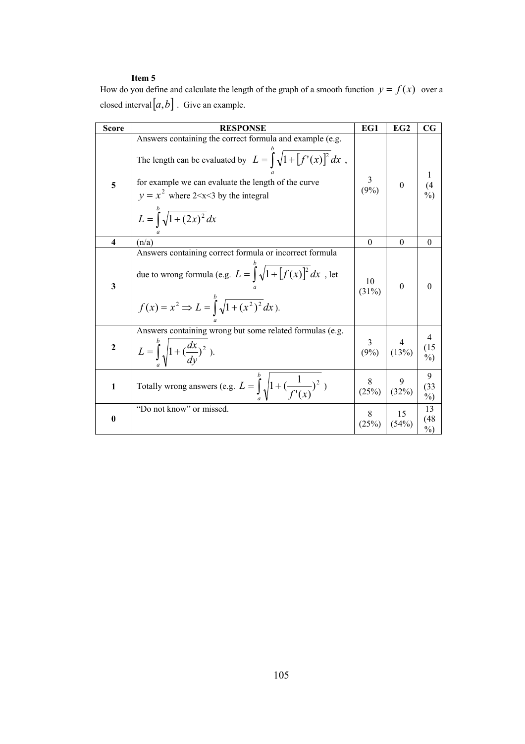How do you define and calculate the length of the graph of a smooth function  $y = f(x)$  over a closed interval  $[a, b]$ . Give an example.

| <b>Score</b>            | <b>RESPONSE</b>                                                                                                                                                                                                                                                                    | EG1               | EG <sub>2</sub>    | $_{\rm CG}$                |
|-------------------------|------------------------------------------------------------------------------------------------------------------------------------------------------------------------------------------------------------------------------------------------------------------------------------|-------------------|--------------------|----------------------------|
| 5                       | Answers containing the correct formula and example (e.g.<br>The length can be evaluated by $L = \int_0^b \sqrt{1 + [f'(x)]^2} dx$ ,<br>for example we can evaluate the length of the curve<br>$y = x^2$ where 2 < x < 3 by the integral<br>$L = \int_{0}^{b} \sqrt{1 + (2x)^2} dx$ | 3<br>$(9\%)$      | $\boldsymbol{0}$   | $^{(4}_{\%)}$              |
| $\overline{\mathbf{4}}$ | (n/a)                                                                                                                                                                                                                                                                              | $\theta$          | $\boldsymbol{0}$   | $\theta$                   |
| $\mathbf{3}$            | Answers containing correct formula or incorrect formula<br>due to wrong formula (e.g. $L = \int_0^b \sqrt{1 + [f(x)]^2} dx$ , let<br>$f(x) = x^2 \Rightarrow L = \int_0^b \sqrt{1 + (x^2)^2} dx$ .                                                                                 | 10<br>(31%)       | $\Omega$           | $\theta$                   |
| $\boldsymbol{2}$        | Answers containing wrong but some related formulas (e.g.<br>$L = \int_{0}^{b} \sqrt{1 + (\frac{dx}{dy})^2}$ .                                                                                                                                                                      | $\frac{3}{(9\%)}$ | $\frac{4}{(13\%)}$ | 4<br>(15)<br>$\frac{0}{0}$ |
| $\mathbf{1}$            | Totally wrong answers (e.g. $L = \int_0^2 \sqrt{1 + (\frac{1}{f'(x)})^2}$ )                                                                                                                                                                                                        | 8<br>(25%)        | (32%)              | 9<br>(33)<br>$\%$          |
| $\boldsymbol{0}$        | "Do not know" or missed.                                                                                                                                                                                                                                                           | 8<br>(25%)        | 15<br>(54%)        | 13<br>(48<br>$\%$          |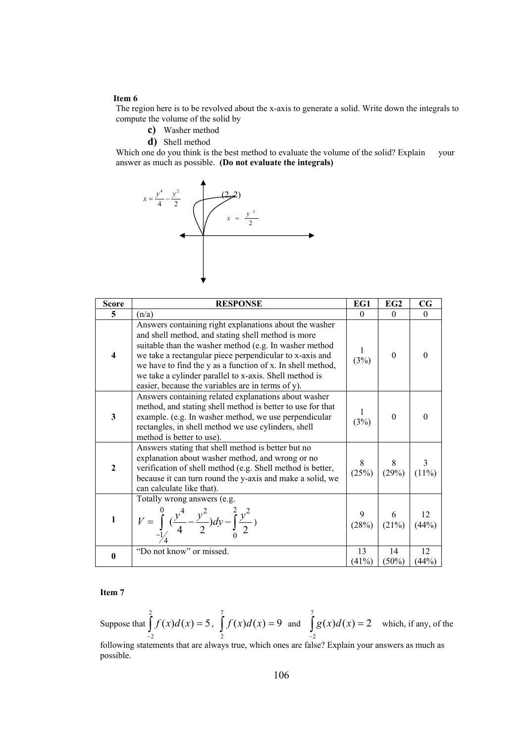The region here is to be revolved about the x-axis to generate a solid. Write down the integrals to compute the volume of the solid by

- **c)** Washer method
- **d)** Shell method

Which one do you think is the best method to evaluate the volume of the solid? Explain your answer as much as possible. **(Do not evaluate the integrals)**



| <b>Score</b>     | <b>RESPONSE</b>                                                                                                                                                                                                                                                                                                                                                                                                | EG1                     | EG2                | $\mathbf{C}\mathbf{G}$ |
|------------------|----------------------------------------------------------------------------------------------------------------------------------------------------------------------------------------------------------------------------------------------------------------------------------------------------------------------------------------------------------------------------------------------------------------|-------------------------|--------------------|------------------------|
| 5                | (n/a)                                                                                                                                                                                                                                                                                                                                                                                                          | $\Omega$                | $\theta$           | $\Omega$               |
| 4                | Answers containing right explanations about the washer<br>and shell method, and stating shell method is more<br>suitable than the washer method (e.g. In washer method<br>we take a rectangular piece perpendicular to x-axis and<br>we have to find the y as a function of x. In shell method,<br>we take a cylinder parallel to x-axis. Shell method is<br>easier, because the variables are in terms of y). | (3%)                    | $\boldsymbol{0}$   | $\Omega$               |
| 3                | Answers containing related explanations about washer<br>method, and stating shell method is better to use for that<br>example. (e.g. In washer method, we use perpendicular<br>rectangles, in shell method we use cylinders, shell<br>method is better to use).                                                                                                                                                | (3%)                    | $\boldsymbol{0}$   |                        |
| $\boldsymbol{2}$ | Answers stating that shell method is better but no<br>explanation about washer method, and wrong or no<br>verification of shell method (e.g. Shell method is better,<br>because it can turn round the y-axis and make a solid, we<br>can calculate like that).                                                                                                                                                 | 8<br>(25%)              | $\frac{8}{(29\%)}$ | 3<br>$(11\%)$          |
| $\mathbf{1}$     | Totally wrong answers (e.g.<br>$V = \int_{-1/2}^{0} (\frac{y^4}{4} - \frac{y^2}{2}) dy - \int_{0}^{2} \frac{y^2}{2} y$                                                                                                                                                                                                                                                                                         | 9<br>$\frac{9}{(28\%)}$ | $rac{6}{(21\%)}$   | 12<br>$(44\%)$         |
| $\bf{0}$         | "Do not know" or missed.                                                                                                                                                                                                                                                                                                                                                                                       | 13<br>(41%)             | 14<br>$(50\%)$     | 12<br>(44%)            |

#### **Item 7**

Suppose that  $\int_{-2}$ = 2 2  $f(x)d(x) = 5$ ,  $\int f(x)d(x) = 9$ 7  $\int_{2}^{x} f(x) d(x) = 9$  and  $\int_{-2}^{3}$ = 7 2  $g(x)d(x) = 2$  which, if any, of the following statements that are always true, which ones are false? Explain your answers as much as

possible.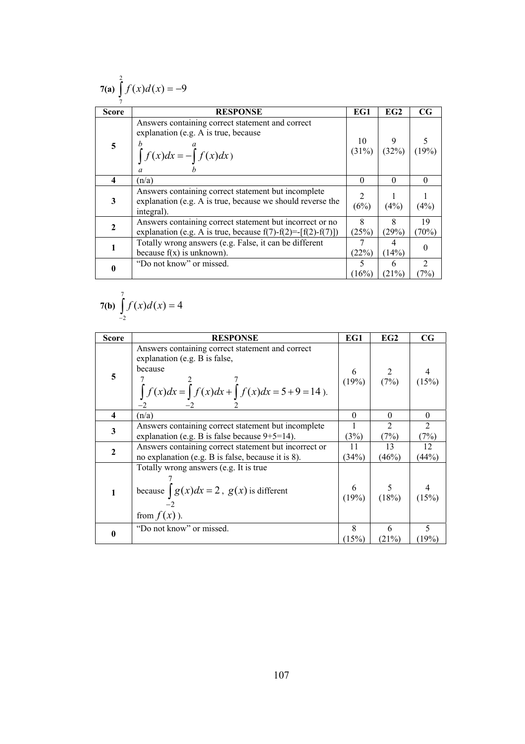| 7(a) $\int f(x) d(x) = -9$ |                                                                                                                                  |            |                                                           |                          |  |
|----------------------------|----------------------------------------------------------------------------------------------------------------------------------|------------|-----------------------------------------------------------|--------------------------|--|
| <b>Score</b>               | <b>RESPONSE</b>                                                                                                                  | EG1        | EG2                                                       | $_{\rm CG}$              |  |
| 5                          | Answers containing correct statement and correct<br>explanation (e.g. A is true, because<br>$\int_a^b f(x)dx = -\int_a^a f(x)dx$ |            | $\begin{bmatrix} 10 & 9 \\ (31\%) & (32\%) \end{bmatrix}$ | $\frac{5}{(19\%)}$       |  |
| 4                          | (n/a)                                                                                                                            | $\theta$   | $\Omega$                                                  | $\theta$                 |  |
| 3                          | Answers containing correct statement but incomplete<br>explanation (e.g. A is true, because we should reverse the<br>integral).  | 2<br>(6%)  | (4%)                                                      | (4%)                     |  |
| $\mathbf{2}$               | Answers containing correct statement but incorrect or no<br>explanation (e.g. A is true, because $f(7) - f(2) = [f(2) - f(7)]$ ) | 8<br>(25%) | 8<br>(29%)                                                | 19<br>$70\%)$            |  |
|                            | Totally wrong answers (e.g. False, it can be different<br>because $f(x)$ is unknown).                                            | 7<br>(22%) | 4<br>(14%)                                                | $\theta$                 |  |
|                            | "Do not know" or missed.                                                                                                         | 5<br>(16%) | 6<br>(21%)                                                | $\overline{2}$<br>$7\%)$ |  |

7(b) 
$$
\int_{-2}^{7} f(x) d(x) = 4
$$

| <b>Score</b> | <b>RESPONSE</b>                                                                                                                                                                    | EG1         | EG2                                                       | $_{\rm CG}$            |
|--------------|------------------------------------------------------------------------------------------------------------------------------------------------------------------------------------|-------------|-----------------------------------------------------------|------------------------|
| 5            | Answers containing correct statement and correct<br>explanation (e.g. B is false,<br>because<br>$\int_{-2}^{1} f(x)dx = \int_{-2}^{2} f(x)dx + \int_{2}^{7} f(x)dx = 5 + 9 = 14$ . |             | $\begin{array}{c c} 6 & 2 \\ (19\%) & (7\%) \end{array}$  | (15%)                  |
| 4            | (n/a)                                                                                                                                                                              | 0           | $\Omega$                                                  | $\Omega$               |
| 3            | Answers containing correct statement but incomplete<br>explanation (e.g. B is false because $9+5=14$ ).                                                                            | (3%)        | $\mathfrak{D}$<br>(7%)                                    | $\overline{2}$<br>(7%) |
| $\mathbf{2}$ | Answers containing correct statement but incorrect or<br>no explanation (e.g. B is false, because it is 8).                                                                        | 11<br>(34%) | 13<br>(46%)                                               | 12<br>(44%)            |
| 1            | Totally wrong answers (e.g. It is true<br>because $\int g(x)dx = 2$ , $g(x)$ is different<br>from $f(x)$ ).                                                                        |             | $\begin{array}{c c} 6 & 5 \\ (19\%) & (18\%) \end{array}$ | (15%)                  |
|              | "Do not know" or missed.                                                                                                                                                           | 8<br>(15%)  | 6<br>(21%)                                                | 5<br>(19%)             |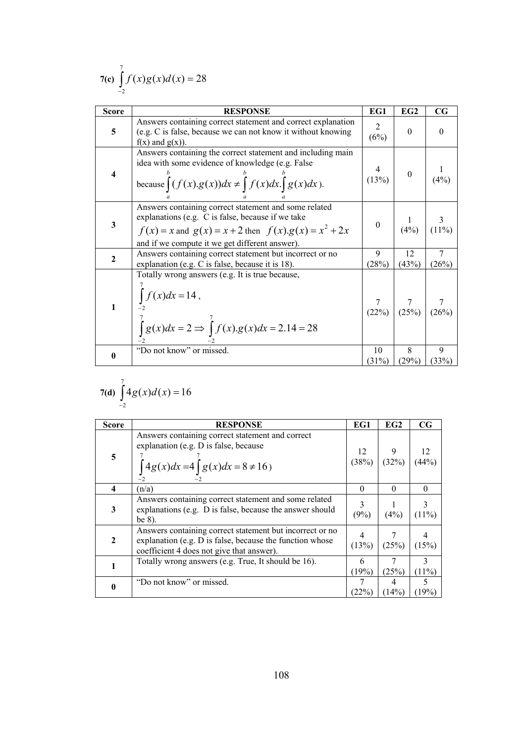7(c) 
$$
\int_{-2}^{7} f(x)g(x)dx = 28
$$

| <b>Score</b> | <b>RESPONSE</b>                                                                                                                                                                                                           | EG1                    | EG <sub>2</sub>                                           | $_{\rm CG}$             |
|--------------|---------------------------------------------------------------------------------------------------------------------------------------------------------------------------------------------------------------------------|------------------------|-----------------------------------------------------------|-------------------------|
| 5            | Answers containing correct statement and correct explanation<br>(e.g. C is false, because we can not know it without knowing<br>$f(x)$ and $g(x)$ ).                                                                      | $\mathfrak{2}$<br>(6%) | $\theta$                                                  | $\Omega$                |
| 4            | Answers containing the correct statement and including main<br>idea with some evidence of knowledge (e.g. False<br>because $\int (f(x).g(x))dx \neq \int f(x)dx \int g(x)dx$ .                                            | (13%)                  | $\overline{0}$                                            | (4%)                    |
| 3            | Answers containing correct statement and some related<br>explanations (e.g. C is false, because if we take<br>$f(x) = x$ and $g(x) = x + 2$ then $f(x).g(x) = x^2 + 2x$<br>and if we compute it we get different answer). | $\boldsymbol{0}$       | $\frac{1}{(4\%)}$                                         | $\frac{3}{(11\%)}$      |
| $\mathbf{2}$ | Answers containing correct statement but incorrect or no<br>explanation (e.g. C is false, because it is 18).                                                                                                              | 9<br>(28%)             | 12<br>(43%)                                               | $\overline{7}$<br>(26%) |
|              | Totally wrong answers (e.g. It is true because,<br>$\int f(x)dx = 14$ ,<br>$\int g(x)dx = 2 \implies \int f(x).g(x)dx = 2.14 = 28$                                                                                        |                        | $\begin{array}{c c} 7 & 7 \\ (22\%) & (25\%) \end{array}$ | $\frac{7}{(26\%)}$      |
| 0            | "Do not know" or missed.                                                                                                                                                                                                  | 10<br>(31%)            | 8<br>(29%)                                                | 9<br>(33%)              |

$$
7(d) \int_{-2}^{7} 4g(x)d(x) = 16
$$

| <b>Score</b> | <b>RESPONSE</b>                                                                                                                                                   | EG1         | EG2        | CG            |
|--------------|-------------------------------------------------------------------------------------------------------------------------------------------------------------------|-------------|------------|---------------|
| 5            | Answers containing correct statement and correct<br>explanation (e.g. D is false, because<br>$\int 4g(x)dx = 4\int g(x)dx = 8 \neq 16$                            | 12<br>(38%) | 9<br>(32%) | 12<br>(44%)   |
| 4            | (n/a)                                                                                                                                                             | $\Omega$    | $\Omega$   | 0             |
| 3            | Answers containing correct statement and some related<br>explanations (e.g. D is false, because the answer should<br>be $8$ ).                                    | (9%)        | (4%)       | $(11\%)$      |
| $\mathbf{2}$ | Answers containing correct statement but incorrect or no<br>explanation (e.g. D is false, because the function whose<br>coefficient 4 does not give that answer). | (13%)       | (25%)      | (15%)         |
|              | Totally wrong answers (e.g. True, It should be 16).                                                                                                               | 6<br>(19%)  | (25%)      | 3<br>$(11\%)$ |
|              | "Do not know" or missed.                                                                                                                                          | (22%)       | 4<br>(14%) | 5<br>$19\%)$  |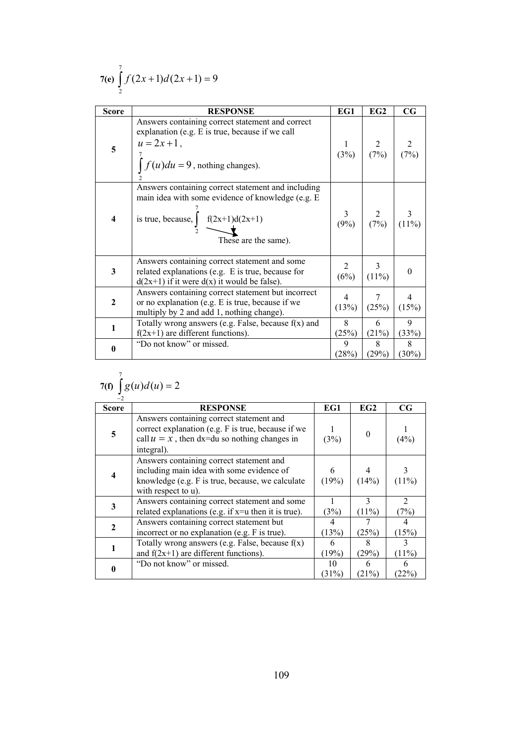$$
7(e) \int_{2}^{7} f(2x+1)d(2x+1) = 9
$$

| <b>Score</b>   | <b>RESPONSE</b>                                                                                                                                                                      | EG1                       | EG <sub>2</sub>   | $\mathbf{C}\mathbf{G}$  |
|----------------|--------------------------------------------------------------------------------------------------------------------------------------------------------------------------------------|---------------------------|-------------------|-------------------------|
| 5              | Answers containing correct statement and correct<br>explanation (e.g. E is true, because if we call<br>$u = 2x + 1$ ,<br>$\int f(u)du = 9$ , nothing changes).                       | (3%)                      | $\frac{2}{(7\%)}$ | (7%)                    |
| 4              | Answers containing correct statement and including<br>main idea with some evidence of knowledge (e.g. E<br>is true, because, $\int \frac{f(2x+1)d(2x+1)}{4}$<br>These are the same). | $\mathfrak{Z}$<br>$(9\%)$ | $\frac{2}{(7%)}$  | $(11\%)$                |
| $\mathbf{3}$   | Answers containing correct statement and some<br>related explanations (e.g. E is true, because for<br>$d(2x+1)$ if it were $d(x)$ it would be false).                                | $\overline{2}$<br>(6%)    | 3<br>$(11\%)$     | $\Omega$                |
| $\overline{2}$ | Answers containing correct statement but incorrect<br>or no explanation (e.g. E is true, because if we<br>multiply by 2 and add 1, nothing change).                                  | $\overline{4}$<br>(13%)   | 7<br>(25%)        | $\overline{4}$<br>(15%) |
| 1              | Totally wrong answers (e.g. False, because $f(x)$ and<br>$f(2x+1)$ are different functions).                                                                                         | 8<br>(25%)                | 6<br>(21%)        | $\mathbf Q$<br>(33%)    |
| $\mathbf{0}$   | "Do not know" or missed.                                                                                                                                                             | 9<br>(28%)                | 8<br>(29%)        | 8<br>(30%)              |

$$
7(f) \int\limits_0^7 g(u) d(u) = 2
$$

| $-2$                    |                                                                                                                                                                  |             |                 |                                     |
|-------------------------|------------------------------------------------------------------------------------------------------------------------------------------------------------------|-------------|-----------------|-------------------------------------|
| <b>Score</b>            | <b>RESPONSE</b>                                                                                                                                                  | EG1         | EG <sub>2</sub> | CG                                  |
| 5                       | Answers containing correct statement and<br>correct explanation (e.g. F is true, because if we<br>call $u = x$ , then dx=du so nothing changes in<br>integral).  | (3%)        | $\theta$        | (4%)                                |
| $\overline{\mathbf{4}}$ | Answers containing correct statement and<br>including main idea with some evidence of<br>knowledge (e.g. F is true, because, we calculate<br>with respect to u). | 6<br>(19%)  | (14%)           | $(11\%)$                            |
| 3                       | Answers containing correct statement and some<br>related explanations (e.g. if $x=$ u then it is true).                                                          | (3%)        | 3<br>(11%)      | $\mathcal{D}_{\mathcal{L}}$<br>(7%) |
| $\mathbf{2}$            | Answers containing correct statement but<br>incorrect or no explanation (e.g. F is true).                                                                        | (13%)       | (25%)           | (15%)                               |
|                         | Totally wrong answers (e.g. False, because $f(x)$ )<br>and $f(2x+1)$ are different functions).                                                                   | 6<br>(19%)  | 8<br>(29%)      | 3<br>(11%)                          |
| 0                       | "Do not know" or missed.                                                                                                                                         | 10<br>(31%) | 6<br>(21%)      | 6<br>(22%                           |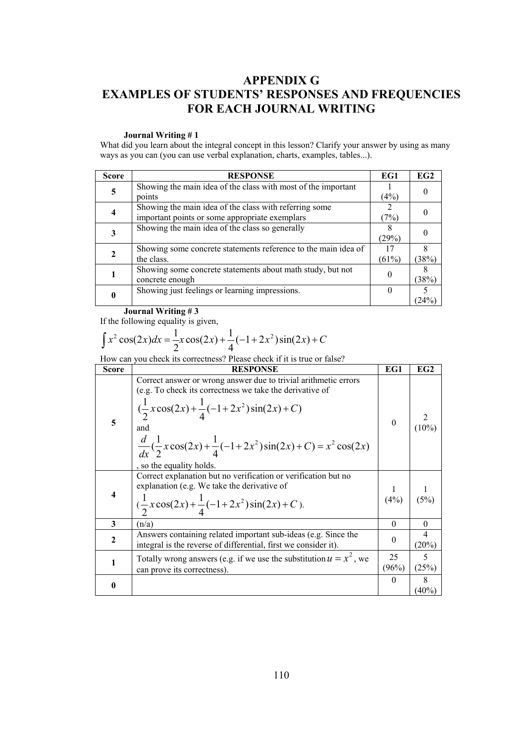# **APPENDIX G EXAMPLES OF STUDENTS' RESPONSES AND FREQUENCIES FOR EACH JOURNAL WRITING**

#### **Journal Writing # 1**

What did you learn about the integral concept in this lesson? Clarify your answer by using as many ways as you can (you can use verbal explanation, charts, examples, tables...).

| <b>Score</b> | <b>RESPONSE</b>                                                                                          | EG1         | EG2   |
|--------------|----------------------------------------------------------------------------------------------------------|-------------|-------|
| 5            | Showing the main idea of the class with most of the important<br>points                                  | (4%)        |       |
| 4            | Showing the main idea of the class with referring some<br>important points or some appropriate exemplars | (7%)        |       |
|              | Showing the main idea of the class so generally                                                          | (29%)       |       |
| 2            | Showing some concrete statements reference to the main idea of<br>the class.                             | 17<br>(61%) | (38%) |
|              | Showing some concrete statements about math study, but not<br>concrete enough                            | $\Omega$    | (38%) |
| 0            | Showing just feelings or learning impressions.                                                           |             | (24%  |

**Journal Writing # 3** 

If the following equality is given,

$$
\int x^2 \cos(2x) dx = \frac{1}{2}x \cos(2x) + \frac{1}{4}(-1 + 2x^2)\sin(2x) + C
$$

How can you check its correctness? Please check if it is true or false?

| <b>Score</b> | <b>RESPONSE</b>                                                                                                                                                                                                                                                                                                             | EG1         | EG2           |
|--------------|-----------------------------------------------------------------------------------------------------------------------------------------------------------------------------------------------------------------------------------------------------------------------------------------------------------------------------|-------------|---------------|
| 5            | Correct answer or wrong answer due to trivial arithmetic errors<br>(e.g. To check its correctness we take the derivative of<br>$\left(\frac{1}{2}x\cos(2x) + \frac{1}{4}(-1+2x^2)\sin(2x) + C\right)$<br>and<br>$\frac{d}{dx}(\frac{1}{2}x\cos(2x)+\frac{1}{4}(-1+2x^2)\sin(2x)+C)=x^2\cos(2x)$<br>, so the equality holds. | $\theta$    |               |
| 4            | Correct explanation but no verification or verification but no<br>explanation (e.g. We take the derivative of<br>$\left(\frac{1}{2}x\cos(2x) + \frac{1}{4}(-1+2x^2)\sin(2x) + C\right)$ .                                                                                                                                   | (4%)        | (5%)          |
| 3            | (n/a)                                                                                                                                                                                                                                                                                                                       | $\Omega$    | $\theta$      |
| 2            | Answers containing related important sub-ideas (e.g. Since the<br>integral is the reverse of differential, first we consider it).                                                                                                                                                                                           | $\theta$    | 4<br>$(20\%)$ |
| 1            | Totally wrong answers (e.g. if we use the substitution $u = x^2$ , we<br>can prove its correctness).                                                                                                                                                                                                                        | 25<br>(96%) | 5<br>(25%)    |
| 0            |                                                                                                                                                                                                                                                                                                                             | $\theta$    | 8<br>$40\%)$  |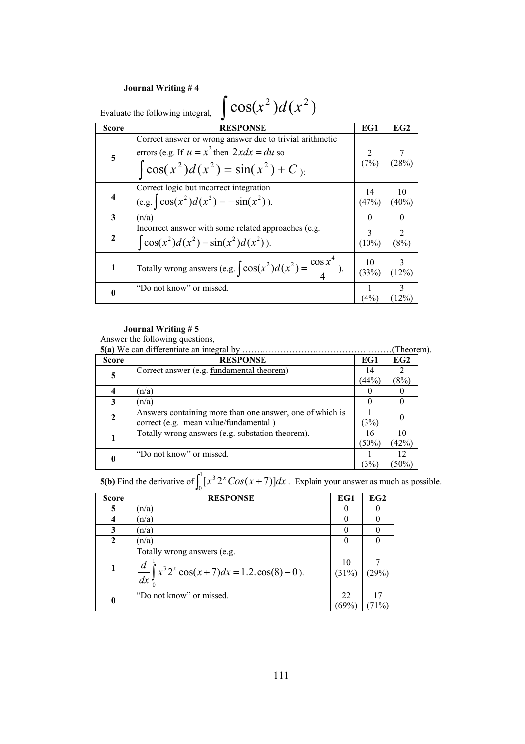| $\cos(x^2)d(x^2)$<br>Evaluate the following integral, |                                                                                                                                                                                                     |               |                |  |
|-------------------------------------------------------|-----------------------------------------------------------------------------------------------------------------------------------------------------------------------------------------------------|---------------|----------------|--|
| Score                                                 | <b>RESPONSE</b>                                                                                                                                                                                     | EG1           | EG2            |  |
| 5                                                     | Correct answer or wrong answer due to trivial arithmetic<br>errors (e.g. If $u = x^2$ then $2xdx = du$ so<br>$\int$ cos(x <sup>2</sup> )d(x <sup>2</sup> ) = sin(x <sup>2</sup> ) + C <sub>):</sub> | (7%)          | (28%)          |  |
| $\overline{\mathbf{4}}$                               | Correct logic but incorrect integration<br>(e.g. $\left[\cos(x^2)d(x^2) = -\sin(x^2)\right)$ ).                                                                                                     | 14<br>(47%)   | 10<br>$(40\%)$ |  |
| 3                                                     | (n/a)                                                                                                                                                                                               | $\theta$      | $\theta$       |  |
| $\mathbf{2}$                                          | Incorrect answer with some related approaches (e.g.<br>$\cos(x^2) d(x^2) = \sin(x^2) d(x^2)$ .                                                                                                      | 3<br>$(10\%)$ | 2<br>(8%)      |  |
| 1                                                     | Totally wrong answers (e.g. $\int \cos(x^2) d(x^2) = \frac{\cos x^4}{4}$ ).                                                                                                                         | 10<br>(33%)   | 3<br>(12%)     |  |
| $\boldsymbol{0}$                                      | "Do not know" or missed.                                                                                                                                                                            | (4%)          | (12%)          |  |

#### **Journal Writing # 5**

Answer the following questions,

**5(a)** We can differentiate an integral by ……………………………………………(Theorem).

| <b>Score</b> | <b>RESPONSE</b>                                          | EG1      | EG2    |
|--------------|----------------------------------------------------------|----------|--------|
| 5            | Correct answer (e.g. fundamental theorem)                | 14       |        |
|              |                                                          | (44%)    | (8%)   |
| 4            | (n/a)                                                    |          |        |
| 3            | (n/a)                                                    |          |        |
| $\mathbf{2}$ | Answers containing more than one answer, one of which is |          |        |
|              | correct (e.g. mean value/fundamental)                    | (3%)     |        |
|              | Totally wrong answers (e.g. substation theorem).         | 16       | 10     |
|              |                                                          | $(50\%)$ | (42%)  |
| 0            | "Do not know" or missed.                                 |          | 12     |
|              |                                                          | 3%       | $50\%$ |

**5(b)** Find the derivative of  $\int_0^1 [x^3 2^x \cos(x +$  $\int_{0}^{1} [x^3 2^x \cos(x+7)] dx$ . Explain your answer as much as possible.

| <b>Score</b> | <b>RESPONSE</b>                                                                                              | EG1         | EG2     |
|--------------|--------------------------------------------------------------------------------------------------------------|-------------|---------|
| 5            | (n/a)                                                                                                        |             |         |
| 4            | (n/a)                                                                                                        |             |         |
| 3            | (n/a)                                                                                                        |             |         |
| $\mathbf{2}$ | (n/a)                                                                                                        |             |         |
| $\mathbf{1}$ | Totally wrong answers (e.g.<br>$\frac{d}{dx}\int_{0}^{1} x^{3} 2^{x} \cos(x+7) dx = 1.2 \cdot \cos(8) - 0$ . | 10<br>(31%) |         |
| $\bf{0}$     | "Do not know" or missed.                                                                                     | 22<br>69%   | $-71\%$ |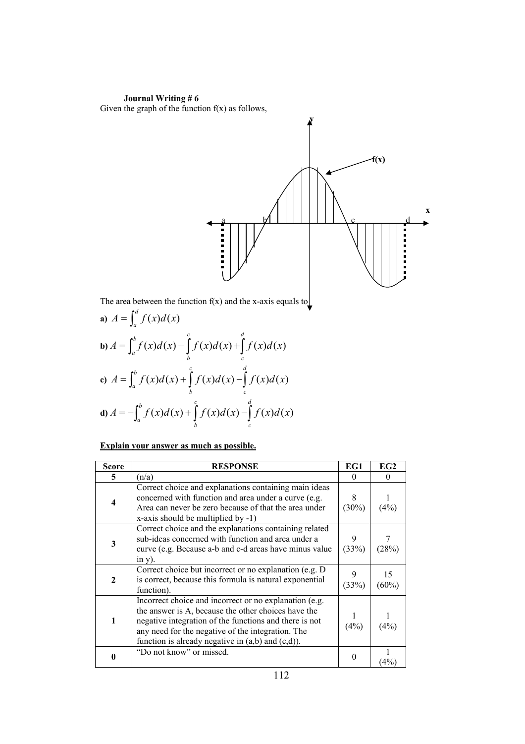**Journal Writing # 6**  Given the graph of the function  $f(x)$  as follows,



The area between the function  $f(x)$  and the x-axis equals to

**a)** 
$$
A = \int_{a}^{d} f(x) d(x)
$$
  
\n**b)**  $A = \int_{a}^{b} f(x) d(x) - \int_{b}^{c} f(x) d(x) + \int_{c}^{d} f(x) d(x)$   
\n**c)**  $A = \int_{a}^{b} f(x) d(x) + \int_{b}^{c} f(x) d(x) - \int_{c}^{d} f(x) d(x)$   
\n**d)**  $A = -\int_{a}^{b} f(x) d(x) + \int_{b}^{c} f(x) d(x) - \int_{c}^{d} f(x) d(x)$ 

### **Explain your answer as much as possible.**

| Score        | <b>RESPONSE</b>                                                                                                                                                                                                                                                                        | EG1           | EG2            |
|--------------|----------------------------------------------------------------------------------------------------------------------------------------------------------------------------------------------------------------------------------------------------------------------------------------|---------------|----------------|
| 5            | (n/a)                                                                                                                                                                                                                                                                                  | $\Omega$      | $\Omega$       |
| 4            | Correct choice and explanations containing main ideas<br>concerned with function and area under a curve (e.g.<br>Area can never be zero because of that the area under<br>x-axis should be multiplied by -1)                                                                           | 8<br>$(30\%)$ | (4%)           |
| 3            | Correct choice and the explanations containing related<br>sub-ideas concerned with function and area under a<br>curve (e.g. Because a-b and c-d areas have minus value<br>$in y)$ .                                                                                                    | 9<br>(33%)    | (28%)          |
| $\mathbf{2}$ | Correct choice but incorrect or no explanation (e.g. D)<br>is correct, because this formula is natural exponential<br>function).                                                                                                                                                       | (33%)         | 15<br>$(60\%)$ |
| $\mathbf{1}$ | Incorrect choice and incorrect or no explanation (e.g.<br>the answer is A, because the other choices have the<br>negative integration of the functions and there is not<br>any need for the negative of the integration. The<br>function is already negative in $(a,b)$ and $(c,d)$ ). | (4%)          | (4%)           |
| 0            | "Do not know" or missed.                                                                                                                                                                                                                                                               | $\theta$      | $4\%$          |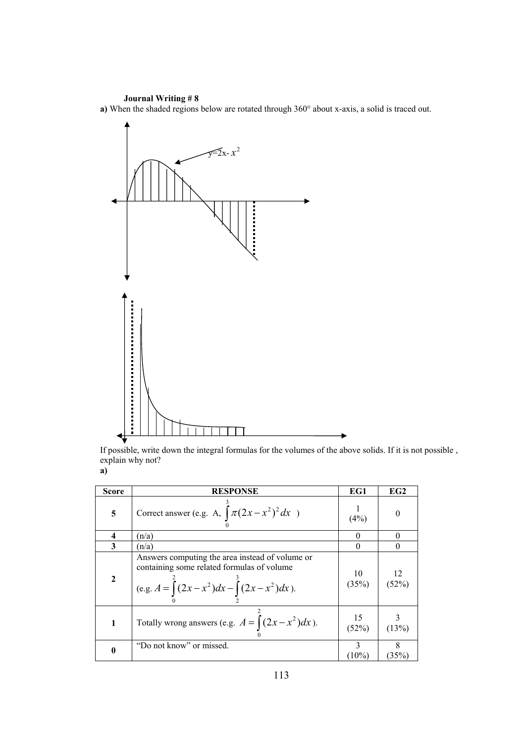**a)** When the shaded regions below are rotated through 360° about x-axis, a solid is traced out.



If possible, write down the integral formulas for the volumes of the above solids. If it is not possible , explain why not? **a)** 

| <b>Score</b> | <b>RESPONSE</b>                                                                                                                                         | EG1         | EG2         |
|--------------|---------------------------------------------------------------------------------------------------------------------------------------------------------|-------------|-------------|
| 5            | Correct answer (e.g. A, $\int \pi (2x - x^2)^2 dx$ )                                                                                                    | (4%)        |             |
| 4            | (n/a)                                                                                                                                                   |             |             |
| 3            | (n/a)                                                                                                                                                   |             |             |
| $\mathbf{2}$ | Answers computing the area instead of volume or<br>containing some related formulas of volume<br>(e.g. $A = \int (2x - x^2) dx - \int (2x - x^2) dx$ ). | 10<br>(35%) | 12<br>(52%) |
| 1            | Totally wrong answers (e.g. $A = \int (2x - x^2) dx$ ).                                                                                                 | 15<br>(52%) | (13%)       |
| $\bf{0}$     | "Do not know" or missed.                                                                                                                                | $(10\%)$    | (35%)       |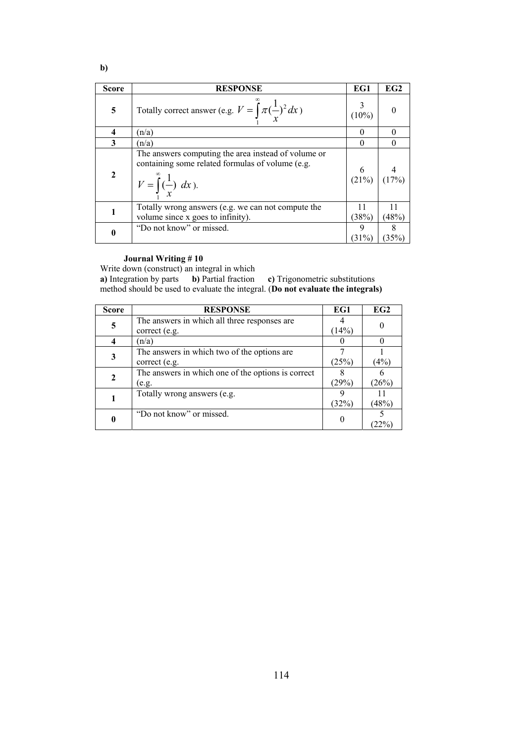| v | ۰.<br>۰. | I |  |
|---|----------|---|--|

| <b>Score</b>     | <b>RESPONSE</b>                                                                                                                                       | EG1         | EG2     |
|------------------|-------------------------------------------------------------------------------------------------------------------------------------------------------|-------------|---------|
| 5                | Totally correct answer (e.g. $V = \int_{1}^{\infty} \pi (\frac{1}{x})^2 dx$ )                                                                         | $(10\%)$    |         |
| 4                | (n/a)                                                                                                                                                 |             |         |
| 3                | (n/a)                                                                                                                                                 | $\theta$    |         |
| $\overline{2}$   | The answers computing the area instead of volume or<br>containing some related formulas of volume (e.g.<br>$V = \int_{0}^{\infty} (\frac{1}{x}) dx$ . | 6<br>(21%)  |         |
| 1                | Totally wrong answers (e.g. we can not compute the<br>volume since x goes to infinity).                                                               | 11<br>(38%) | (48%)   |
| $\boldsymbol{0}$ | "Do not know" or missed.                                                                                                                              | 9<br>(31%   | $(35\%$ |

Write down (construct) an integral in which

**a)** Integration by parts **b)** Partial fraction **c)** Trigonometric substitutions method should be used to evaluate the integral. (**Do not evaluate the integrals)** 

| <b>Score</b> | <b>RESPONSE</b>                                    | EG1   | EG2   |
|--------------|----------------------------------------------------|-------|-------|
|              | The answers in which all three responses are       |       |       |
| 5            | correct (e.g.                                      | (14%) |       |
| 4            | (n/a)                                              |       |       |
|              | The answers in which two of the options are        |       |       |
| 3            | correct (e.g.                                      | (25%) | (4%   |
| $\mathbf{2}$ | The answers in which one of the options is correct |       |       |
|              | (e.g.                                              | (29%) | (26%) |
|              | Totally wrong answers (e.g.                        |       |       |
|              |                                                    | (32%) | (48%) |
|              | "Do not know" or missed.                           |       |       |
|              |                                                    |       |       |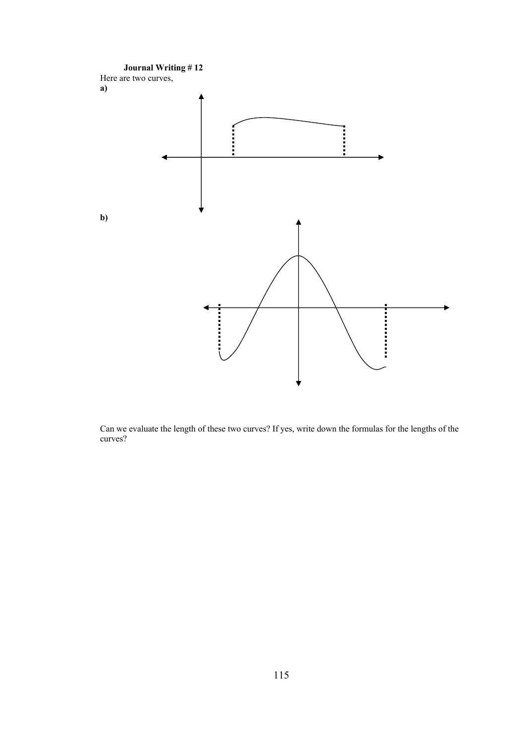

Can we evaluate the length of these two curves? If yes, write down the formulas for the lengths of the curves?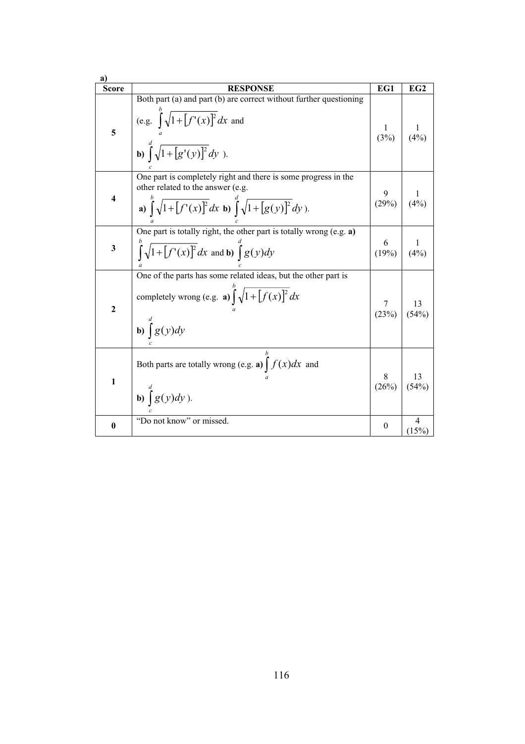| <b>Score</b>     | <b>RESPONSE</b>                                                                                                                                                                                             | EG1                | EG2         |
|------------------|-------------------------------------------------------------------------------------------------------------------------------------------------------------------------------------------------------------|--------------------|-------------|
| 5                | Both part (a) and part (b) are correct without further questioning<br>(e.g. $\int_{a}^{b} \sqrt{1 + [f'(x)]^2} dx$ and<br>b) $\int_{0}^{d} \sqrt{1 + [g'(y)]^2} dy$ ).                                      | $\frac{1}{(3\%)}$  | (4%)        |
| 4                | One part is completely right and there is some progress in the<br>other related to the answer (e.g.<br><b>a</b> ) $\int_{0}^{b} \sqrt{1 + [f'(x)]^2} dx$ <b>b</b> ) $\int_{0}^{a} \sqrt{1 + [g(y)]^2} dy$ . | $\frac{9}{(29\%)}$ | (4%)        |
| 3                | One part is totally right, the other part is totally wrong (e.g. a)<br>$\int_{0}^{b} \sqrt{1 + [f'(x)]^2} dx$ and b) $\int_{0}^{a} g(y) dy$                                                                 | 6<br>(19%)         | (4%)        |
| $\boldsymbol{2}$ | One of the parts has some related ideas, but the other part is<br>completely wrong (e.g. a) $\int_{0}^{b} \sqrt{1 + [f(x)]^2} dx$<br><b>b</b> ) $\int_a^d g(y) dy$                                          | 7<br>(23%)         | 13<br>(54%) |
| $\mathbf{1}$     | Both parts are totally wrong (e.g. a) $\int f(x)dx$ and<br>b) $\int g(y)dy$ ).                                                                                                                              | 8<br>(26%)         | 13<br>(54%) |
| $\mathbf{0}$     | "Do not know" or missed.                                                                                                                                                                                    | $\theta$           | 4<br>(15%)  |